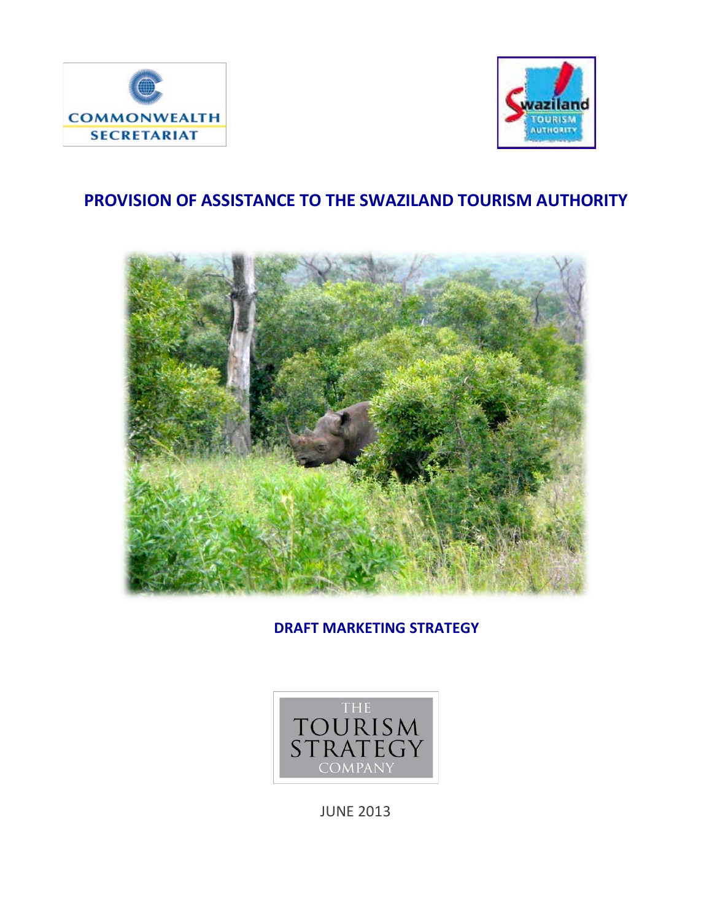



# **PROVISION OF ASSISTANCE TO THE SWAZILAND TOURISM AUTHORITY**



**DRAFT MARKETING STRATEGY** 



JUNE 2013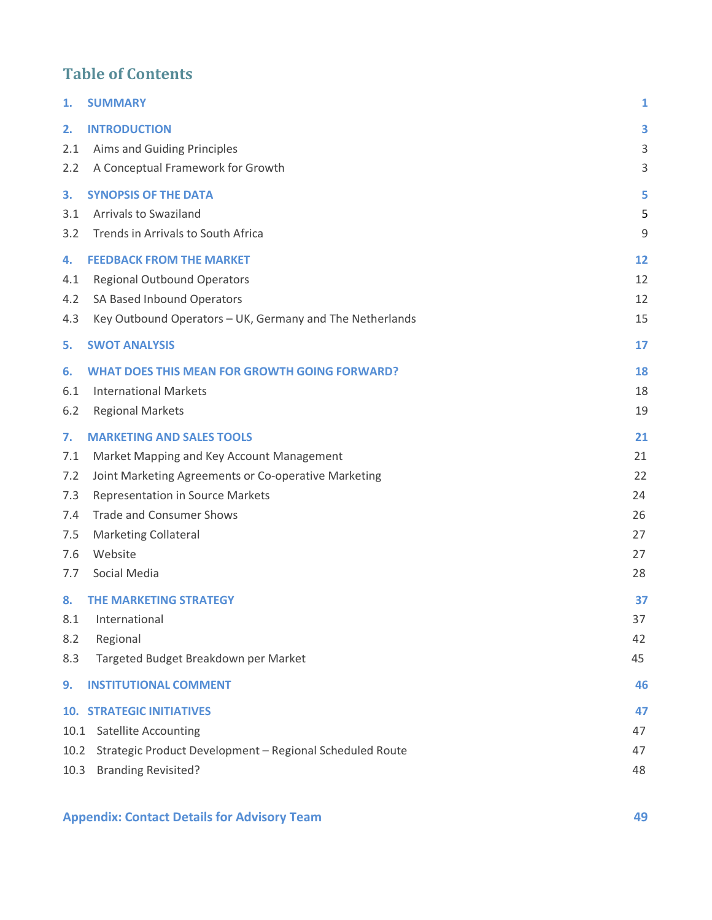# **Table of Contents**

| 1.   | <b>SUMMARY</b>                                           | 1  |
|------|----------------------------------------------------------|----|
| 2.   | <b>INTRODUCTION</b>                                      | 3  |
| 2.1  | Aims and Guiding Principles                              | 3  |
| 2.2  | A Conceptual Framework for Growth                        | 3  |
| 3.   | <b>SYNOPSIS OF THE DATA</b>                              | 5  |
| 3.1  | <b>Arrivals to Swaziland</b>                             | 5  |
| 3.2  | Trends in Arrivals to South Africa                       | 9  |
| 4.   | <b>FEEDBACK FROM THE MARKET</b>                          | 12 |
| 4.1  | <b>Regional Outbound Operators</b>                       | 12 |
| 4.2  | SA Based Inbound Operators                               | 12 |
| 4.3  | Key Outbound Operators - UK, Germany and The Netherlands | 15 |
| 5.   | <b>SWOT ANALYSIS</b>                                     | 17 |
| 6.   | <b>WHAT DOES THIS MEAN FOR GROWTH GOING FORWARD?</b>     | 18 |
| 6.1  | <b>International Markets</b>                             | 18 |
| 6.2  | <b>Regional Markets</b>                                  | 19 |
| 7.   | <b>MARKETING AND SALES TOOLS</b>                         | 21 |
| 7.1  | Market Mapping and Key Account Management                | 21 |
| 7.2  | Joint Marketing Agreements or Co-operative Marketing     | 22 |
| 7.3  | Representation in Source Markets                         | 24 |
| 7.4  | <b>Trade and Consumer Shows</b>                          | 26 |
| 7.5  | <b>Marketing Collateral</b>                              | 27 |
| 7.6  | Website                                                  | 27 |
| 7.7  | Social Media                                             | 28 |
| 8.   | <b>THE MARKETING STRATEGY</b>                            | 37 |
| 8.1  | International                                            | 37 |
| 8.2  | Regional                                                 | 42 |
| 8.3  | Targeted Budget Breakdown per Market                     | 45 |
| 9.   | <b>INSTITUTIONAL COMMENT</b>                             | 46 |
|      | <b>10. STRATEGIC INITIATIVES</b>                         | 47 |
| 10.1 | <b>Satellite Accounting</b>                              | 47 |
| 10.2 | Strategic Product Development - Regional Scheduled Route | 47 |
| 10.3 | <b>Branding Revisited?</b>                               | 48 |
|      |                                                          |    |

# **Appendix: Contact Details for Advisory Team 49**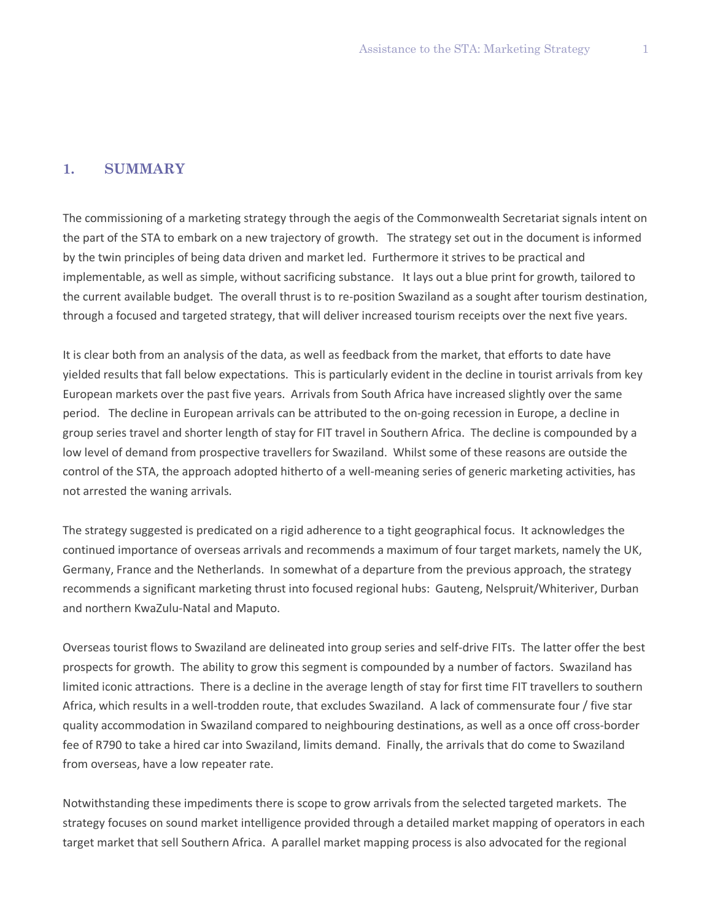#### **1. SUMMARY**

The commissioning of a marketing strategy through the aegis of the Commonwealth Secretariat signals intent on the part of the STA to embark on a new trajectory of growth. The strategy set out in the document is informed by the twin principles of being data driven and market led. Furthermore it strives to be practical and implementable, as well as simple, without sacrificing substance. It lays out a blue print for growth, tailored to the current available budget. The overall thrust is to re-position Swaziland as a sought after tourism destination, through a focused and targeted strategy, that will deliver increased tourism receipts over the next five years.

It is clear both from an analysis of the data, as well as feedback from the market, that efforts to date have yielded results that fall below expectations. This is particularly evident in the decline in tourist arrivals from key European markets over the past five years. Arrivals from South Africa have increased slightly over the same period. The decline in European arrivals can be attributed to the on-going recession in Europe, a decline in group series travel and shorter length of stay for FIT travel in Southern Africa. The decline is compounded by a low level of demand from prospective travellers for Swaziland. Whilst some of these reasons are outside the control of the STA, the approach adopted hitherto of a well-meaning series of generic marketing activities, has not arrested the waning arrivals.

The strategy suggested is predicated on a rigid adherence to a tight geographical focus. It acknowledges the continued importance of overseas arrivals and recommends a maximum of four target markets, namely the UK, Germany, France and the Netherlands. In somewhat of a departure from the previous approach, the strategy recommends a significant marketing thrust into focused regional hubs: Gauteng, Nelspruit/Whiteriver, Durban and northern KwaZulu-Natal and Maputo.

Overseas tourist flows to Swaziland are delineated into group series and self-drive FITs. The latter offer the best prospects for growth. The ability to grow this segment is compounded by a number of factors. Swaziland has limited iconic attractions. There is a decline in the average length of stay for first time FIT travellers to southern Africa, which results in a well-trodden route, that excludes Swaziland. A lack of commensurate four / five star quality accommodation in Swaziland compared to neighbouring destinations, as well as a once off cross-border fee of R790 to take a hired car into Swaziland, limits demand. Finally, the arrivals that do come to Swaziland from overseas, have a low repeater rate.

Notwithstanding these impediments there is scope to grow arrivals from the selected targeted markets. The strategy focuses on sound market intelligence provided through a detailed market mapping of operators in each target market that sell Southern Africa. A parallel market mapping process is also advocated for the regional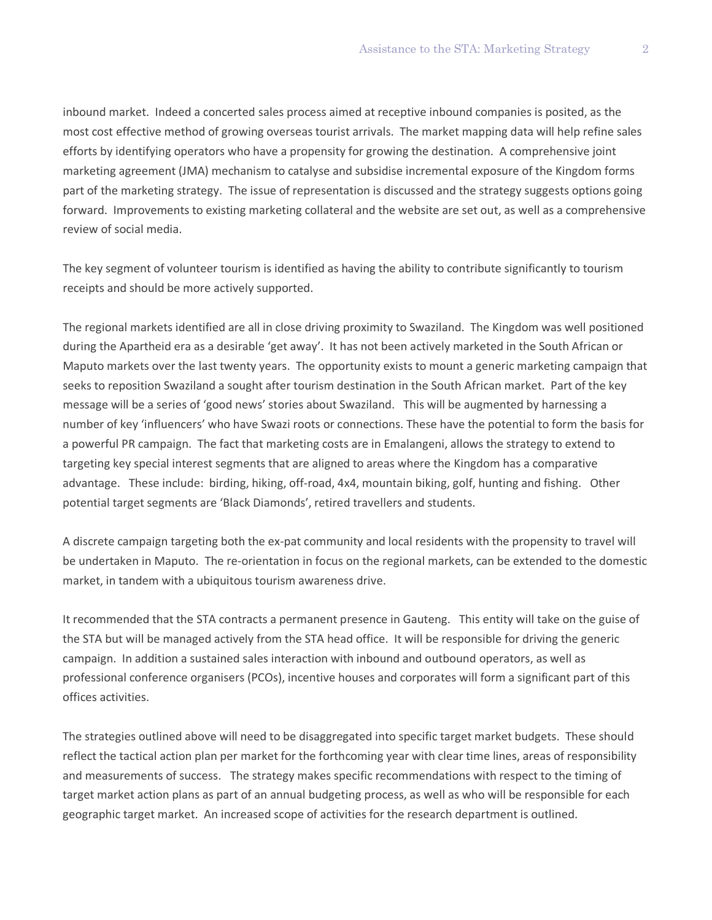inbound market. Indeed a concerted sales process aimed at receptive inbound companies is posited, as the most cost effective method of growing overseas tourist arrivals. The market mapping data will help refine sales efforts by identifying operators who have a propensity for growing the destination. A comprehensive joint marketing agreement (JMA) mechanism to catalyse and subsidise incremental exposure of the Kingdom forms part of the marketing strategy. The issue of representation is discussed and the strategy suggests options going forward. Improvements to existing marketing collateral and the website are set out, as well as a comprehensive review of social media.

The key segment of volunteer tourism is identified as having the ability to contribute significantly to tourism receipts and should be more actively supported.

The regional markets identified are all in close driving proximity to Swaziland. The Kingdom was well positioned during the Apartheid era as a desirable 'get away'. It has not been actively marketed in the South African or Maputo markets over the last twenty years. The opportunity exists to mount a generic marketing campaign that seeks to reposition Swaziland a sought after tourism destination in the South African market. Part of the key message will be a series of 'good news' stories about Swaziland. This will be augmented by harnessing a number of key 'influencers' who have Swazi roots or connections. These have the potential to form the basis for a powerful PR campaign. The fact that marketing costs are in Emalangeni, allows the strategy to extend to targeting key special interest segments that are aligned to areas where the Kingdom has a comparative advantage. These include: birding, hiking, off-road, 4x4, mountain biking, golf, hunting and fishing. Other potential target segments are 'Black Diamonds', retired travellers and students.

A discrete campaign targeting both the ex-pat community and local residents with the propensity to travel will be undertaken in Maputo. The re-orientation in focus on the regional markets, can be extended to the domestic market, in tandem with a ubiquitous tourism awareness drive.

It recommended that the STA contracts a permanent presence in Gauteng. This entity will take on the guise of the STA but will be managed actively from the STA head office. It will be responsible for driving the generic campaign. In addition a sustained sales interaction with inbound and outbound operators, as well as professional conference organisers (PCOs), incentive houses and corporates will form a significant part of this offices activities.

The strategies outlined above will need to be disaggregated into specific target market budgets. These should reflect the tactical action plan per market for the forthcoming year with clear time lines, areas of responsibility and measurements of success. The strategy makes specific recommendations with respect to the timing of target market action plans as part of an annual budgeting process, as well as who will be responsible for each geographic target market. An increased scope of activities for the research department is outlined.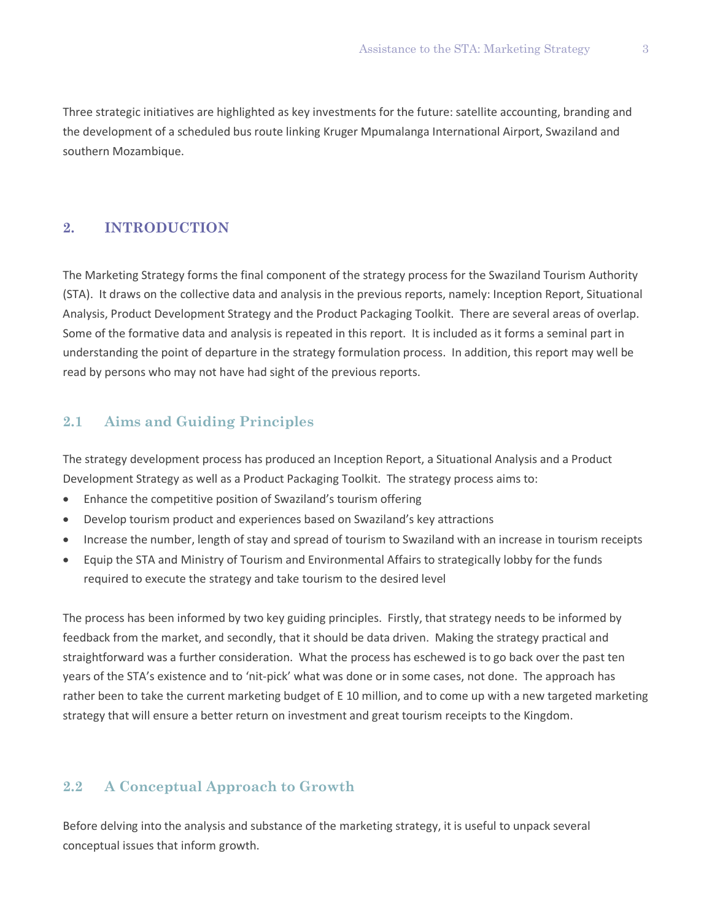Three strategic initiatives are highlighted as key investments for the future: satellite accounting, branding and the development of a scheduled bus route linking Kruger Mpumalanga International Airport, Swaziland and southern Mozambique.

### **2. INTRODUCTION**

The Marketing Strategy forms the final component of the strategy process for the Swaziland Tourism Authority (STA). It draws on the collective data and analysis in the previous reports, namely: Inception Report, Situational Analysis, Product Development Strategy and the Product Packaging Toolkit. There are several areas of overlap. Some of the formative data and analysis is repeated in this report. It is included as it forms a seminal part in understanding the point of departure in the strategy formulation process. In addition, this report may well be read by persons who may not have had sight of the previous reports.

# **2.1 Aims and Guiding Principles**

The strategy development process has produced an Inception Report, a Situational Analysis and a Product Development Strategy as well as a Product Packaging Toolkit. The strategy process aims to:

- Enhance the competitive position of Swaziland's tourism offering
- Develop tourism product and experiences based on Swaziland's key attractions
- Increase the number, length of stay and spread of tourism to Swaziland with an increase in tourism receipts
- Equip the STA and Ministry of Tourism and Environmental Affairs to strategically lobby for the funds required to execute the strategy and take tourism to the desired level

The process has been informed by two key guiding principles. Firstly, that strategy needs to be informed by feedback from the market, and secondly, that it should be data driven. Making the strategy practical and straightforward was a further consideration. What the process has eschewed is to go back over the past ten years of the STA's existence and to 'nit-pick' what was done or in some cases, not done. The approach has rather been to take the current marketing budget of E 10 million, and to come up with a new targeted marketing strategy that will ensure a better return on investment and great tourism receipts to the Kingdom.

# **2.2 A Conceptual Approach to Growth**

Before delving into the analysis and substance of the marketing strategy, it is useful to unpack several conceptual issues that inform growth.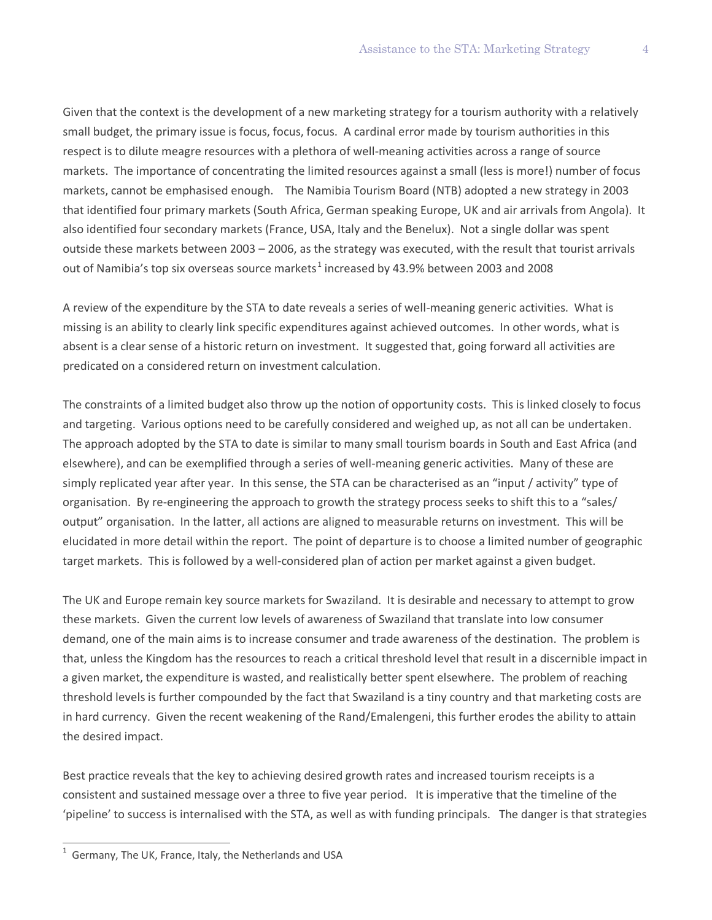Given that the context is the development of a new marketing strategy for a tourism authority with a relatively small budget, the primary issue is focus, focus, focus. A cardinal error made by tourism authorities in this respect is to dilute meagre resources with a plethora of well-meaning activities across a range of source markets. The importance of concentrating the limited resources against a small (less is more!) number of focus markets, cannot be emphasised enough. The Namibia Tourism Board (NTB) adopted a new strategy in 2003 that identified four primary markets (South Africa, German speaking Europe, UK and air arrivals from Angola). It also identified four secondary markets (France, USA, Italy and the Benelux). Not a single dollar was spent outside these markets between 2003 – 2006, as the strategy was executed, with the result that tourist arrivals out of Namibia's top six overseas source markets<sup>[1](#page-5-0)</sup> increased by 43.9% between 2003 and 2008

A review of the expenditure by the STA to date reveals a series of well-meaning generic activities. What is missing is an ability to clearly link specific expenditures against achieved outcomes. In other words, what is absent is a clear sense of a historic return on investment. It suggested that, going forward all activities are predicated on a considered return on investment calculation.

The constraints of a limited budget also throw up the notion of opportunity costs. This is linked closely to focus and targeting. Various options need to be carefully considered and weighed up, as not all can be undertaken. The approach adopted by the STA to date is similar to many small tourism boards in South and East Africa (and elsewhere), and can be exemplified through a series of well-meaning generic activities. Many of these are simply replicated year after year. In this sense, the STA can be characterised as an "input / activity" type of organisation. By re-engineering the approach to growth the strategy process seeks to shift this to a "sales/ output" organisation. In the latter, all actions are aligned to measurable returns on investment. This will be elucidated in more detail within the report. The point of departure is to choose a limited number of geographic target markets. This is followed by a well-considered plan of action per market against a given budget.

The UK and Europe remain key source markets for Swaziland. It is desirable and necessary to attempt to grow these markets. Given the current low levels of awareness of Swaziland that translate into low consumer demand, one of the main aims is to increase consumer and trade awareness of the destination. The problem is that, unless the Kingdom has the resources to reach a critical threshold level that result in a discernible impact in a given market, the expenditure is wasted, and realistically better spent elsewhere. The problem of reaching threshold levels is further compounded by the fact that Swaziland is a tiny country and that marketing costs are in hard currency. Given the recent weakening of the Rand/Emalengeni, this further erodes the ability to attain the desired impact.

Best practice reveals that the key to achieving desired growth rates and increased tourism receipts is a consistent and sustained message over a three to five year period. It is imperative that the timeline of the 'pipeline' to success is internalised with the STA, as well as with funding principals. The danger is that strategies

 $\overline{a}$ 

<span id="page-5-0"></span><sup>1</sup> Germany, The UK, France, Italy, the Netherlands and USA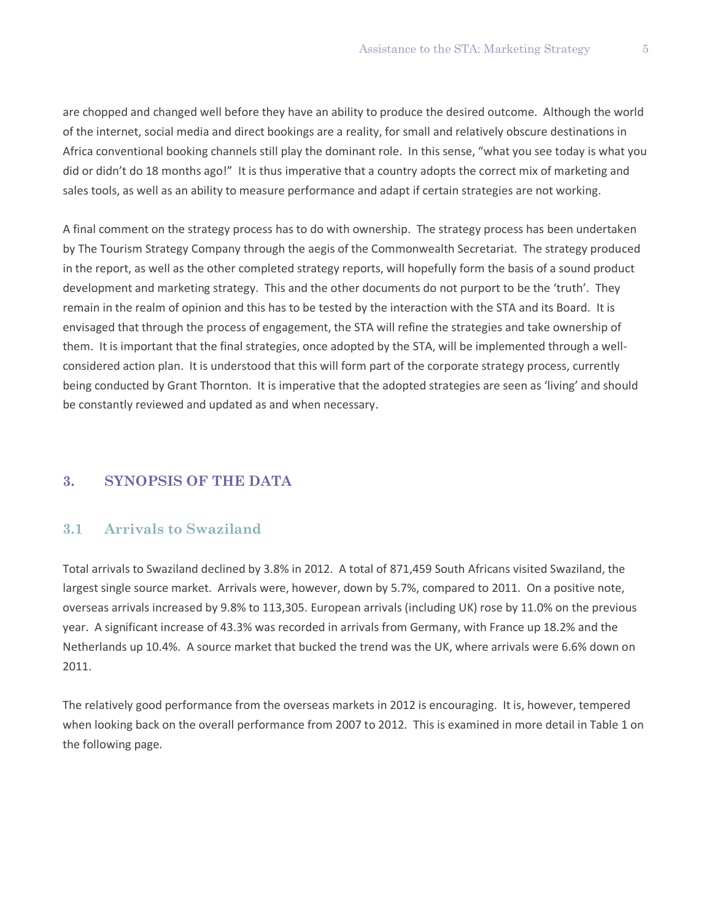are chopped and changed well before they have an ability to produce the desired outcome. Although the world of the internet, social media and direct bookings are a reality, for small and relatively obscure destinations in Africa conventional booking channels still play the dominant role. In this sense, "what you see today is what you did or didn't do 18 months ago!" It is thus imperative that a country adopts the correct mix of marketing and sales tools, as well as an ability to measure performance and adapt if certain strategies are not working.

A final comment on the strategy process has to do with ownership. The strategy process has been undertaken by The Tourism Strategy Company through the aegis of the Commonwealth Secretariat. The strategy produced in the report, as well as the other completed strategy reports, will hopefully form the basis of a sound product development and marketing strategy. This and the other documents do not purport to be the 'truth'. They remain in the realm of opinion and this has to be tested by the interaction with the STA and its Board. It is envisaged that through the process of engagement, the STA will refine the strategies and take ownership of them. It is important that the final strategies, once adopted by the STA, will be implemented through a wellconsidered action plan. It is understood that this will form part of the corporate strategy process, currently being conducted by Grant Thornton. It is imperative that the adopted strategies are seen as 'living' and should be constantly reviewed and updated as and when necessary.

# **3. SYNOPSIS OF THE DATA**

## **3.1 Arrivals to Swaziland**

Total arrivals to Swaziland declined by 3.8% in 2012. A total of 871,459 South Africans visited Swaziland, the largest single source market. Arrivals were, however, down by 5.7%, compared to 2011. On a positive note, overseas arrivals increased by 9.8% to 113,305. European arrivals (including UK) rose by 11.0% on the previous year. A significant increase of 43.3% was recorded in arrivals from Germany, with France up 18.2% and the Netherlands up 10.4%. A source market that bucked the trend was the UK, where arrivals were 6.6% down on 2011.

The relatively good performance from the overseas markets in 2012 is encouraging. It is, however, tempered when looking back on the overall performance from 2007 to 2012. This is examined in more detail in Table 1 on the following page.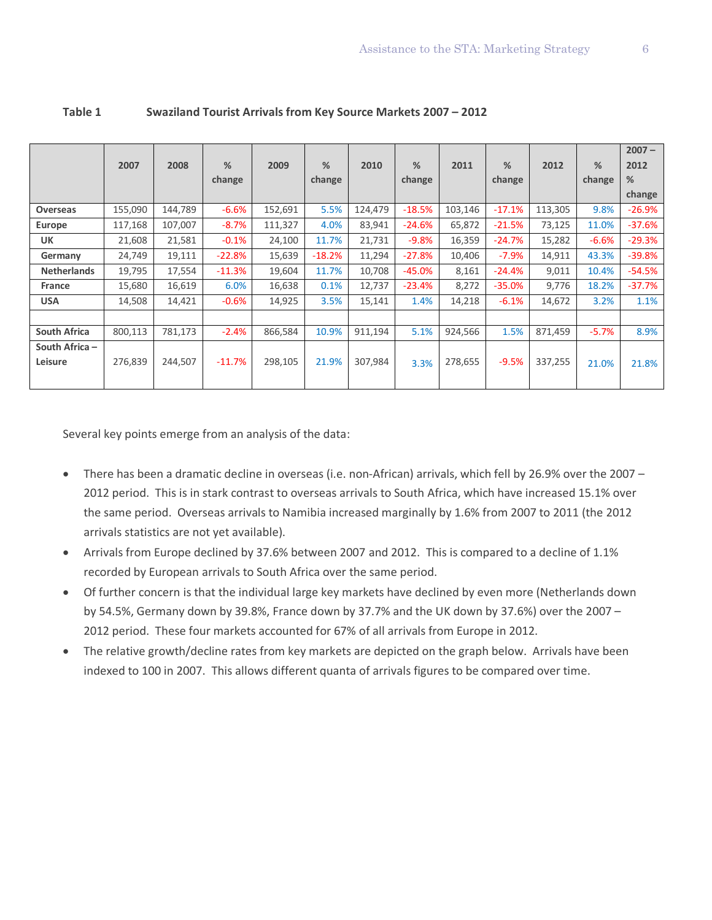|                           | 2007    | 2008    | %        | 2009    | %        | 2010    | %        |         | %        | 2012    | %       | $2007 -$<br>2012 |
|---------------------------|---------|---------|----------|---------|----------|---------|----------|---------|----------|---------|---------|------------------|
|                           |         |         | change   |         | change   |         | change   | 2011    | change   |         | change  | %                |
|                           |         |         |          |         |          |         |          |         |          |         |         | change           |
| Overseas                  | 155,090 | 144,789 | $-6.6%$  | 152,691 | 5.5%     | 124,479 | $-18.5%$ | 103,146 | $-17.1%$ | 113,305 | 9.8%    | $-26.9%$         |
| Europe                    | 117,168 | 107,007 | $-8.7%$  | 111,327 | 4.0%     | 83,941  | $-24.6%$ | 65,872  | $-21.5%$ | 73,125  | 11.0%   | $-37.6%$         |
| <b>UK</b>                 | 21,608  | 21,581  | $-0.1%$  | 24,100  | 11.7%    | 21,731  | $-9.8%$  | 16,359  | $-24.7%$ | 15,282  | $-6.6%$ | $-29.3%$         |
| Germany                   | 24,749  | 19,111  | $-22.8%$ | 15,639  | $-18.2%$ | 11,294  | $-27.8%$ | 10,406  | $-7.9%$  | 14,911  | 43.3%   | $-39.8%$         |
| <b>Netherlands</b>        | 19,795  | 17,554  | $-11.3%$ | 19,604  | 11.7%    | 10,708  | $-45.0%$ | 8,161   | $-24.4%$ | 9,011   | 10.4%   | $-54.5%$         |
| <b>France</b>             | 15,680  | 16,619  | 6.0%     | 16,638  | 0.1%     | 12,737  | $-23.4%$ | 8,272   | $-35.0%$ | 9,776   | 18.2%   | $-37.7%$         |
| <b>USA</b>                | 14,508  | 14,421  | $-0.6%$  | 14,925  | 3.5%     | 15,141  | 1.4%     | 14,218  | $-6.1%$  | 14,672  | 3.2%    | 1.1%             |
|                           |         |         |          |         |          |         |          |         |          |         |         |                  |
| <b>South Africa</b>       | 800,113 | 781,173 | $-2.4%$  | 866,584 | 10.9%    | 911,194 | 5.1%     | 924,566 | 1.5%     | 871,459 | $-5.7%$ | 8.9%             |
| South Africa -<br>Leisure | 276,839 | 244,507 | $-11.7%$ | 298,105 | 21.9%    | 307,984 |          | 278,655 | $-9.5%$  | 337,255 |         |                  |
|                           |         |         |          |         |          |         | 3.3%     |         |          |         | 21.0%   | 21.8%            |

### **Table 1 Swaziland Tourist Arrivals from Key Source Markets 2007 – 2012**

Several key points emerge from an analysis of the data:

- There has been a dramatic decline in overseas (i.e. non-African) arrivals, which fell by 26.9% over the 2007 2012 period. This is in stark contrast to overseas arrivals to South Africa, which have increased 15.1% over the same period. Overseas arrivals to Namibia increased marginally by 1.6% from 2007 to 2011 (the 2012 arrivals statistics are not yet available).
- Arrivals from Europe declined by 37.6% between 2007 and 2012. This is compared to a decline of 1.1% recorded by European arrivals to South Africa over the same period.
- Of further concern is that the individual large key markets have declined by even more (Netherlands down by 54.5%, Germany down by 39.8%, France down by 37.7% and the UK down by 37.6%) over the 2007 – 2012 period. These four markets accounted for 67% of all arrivals from Europe in 2012.
- The relative growth/decline rates from key markets are depicted on the graph below. Arrivals have been indexed to 100 in 2007. This allows different quanta of arrivals figures to be compared over time.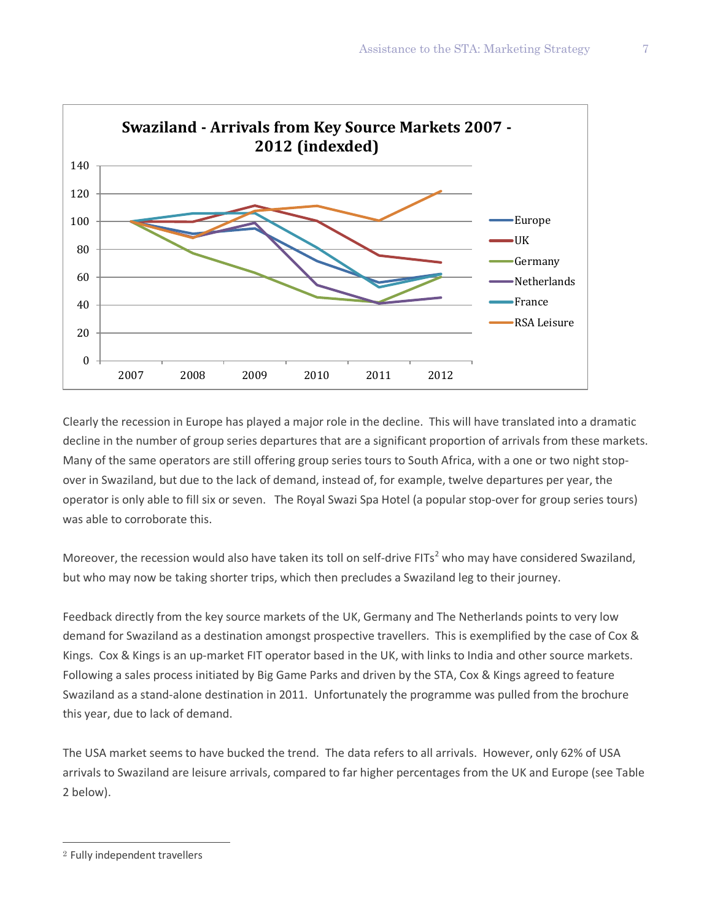

Clearly the recession in Europe has played a major role in the decline. This will have translated into a dramatic decline in the number of group series departures that are a significant proportion of arrivals from these markets. Many of the same operators are still offering group series tours to South Africa, with a one or two night stopover in Swaziland, but due to the lack of demand, instead of, for example, twelve departures per year, the operator is only able to fill six or seven. The Royal Swazi Spa Hotel (a popular stop-over for group series tours) was able to corroborate this.

Moreover, the recession would also have taken its toll on self-drive FITs<sup>[2](#page-8-0)</sup> who may have considered Swaziland, but who may now be taking shorter trips, which then precludes a Swaziland leg to their journey.

Feedback directly from the key source markets of the UK, Germany and The Netherlands points to very low demand for Swaziland as a destination amongst prospective travellers. This is exemplified by the case of Cox & Kings. Cox & Kings is an up-market FIT operator based in the UK, with links to India and other source markets. Following a sales process initiated by Big Game Parks and driven by the STA, Cox & Kings agreed to feature Swaziland as a stand-alone destination in 2011. Unfortunately the programme was pulled from the brochure this year, due to lack of demand.

The USA market seems to have bucked the trend. The data refers to all arrivals. However, only 62% of USA arrivals to Swaziland are leisure arrivals, compared to far higher percentages from the UK and Europe (see Table 2 below).

 $\overline{a}$ 

<span id="page-8-0"></span><sup>2</sup> Fully independent travellers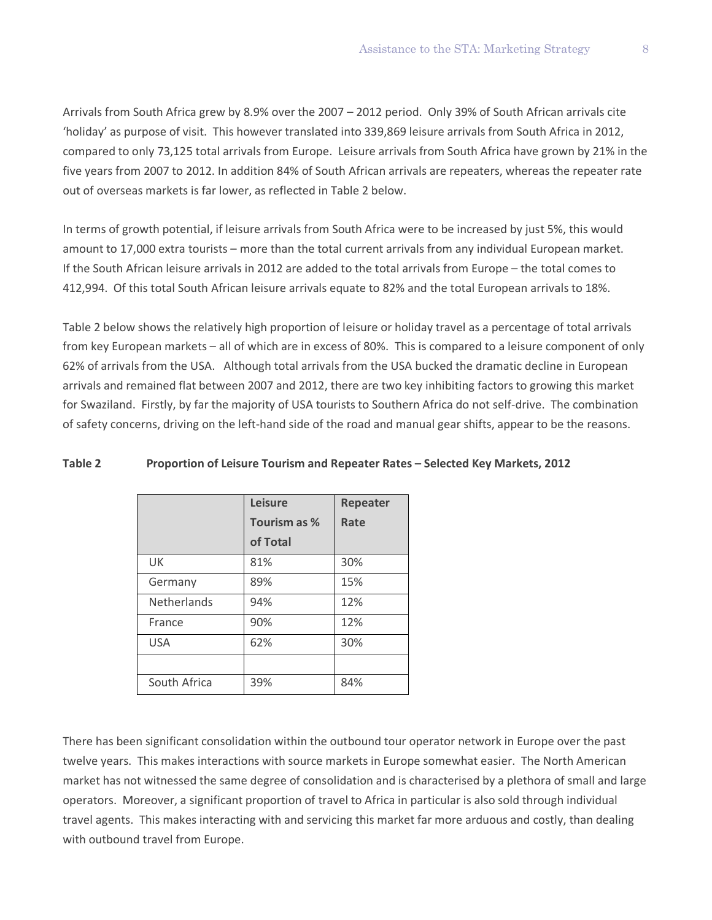Arrivals from South Africa grew by 8.9% over the 2007 – 2012 period. Only 39% of South African arrivals cite 'holiday' as purpose of visit. This however translated into 339,869 leisure arrivals from South Africa in 2012, compared to only 73,125 total arrivals from Europe. Leisure arrivals from South Africa have grown by 21% in the five years from 2007 to 2012. In addition 84% of South African arrivals are repeaters, whereas the repeater rate out of overseas markets is far lower, as reflected in Table 2 below.

In terms of growth potential, if leisure arrivals from South Africa were to be increased by just 5%, this would amount to 17,000 extra tourists – more than the total current arrivals from any individual European market. If the South African leisure arrivals in 2012 are added to the total arrivals from Europe – the total comes to 412,994. Of this total South African leisure arrivals equate to 82% and the total European arrivals to 18%.

Table 2 below shows the relatively high proportion of leisure or holiday travel as a percentage of total arrivals from key European markets – all of which are in excess of 80%. This is compared to a leisure component of only 62% of arrivals from the USA. Although total arrivals from the USA bucked the dramatic decline in European arrivals and remained flat between 2007 and 2012, there are two key inhibiting factors to growing this market for Swaziland. Firstly, by far the majority of USA tourists to Southern Africa do not self-drive. The combination of safety concerns, driving on the left-hand side of the road and manual gear shifts, appear to be the reasons.

|                    | Leisure      | Repeater |
|--------------------|--------------|----------|
|                    | Tourism as % | Rate     |
|                    | of Total     |          |
| UK                 | 81%          | 30%      |
| Germany            | 89%          | 15%      |
| <b>Netherlands</b> | 94%          | 12%      |
| France             | 90%          | 12%      |
| <b>USA</b>         | 62%          | 30%      |
|                    |              |          |
| South Africa       | 39%          | 84%      |

#### **Table 2 Proportion of Leisure Tourism and Repeater Rates – Selected Key Markets, 2012**

There has been significant consolidation within the outbound tour operator network in Europe over the past twelve years. This makes interactions with source markets in Europe somewhat easier. The North American market has not witnessed the same degree of consolidation and is characterised by a plethora of small and large operators. Moreover, a significant proportion of travel to Africa in particular is also sold through individual travel agents. This makes interacting with and servicing this market far more arduous and costly, than dealing with outbound travel from Europe.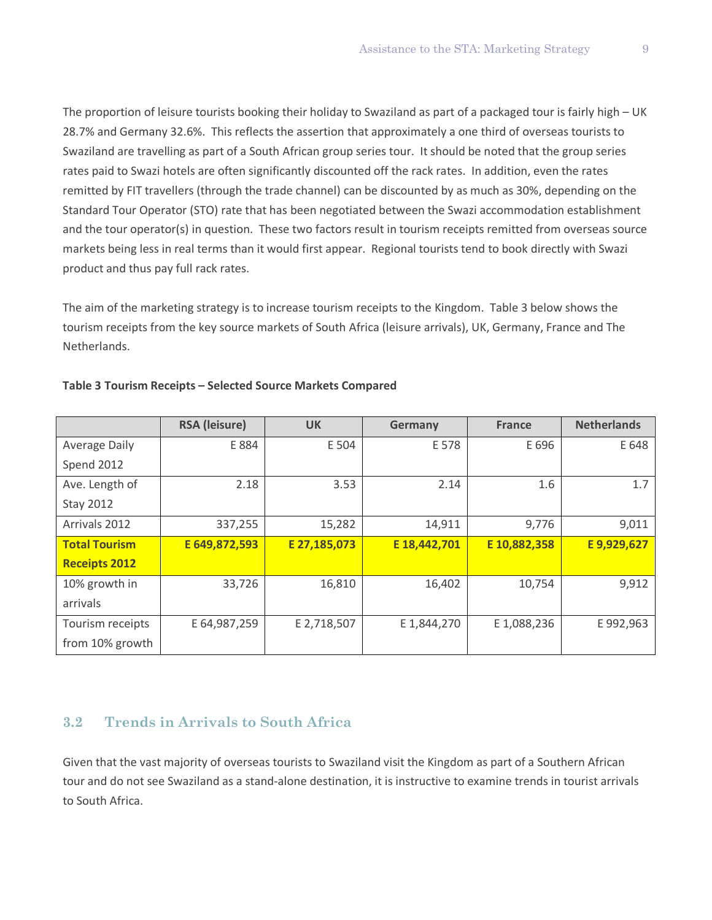The proportion of leisure tourists booking their holiday to Swaziland as part of a packaged tour is fairly high – UK 28.7% and Germany 32.6%. This reflects the assertion that approximately a one third of overseas tourists to Swaziland are travelling as part of a South African group series tour. It should be noted that the group series rates paid to Swazi hotels are often significantly discounted off the rack rates. In addition, even the rates remitted by FIT travellers (through the trade channel) can be discounted by as much as 30%, depending on the Standard Tour Operator (STO) rate that has been negotiated between the Swazi accommodation establishment and the tour operator(s) in question. These two factors result in tourism receipts remitted from overseas source markets being less in real terms than it would first appear. Regional tourists tend to book directly with Swazi product and thus pay full rack rates.

The aim of the marketing strategy is to increase tourism receipts to the Kingdom. Table 3 below shows the tourism receipts from the key source markets of South Africa (leisure arrivals), UK, Germany, France and The Netherlands.

|                      | <b>RSA</b> (leisure) | <b>UK</b>    | Germany      | <b>France</b> | <b>Netherlands</b> |
|----------------------|----------------------|--------------|--------------|---------------|--------------------|
| <b>Average Daily</b> | E 884                | E 504        | E 578        | E 696         | E 648              |
| Spend 2012           |                      |              |              |               |                    |
| Ave. Length of       | 2.18                 | 3.53         | 2.14         | 1.6           | 1.7                |
| <b>Stay 2012</b>     |                      |              |              |               |                    |
| Arrivals 2012        | 337,255              | 15,282       | 14,911       | 9,776         | 9,011              |
| <b>Total Tourism</b> | E 649,872,593        | E 27,185,073 | E 18,442,701 | E 10,882,358  | E9,929,627         |
| <b>Receipts 2012</b> |                      |              |              |               |                    |
| 10% growth in        | 33,726               | 16,810       | 16,402       | 10,754        | 9,912              |
| arrivals             |                      |              |              |               |                    |
| Tourism receipts     | E 64,987,259         | E 2,718,507  | E 1,844,270  | E 1,088,236   | E 992,963          |
| from 10% growth      |                      |              |              |               |                    |

### **Table 3 Tourism Receipts – Selected Source Markets Compared**

# **3.2 Trends in Arrivals to South Africa**

Given that the vast majority of overseas tourists to Swaziland visit the Kingdom as part of a Southern African tour and do not see Swaziland as a stand-alone destination, it is instructive to examine trends in tourist arrivals to South Africa.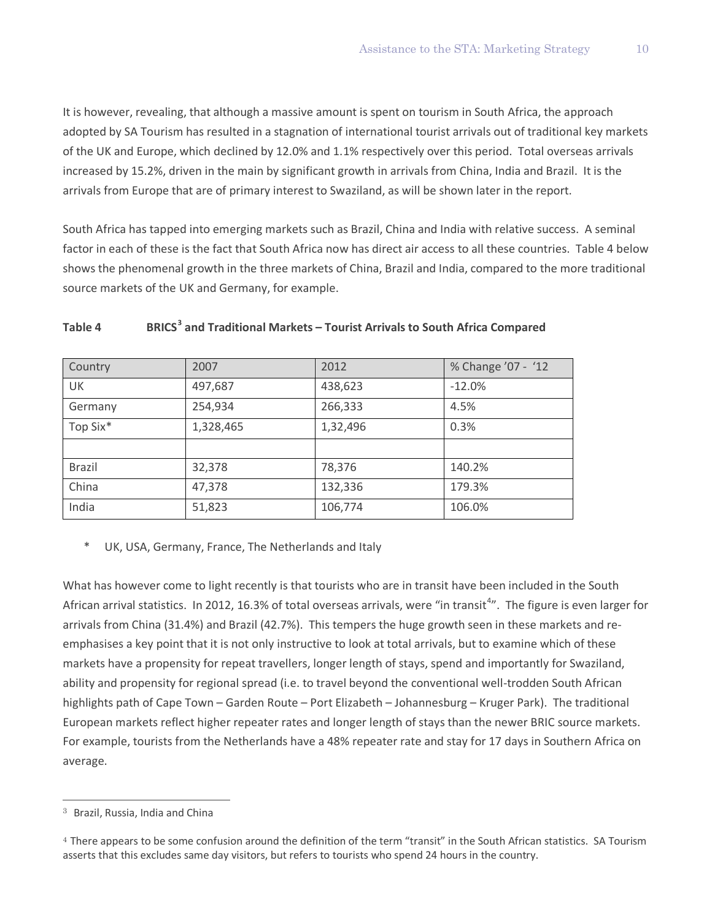It is however, revealing, that although a massive amount is spent on tourism in South Africa, the approach adopted by SA Tourism has resulted in a stagnation of international tourist arrivals out of traditional key markets of the UK and Europe, which declined by 12.0% and 1.1% respectively over this period. Total overseas arrivals increased by 15.2%, driven in the main by significant growth in arrivals from China, India and Brazil. It is the arrivals from Europe that are of primary interest to Swaziland, as will be shown later in the report.

South Africa has tapped into emerging markets such as Brazil, China and India with relative success. A seminal factor in each of these is the fact that South Africa now has direct air access to all these countries. Table 4 below shows the phenomenal growth in the three markets of China, Brazil and India, compared to the more traditional source markets of the UK and Germany, for example.

| Country       | 2007      | 2012     | % Change '07 - '12 |
|---------------|-----------|----------|--------------------|
| UK            | 497,687   | 438,623  | $-12.0%$           |
| Germany       | 254,934   | 266,333  | 4.5%               |
| Top Six*      | 1,328,465 | 1,32,496 | 0.3%               |
|               |           |          |                    |
| <b>Brazil</b> | 32,378    | 78,376   | 140.2%             |
| China         | 47,378    | 132,336  | 179.3%             |
| India         | 51,823    | 106,774  | 106.0%             |

# **Table 4 BRICS[3](#page-11-0) and Traditional Markets – Tourist Arrivals to South Africa Compared**

UK, USA, Germany, France, The Netherlands and Italy

What has however come to light recently is that tourists who are in transit have been included in the South African arrival statistics. In 2012, 16.3% of total overseas arrivals, were "in transit<sup>[4](#page-11-1)</sup>". The figure is even larger for arrivals from China (31.4%) and Brazil (42.7%). This tempers the huge growth seen in these markets and reemphasises a key point that it is not only instructive to look at total arrivals, but to examine which of these markets have a propensity for repeat travellers, longer length of stays, spend and importantly for Swaziland, ability and propensity for regional spread (i.e. to travel beyond the conventional well-trodden South African highlights path of Cape Town – Garden Route – Port Elizabeth – Johannesburg – Kruger Park). The traditional European markets reflect higher repeater rates and longer length of stays than the newer BRIC source markets. For example, tourists from the Netherlands have a 48% repeater rate and stay for 17 days in Southern Africa on average.

 $\overline{a}$ 

<span id="page-11-0"></span><sup>3</sup> Brazil, Russia, India and China

<span id="page-11-1"></span><sup>&</sup>lt;sup>4</sup> There appears to be some confusion around the definition of the term "transit" in the South African statistics. SA Tourism asserts that this excludes same day visitors, but refers to tourists who spend 24 hours in the country.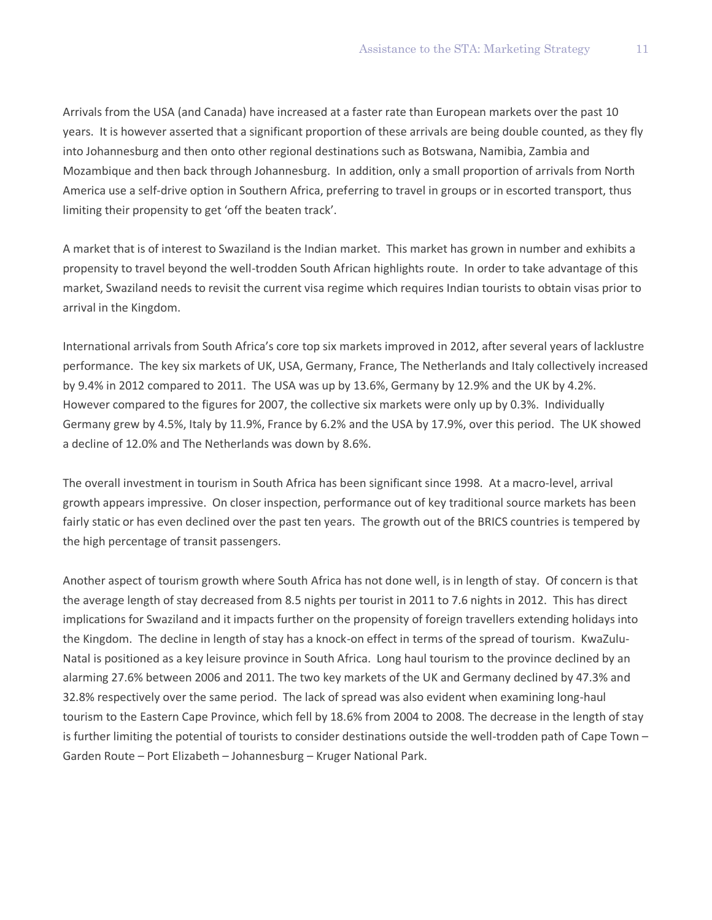Arrivals from the USA (and Canada) have increased at a faster rate than European markets over the past 10 years. It is however asserted that a significant proportion of these arrivals are being double counted, as they fly into Johannesburg and then onto other regional destinations such as Botswana, Namibia, Zambia and Mozambique and then back through Johannesburg. In addition, only a small proportion of arrivals from North America use a self-drive option in Southern Africa, preferring to travel in groups or in escorted transport, thus limiting their propensity to get 'off the beaten track'.

A market that is of interest to Swaziland is the Indian market. This market has grown in number and exhibits a propensity to travel beyond the well-trodden South African highlights route. In order to take advantage of this market, Swaziland needs to revisit the current visa regime which requires Indian tourists to obtain visas prior to arrival in the Kingdom.

International arrivals from South Africa's core top six markets improved in 2012, after several years of lacklustre performance. The key six markets of UK, USA, Germany, France, The Netherlands and Italy collectively increased by 9.4% in 2012 compared to 2011. The USA was up by 13.6%, Germany by 12.9% and the UK by 4.2%. However compared to the figures for 2007, the collective six markets were only up by 0.3%. Individually Germany grew by 4.5%, Italy by 11.9%, France by 6.2% and the USA by 17.9%, over this period. The UK showed a decline of 12.0% and The Netherlands was down by 8.6%.

The overall investment in tourism in South Africa has been significant since 1998. At a macro-level, arrival growth appears impressive. On closer inspection, performance out of key traditional source markets has been fairly static or has even declined over the past ten years. The growth out of the BRICS countries is tempered by the high percentage of transit passengers.

Another aspect of tourism growth where South Africa has not done well, is in length of stay. Of concern is that the average length of stay decreased from 8.5 nights per tourist in 2011 to 7.6 nights in 2012. This has direct implications for Swaziland and it impacts further on the propensity of foreign travellers extending holidays into the Kingdom. The decline in length of stay has a knock-on effect in terms of the spread of tourism. KwaZulu-Natal is positioned as a key leisure province in South Africa. Long haul tourism to the province declined by an alarming 27.6% between 2006 and 2011. The two key markets of the UK and Germany declined by 47.3% and 32.8% respectively over the same period. The lack of spread was also evident when examining long-haul tourism to the Eastern Cape Province, which fell by 18.6% from 2004 to 2008. The decrease in the length of stay is further limiting the potential of tourists to consider destinations outside the well-trodden path of Cape Town – Garden Route – Port Elizabeth – Johannesburg – Kruger National Park.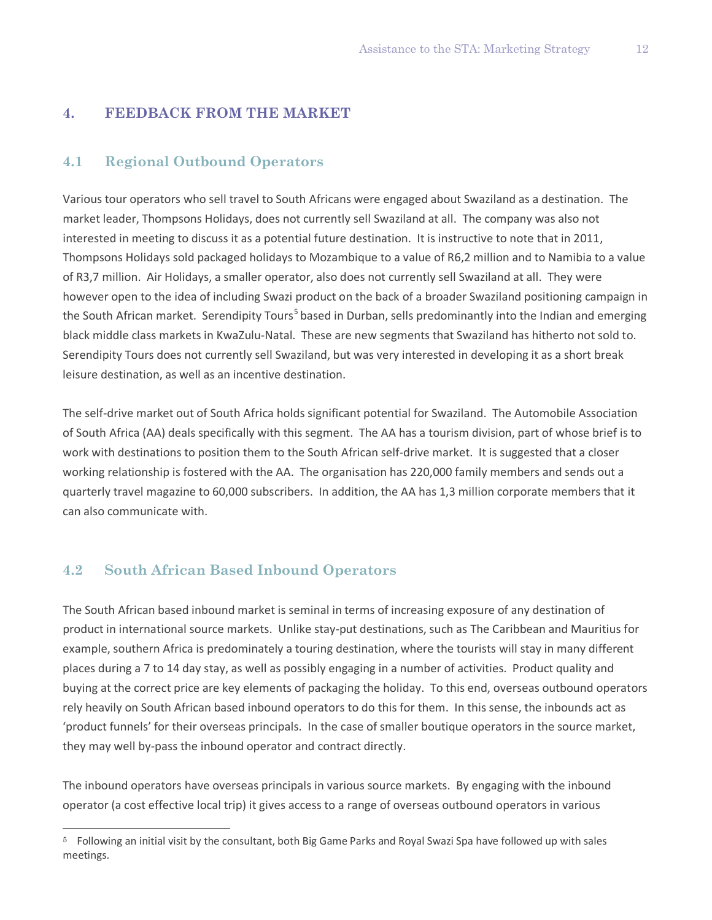## **4. FEEDBACK FROM THE MARKET**

### **4.1 Regional Outbound Operators**

Various tour operators who sell travel to South Africans were engaged about Swaziland as a destination. The market leader, Thompsons Holidays, does not currently sell Swaziland at all. The company was also not interested in meeting to discuss it as a potential future destination. It is instructive to note that in 2011, Thompsons Holidays sold packaged holidays to Mozambique to a value of R6,2 million and to Namibia to a value of R3,7 million. Air Holidays, a smaller operator, also does not currently sell Swaziland at all. They were however open to the idea of including Swazi product on the back of a broader Swaziland positioning campaign in the South African market. Serendipity Tours<sup>[5](#page-13-0)</sup> based in Durban, sells predominantly into the Indian and emerging black middle class markets in KwaZulu-Natal. These are new segments that Swaziland has hitherto not sold to. Serendipity Tours does not currently sell Swaziland, but was very interested in developing it as a short break leisure destination, as well as an incentive destination.

The self-drive market out of South Africa holds significant potential for Swaziland. The Automobile Association of South Africa (AA) deals specifically with this segment. The AA has a tourism division, part of whose brief is to work with destinations to position them to the South African self-drive market. It is suggested that a closer working relationship is fostered with the AA. The organisation has 220,000 family members and sends out a quarterly travel magazine to 60,000 subscribers. In addition, the AA has 1,3 million corporate members that it can also communicate with.

# **4.2 South African Based Inbound Operators**

 $\overline{a}$ 

The South African based inbound market is seminal in terms of increasing exposure of any destination of product in international source markets. Unlike stay-put destinations, such as The Caribbean and Mauritius for example, southern Africa is predominately a touring destination, where the tourists will stay in many different places during a 7 to 14 day stay, as well as possibly engaging in a number of activities. Product quality and buying at the correct price are key elements of packaging the holiday. To this end, overseas outbound operators rely heavily on South African based inbound operators to do this for them. In this sense, the inbounds act as 'product funnels' for their overseas principals. In the case of smaller boutique operators in the source market, they may well by-pass the inbound operator and contract directly.

The inbound operators have overseas principals in various source markets. By engaging with the inbound operator (a cost effective local trip) it gives access to a range of overseas outbound operators in various

<span id="page-13-0"></span><sup>5</sup> Following an initial visit by the consultant, both Big Game Parks and Royal Swazi Spa have followed up with sales meetings.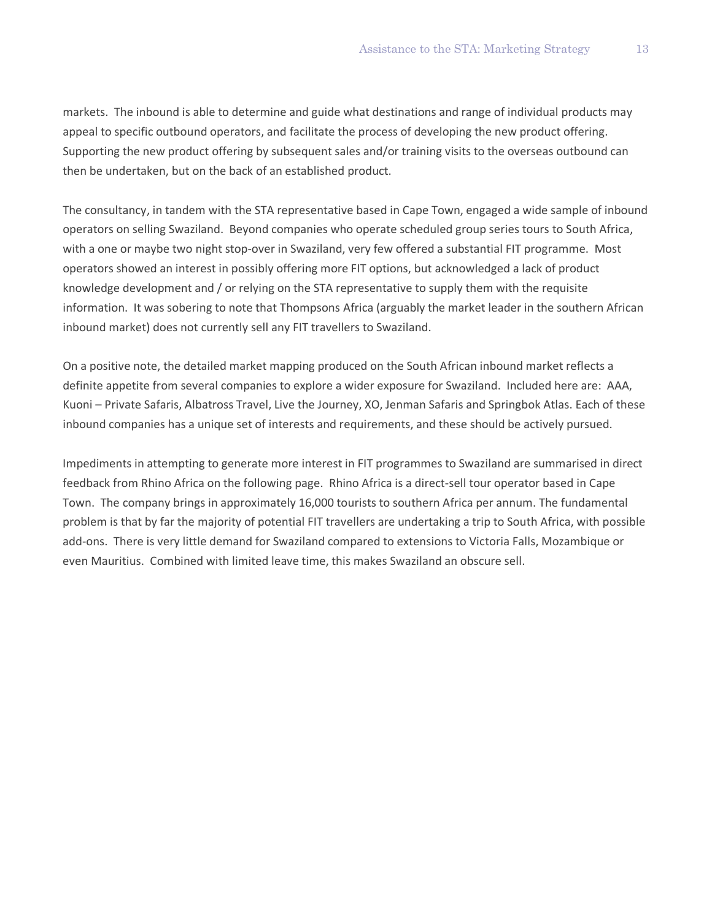markets. The inbound is able to determine and guide what destinations and range of individual products may appeal to specific outbound operators, and facilitate the process of developing the new product offering. Supporting the new product offering by subsequent sales and/or training visits to the overseas outbound can then be undertaken, but on the back of an established product.

The consultancy, in tandem with the STA representative based in Cape Town, engaged a wide sample of inbound operators on selling Swaziland. Beyond companies who operate scheduled group series tours to South Africa, with a one or maybe two night stop-over in Swaziland, very few offered a substantial FIT programme. Most operators showed an interest in possibly offering more FIT options, but acknowledged a lack of product knowledge development and / or relying on the STA representative to supply them with the requisite information. It was sobering to note that Thompsons Africa (arguably the market leader in the southern African inbound market) does not currently sell any FIT travellers to Swaziland.

On a positive note, the detailed market mapping produced on the South African inbound market reflects a definite appetite from several companies to explore a wider exposure for Swaziland. Included here are: AAA, Kuoni – Private Safaris, Albatross Travel, Live the Journey, XO, Jenman Safaris and Springbok Atlas. Each of these inbound companies has a unique set of interests and requirements, and these should be actively pursued.

Impediments in attempting to generate more interest in FIT programmes to Swaziland are summarised in direct feedback from Rhino Africa on the following page. Rhino Africa is a direct-sell tour operator based in Cape Town. The company brings in approximately 16,000 tourists to southern Africa per annum. The fundamental problem is that by far the majority of potential FIT travellers are undertaking a trip to South Africa, with possible add-ons. There is very little demand for Swaziland compared to extensions to Victoria Falls, Mozambique or even Mauritius. Combined with limited leave time, this makes Swaziland an obscure sell.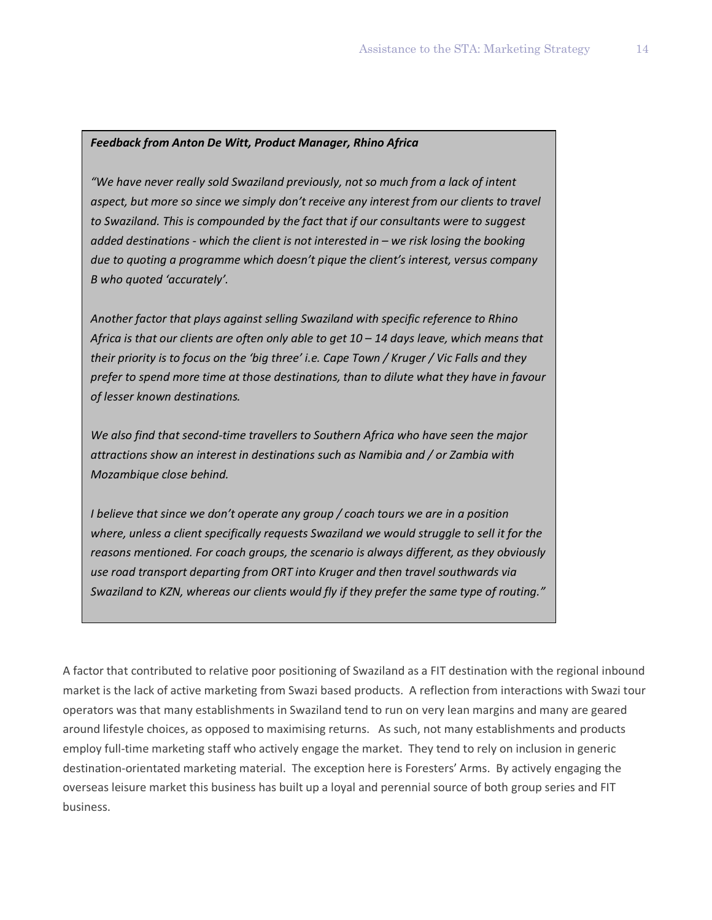#### *Feedback from Anton De Witt, Product Manager, Rhino Africa*

*"We have never really sold Swaziland previously, not so much from a lack of intent aspect, but more so since we simply don't receive any interest from our clients to travel to Swaziland. This is compounded by the fact that if our consultants were to suggest added destinations - which the client is not interested in – we risk losing the booking due to quoting a programme which doesn't pique the client's interest, versus company B who quoted 'accurately'.*

*Another factor that plays against selling Swaziland with specific reference to Rhino Africa is that our clients are often only able to get 10 – 14 days leave, which means that their priority is to focus on the 'big three' i.e. Cape Town / Kruger / Vic Falls and they prefer to spend more time at those destinations, than to dilute what they have in favour of lesser known destinations.*

*We also find that second-time travellers to Southern Africa who have seen the major attractions show an interest in destinations such as Namibia and / or Zambia with Mozambique close behind.*

*I believe that since we don't operate any group / coach tours we are in a position where, unless a client specifically requests Swaziland we would struggle to sell it for the reasons mentioned. For coach groups, the scenario is always different, as they obviously use road transport departing from ORT into Kruger and then travel southwards via Swaziland to KZN, whereas our clients would fly if they prefer the same type of routing."*

A factor that contributed to relative poor positioning of Swaziland as a FIT destination with the regional inbound market is the lack of active marketing from Swazi based products. A reflection from interactions with Swazi tour operators was that many establishments in Swaziland tend to run on very lean margins and many are geared around lifestyle choices, as opposed to maximising returns. As such, not many establishments and products employ full-time marketing staff who actively engage the market. They tend to rely on inclusion in generic destination-orientated marketing material. The exception here is Foresters' Arms. By actively engaging the overseas leisure market this business has built up a loyal and perennial source of both group series and FIT business.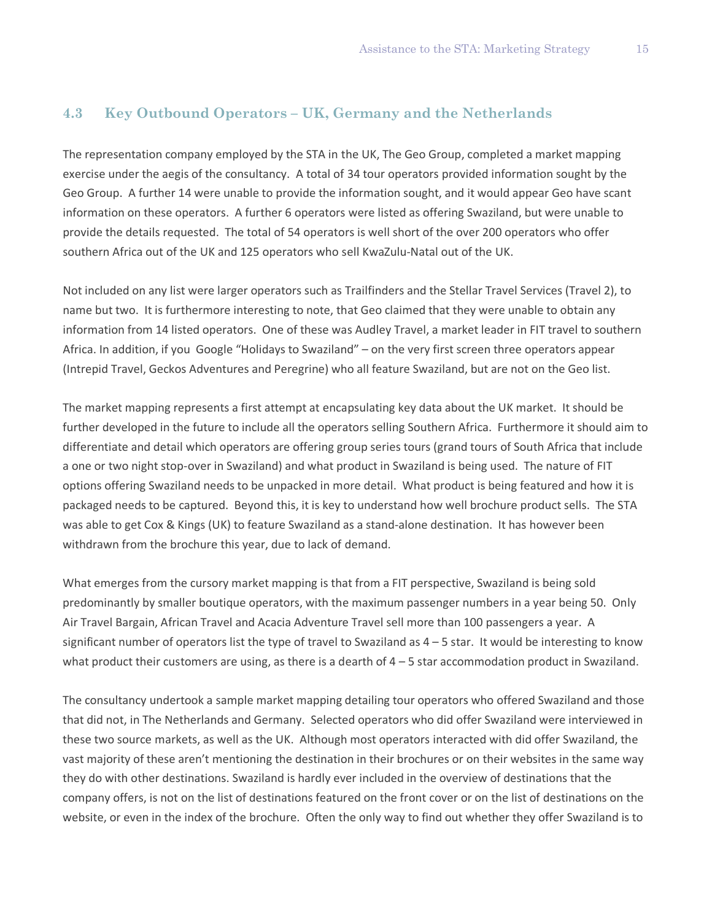## **4.3 Key Outbound Operators – UK, Germany and the Netherlands**

The representation company employed by the STA in the UK, The Geo Group, completed a market mapping exercise under the aegis of the consultancy. A total of 34 tour operators provided information sought by the Geo Group. A further 14 were unable to provide the information sought, and it would appear Geo have scant information on these operators. A further 6 operators were listed as offering Swaziland, but were unable to provide the details requested. The total of 54 operators is well short of the over 200 operators who offer southern Africa out of the UK and 125 operators who sell KwaZulu-Natal out of the UK.

Not included on any list were larger operators such as Trailfinders and the Stellar Travel Services (Travel 2), to name but two. It is furthermore interesting to note, that Geo claimed that they were unable to obtain any information from 14 listed operators. One of these was Audley Travel, a market leader in FIT travel to southern Africa. In addition, if you Google "Holidays to Swaziland" – on the very first screen three operators appear (Intrepid Travel, Geckos Adventures and Peregrine) who all feature Swaziland, but are not on the Geo list.

The market mapping represents a first attempt at encapsulating key data about the UK market. It should be further developed in the future to include all the operators selling Southern Africa. Furthermore it should aim to differentiate and detail which operators are offering group series tours (grand tours of South Africa that include a one or two night stop-over in Swaziland) and what product in Swaziland is being used. The nature of FIT options offering Swaziland needs to be unpacked in more detail. What product is being featured and how it is packaged needs to be captured. Beyond this, it is key to understand how well brochure product sells. The STA was able to get Cox & Kings (UK) to feature Swaziland as a stand-alone destination. It has however been withdrawn from the brochure this year, due to lack of demand.

What emerges from the cursory market mapping is that from a FIT perspective, Swaziland is being sold predominantly by smaller boutique operators, with the maximum passenger numbers in a year being 50. Only Air Travel Bargain, African Travel and Acacia Adventure Travel sell more than 100 passengers a year. A significant number of operators list the type of travel to Swaziland as  $4 - 5$  star. It would be interesting to know what product their customers are using, as there is a dearth of  $4 - 5$  star accommodation product in Swaziland.

The consultancy undertook a sample market mapping detailing tour operators who offered Swaziland and those that did not, in The Netherlands and Germany. Selected operators who did offer Swaziland were interviewed in these two source markets, as well as the UK. Although most operators interacted with did offer Swaziland, the vast majority of these aren't mentioning the destination in their brochures or on their websites in the same way they do with other destinations. Swaziland is hardly ever included in the overview of destinations that the company offers, is not on the list of destinations featured on the front cover or on the list of destinations on the website, or even in the index of the brochure. Often the only way to find out whether they offer Swaziland is to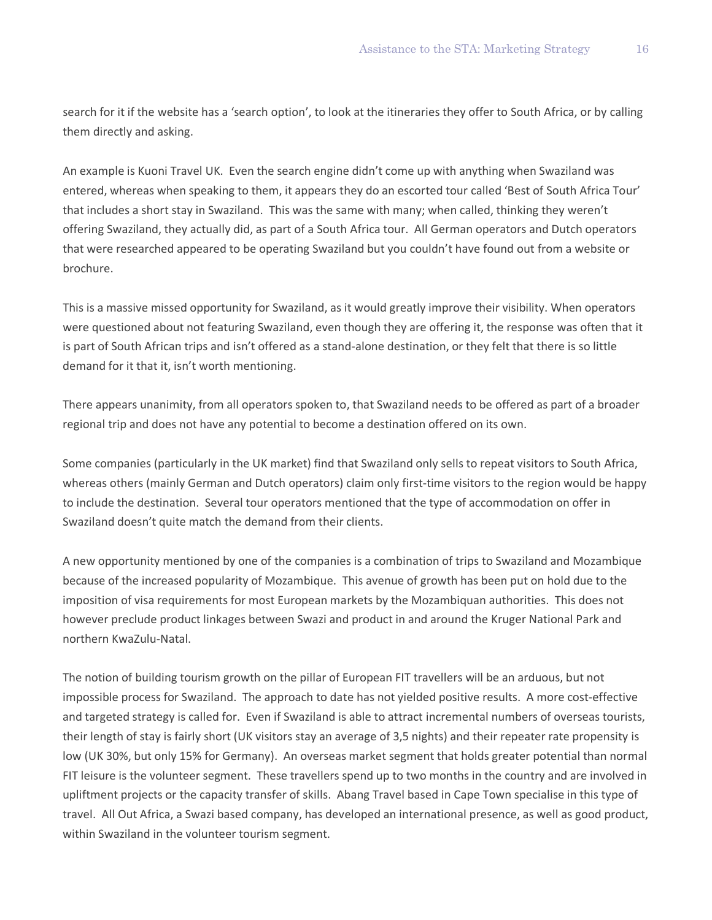search for it if the website has a 'search option', to look at the itineraries they offer to South Africa, or by calling them directly and asking.

An example is Kuoni Travel UK. Even the search engine didn't come up with anything when Swaziland was entered, whereas when speaking to them, it appears they do an escorted tour called 'Best of South Africa Tour' that includes a short stay in Swaziland. This was the same with many; when called, thinking they weren't offering Swaziland, they actually did, as part of a South Africa tour. All German operators and Dutch operators that were researched appeared to be operating Swaziland but you couldn't have found out from a website or brochure.

This is a massive missed opportunity for Swaziland, as it would greatly improve their visibility. When operators were questioned about not featuring Swaziland, even though they are offering it, the response was often that it is part of South African trips and isn't offered as a stand-alone destination, or they felt that there is so little demand for it that it, isn't worth mentioning.

There appears unanimity, from all operators spoken to, that Swaziland needs to be offered as part of a broader regional trip and does not have any potential to become a destination offered on its own.

Some companies (particularly in the UK market) find that Swaziland only sells to repeat visitors to South Africa, whereas others (mainly German and Dutch operators) claim only first-time visitors to the region would be happy to include the destination. Several tour operators mentioned that the type of accommodation on offer in Swaziland doesn't quite match the demand from their clients.

A new opportunity mentioned by one of the companies is a combination of trips to Swaziland and Mozambique because of the increased popularity of Mozambique. This avenue of growth has been put on hold due to the imposition of visa requirements for most European markets by the Mozambiquan authorities. This does not however preclude product linkages between Swazi and product in and around the Kruger National Park and northern KwaZulu-Natal.

The notion of building tourism growth on the pillar of European FIT travellers will be an arduous, but not impossible process for Swaziland. The approach to date has not yielded positive results. A more cost-effective and targeted strategy is called for. Even if Swaziland is able to attract incremental numbers of overseas tourists, their length of stay is fairly short (UK visitors stay an average of 3,5 nights) and their repeater rate propensity is low (UK 30%, but only 15% for Germany). An overseas market segment that holds greater potential than normal FIT leisure is the volunteer segment. These travellers spend up to two months in the country and are involved in upliftment projects or the capacity transfer of skills. Abang Travel based in Cape Town specialise in this type of travel. All Out Africa, a Swazi based company, has developed an international presence, as well as good product, within Swaziland in the volunteer tourism segment.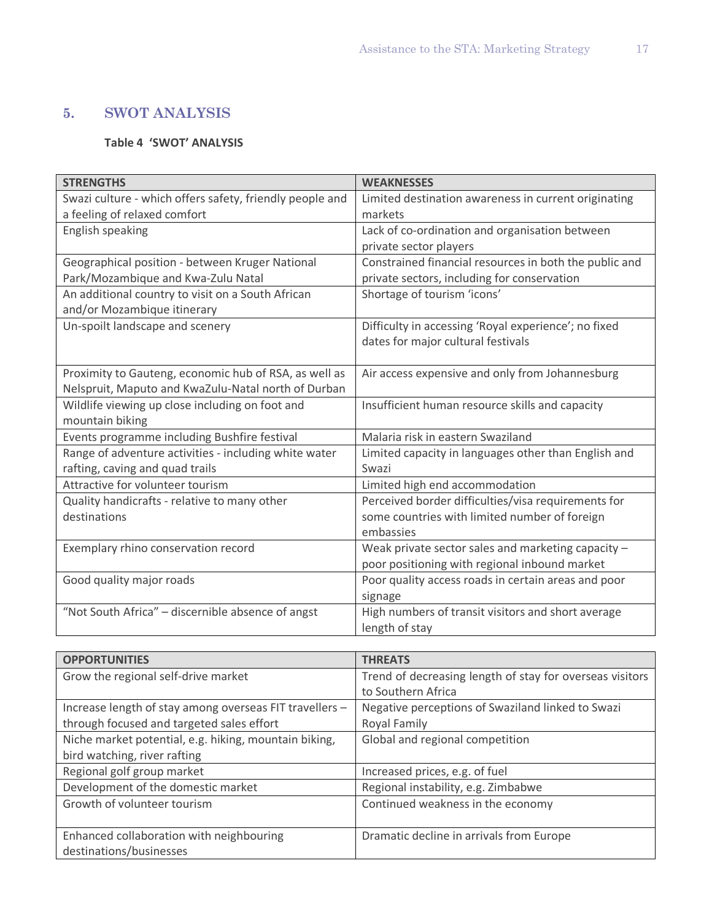# **5. SWOT ANALYSIS**

# **Table 4 'SWOT' ANALYSIS**

| <b>STRENGTHS</b>                                         | <b>WEAKNESSES</b>                                      |
|----------------------------------------------------------|--------------------------------------------------------|
| Swazi culture - which offers safety, friendly people and | Limited destination awareness in current originating   |
| a feeling of relaxed comfort                             | markets                                                |
| English speaking                                         | Lack of co-ordination and organisation between         |
|                                                          | private sector players                                 |
| Geographical position - between Kruger National          | Constrained financial resources in both the public and |
| Park/Mozambique and Kwa-Zulu Natal                       | private sectors, including for conservation            |
| An additional country to visit on a South African        | Shortage of tourism 'icons'                            |
| and/or Mozambique itinerary                              |                                                        |
| Un-spoilt landscape and scenery                          | Difficulty in accessing 'Royal experience'; no fixed   |
|                                                          | dates for major cultural festivals                     |
|                                                          |                                                        |
| Proximity to Gauteng, economic hub of RSA, as well as    | Air access expensive and only from Johannesburg        |
| Nelspruit, Maputo and KwaZulu-Natal north of Durban      |                                                        |
| Wildlife viewing up close including on foot and          | Insufficient human resource skills and capacity        |
| mountain biking                                          |                                                        |
| Events programme including Bushfire festival             | Malaria risk in eastern Swaziland                      |
| Range of adventure activities - including white water    | Limited capacity in languages other than English and   |
| rafting, caving and quad trails                          | Swazi                                                  |
| Attractive for volunteer tourism                         | Limited high end accommodation                         |
| Quality handicrafts - relative to many other             | Perceived border difficulties/visa requirements for    |
| destinations                                             | some countries with limited number of foreign          |
|                                                          | embassies                                              |
| Exemplary rhino conservation record                      | Weak private sector sales and marketing capacity -     |
|                                                          | poor positioning with regional inbound market          |
| Good quality major roads                                 | Poor quality access roads in certain areas and poor    |
|                                                          | signage                                                |
| "Not South Africa" - discernible absence of angst        | High numbers of transit visitors and short average     |
|                                                          | length of stay                                         |

| <b>OPPORTUNITIES</b>                                    | <b>THREATS</b>                                           |
|---------------------------------------------------------|----------------------------------------------------------|
| Grow the regional self-drive market                     | Trend of decreasing length of stay for overseas visitors |
|                                                         | to Southern Africa                                       |
| Increase length of stay among overseas FIT travellers - | Negative perceptions of Swaziland linked to Swazi        |
| through focused and targeted sales effort               | Royal Family                                             |
| Niche market potential, e.g. hiking, mountain biking,   | Global and regional competition                          |
| bird watching, river rafting                            |                                                          |
| Regional golf group market                              | Increased prices, e.g. of fuel                           |
| Development of the domestic market                      | Regional instability, e.g. Zimbabwe                      |
| Growth of volunteer tourism                             | Continued weakness in the economy                        |
|                                                         |                                                          |
| Enhanced collaboration with neighbouring                | Dramatic decline in arrivals from Europe                 |
| destinations/businesses                                 |                                                          |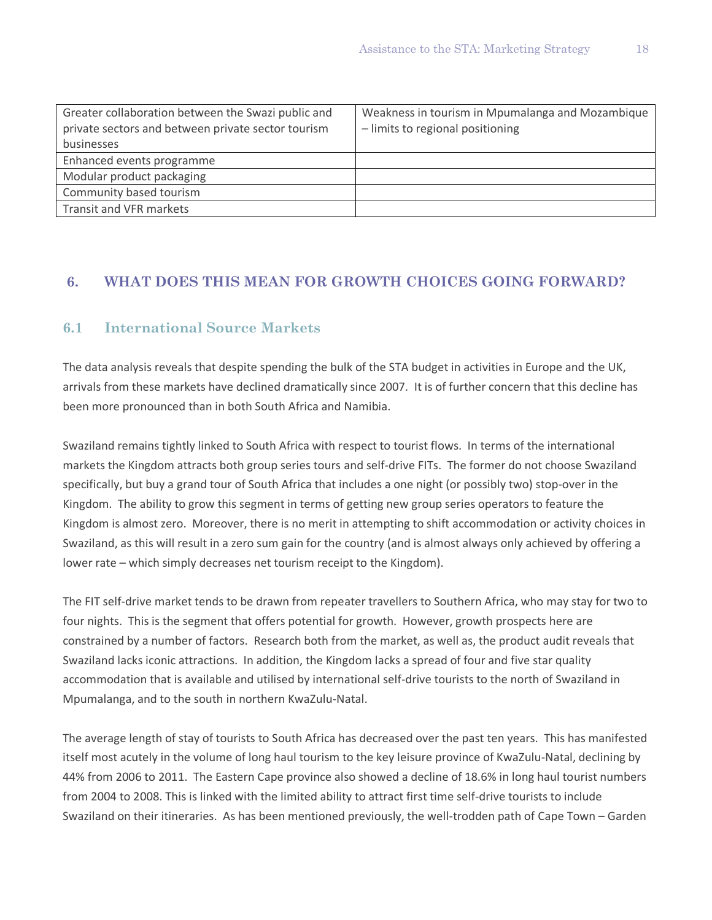| Greater collaboration between the Swazi public and | Weakness in tourism in Mpumalanga and Mozambique |
|----------------------------------------------------|--------------------------------------------------|
| private sectors and between private sector tourism | - limits to regional positioning                 |
| businesses                                         |                                                  |
| Enhanced events programme                          |                                                  |
| Modular product packaging                          |                                                  |
| Community based tourism                            |                                                  |
| Transit and VFR markets                            |                                                  |

# **6. WHAT DOES THIS MEAN FOR GROWTH CHOICES GOING FORWARD?**

# **6.1 International Source Markets**

The data analysis reveals that despite spending the bulk of the STA budget in activities in Europe and the UK, arrivals from these markets have declined dramatically since 2007. It is of further concern that this decline has been more pronounced than in both South Africa and Namibia.

Swaziland remains tightly linked to South Africa with respect to tourist flows. In terms of the international markets the Kingdom attracts both group series tours and self-drive FITs. The former do not choose Swaziland specifically, but buy a grand tour of South Africa that includes a one night (or possibly two) stop-over in the Kingdom. The ability to grow this segment in terms of getting new group series operators to feature the Kingdom is almost zero. Moreover, there is no merit in attempting to shift accommodation or activity choices in Swaziland, as this will result in a zero sum gain for the country (and is almost always only achieved by offering a lower rate – which simply decreases net tourism receipt to the Kingdom).

The FIT self-drive market tends to be drawn from repeater travellers to Southern Africa, who may stay for two to four nights. This is the segment that offers potential for growth. However, growth prospects here are constrained by a number of factors. Research both from the market, as well as, the product audit reveals that Swaziland lacks iconic attractions. In addition, the Kingdom lacks a spread of four and five star quality accommodation that is available and utilised by international self-drive tourists to the north of Swaziland in Mpumalanga, and to the south in northern KwaZulu-Natal.

The average length of stay of tourists to South Africa has decreased over the past ten years. This has manifested itself most acutely in the volume of long haul tourism to the key leisure province of KwaZulu-Natal, declining by 44% from 2006 to 2011. The Eastern Cape province also showed a decline of 18.6% in long haul tourist numbers from 2004 to 2008. This is linked with the limited ability to attract first time self-drive tourists to include Swaziland on their itineraries. As has been mentioned previously, the well-trodden path of Cape Town – Garden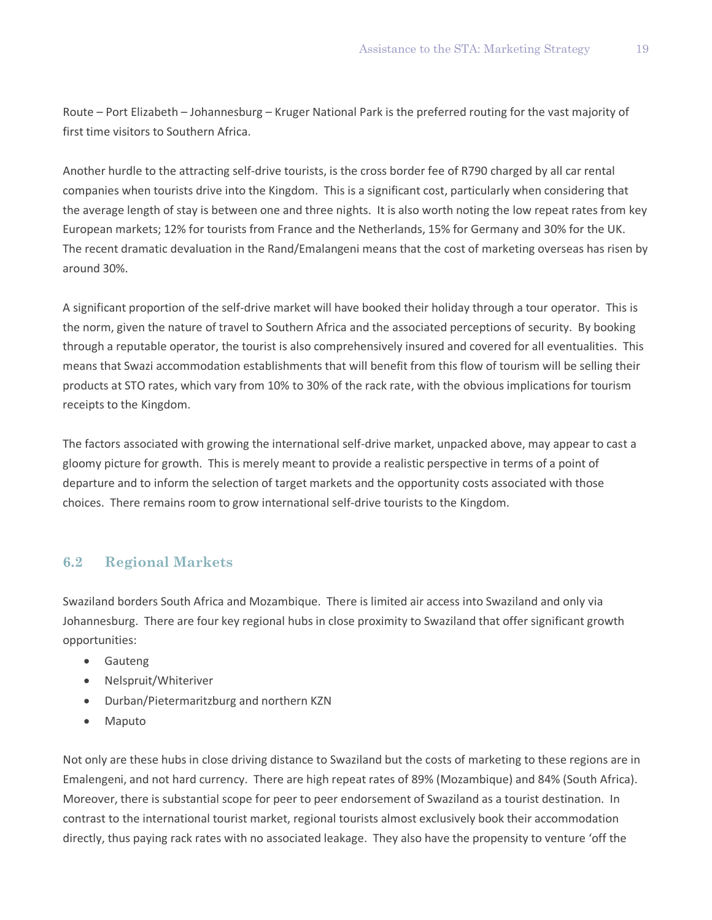Route – Port Elizabeth – Johannesburg – Kruger National Park is the preferred routing for the vast majority of first time visitors to Southern Africa.

Another hurdle to the attracting self-drive tourists, is the cross border fee of R790 charged by all car rental companies when tourists drive into the Kingdom. This is a significant cost, particularly when considering that the average length of stay is between one and three nights. It is also worth noting the low repeat rates from key European markets; 12% for tourists from France and the Netherlands, 15% for Germany and 30% for the UK. The recent dramatic devaluation in the Rand/Emalangeni means that the cost of marketing overseas has risen by around 30%.

A significant proportion of the self-drive market will have booked their holiday through a tour operator. This is the norm, given the nature of travel to Southern Africa and the associated perceptions of security. By booking through a reputable operator, the tourist is also comprehensively insured and covered for all eventualities. This means that Swazi accommodation establishments that will benefit from this flow of tourism will be selling their products at STO rates, which vary from 10% to 30% of the rack rate, with the obvious implications for tourism receipts to the Kingdom.

The factors associated with growing the international self-drive market, unpacked above, may appear to cast a gloomy picture for growth. This is merely meant to provide a realistic perspective in terms of a point of departure and to inform the selection of target markets and the opportunity costs associated with those choices. There remains room to grow international self-drive tourists to the Kingdom.

# **6.2 Regional Markets**

Swaziland borders South Africa and Mozambique. There is limited air access into Swaziland and only via Johannesburg. There are four key regional hubs in close proximity to Swaziland that offer significant growth opportunities:

- Gauteng
- Nelspruit/Whiteriver
- Durban/Pietermaritzburg and northern KZN
- Maputo

Not only are these hubs in close driving distance to Swaziland but the costs of marketing to these regions are in Emalengeni, and not hard currency. There are high repeat rates of 89% (Mozambique) and 84% (South Africa). Moreover, there is substantial scope for peer to peer endorsement of Swaziland as a tourist destination. In contrast to the international tourist market, regional tourists almost exclusively book their accommodation directly, thus paying rack rates with no associated leakage. They also have the propensity to venture 'off the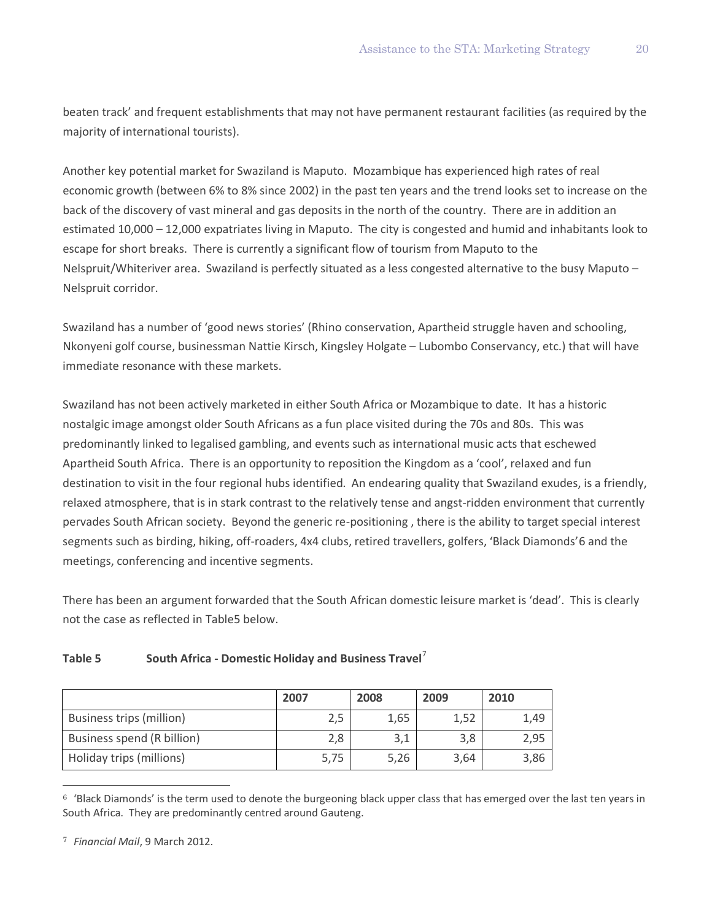beaten track' and frequent establishments that may not have permanent restaurant facilities (as required by the majority of international tourists).

Another key potential market for Swaziland is Maputo. Mozambique has experienced high rates of real economic growth (between 6% to 8% since 2002) in the past ten years and the trend looks set to increase on the back of the discovery of vast mineral and gas deposits in the north of the country. There are in addition an estimated 10,000 – 12,000 expatriates living in Maputo. The city is congested and humid and inhabitants look to escape for short breaks. There is currently a significant flow of tourism from Maputo to the Nelspruit/Whiteriver area. Swaziland is perfectly situated as a less congested alternative to the busy Maputo – Nelspruit corridor.

Swaziland has a number of 'good news stories' (Rhino conservation, Apartheid struggle haven and schooling, Nkonyeni golf course, businessman Nattie Kirsch, Kingsley Holgate – Lubombo Conservancy, etc.) that will have immediate resonance with these markets.

Swaziland has not been actively marketed in either South Africa or Mozambique to date. It has a historic nostalgic image amongst older South Africans as a fun place visited during the 70s and 80s. This was predominantly linked to legalised gambling, and events such as international music acts that eschewed Apartheid South Africa. There is an opportunity to reposition the Kingdom as a 'cool', relaxed and fun destination to visit in the four regional hubs identified. An endearing quality that Swaziland exudes, is a friendly, relaxed atmosphere, that is in stark contrast to the relatively tense and angst-ridden environment that currently pervades South African society. Beyond the generic re-positioning , there is the ability to target special interest segments such as birding, hiking, off-roaders, 4x4 clubs, retired travellers, golfers, 'Black Diamonds'[6](#page-21-0) and the meetings, conferencing and incentive segments.

There has been an argument forwarded that the South African domestic leisure market is 'dead'. This is clearly not the case as reflected in Table5 below.

### **Table 5 South Africa - Domestic Holiday and Business Travel**[7](#page-21-1)

|                            | 2007 | 2008 | 2009 | 2010 |
|----------------------------|------|------|------|------|
| Business trips (million)   | 2,5  | 1,65 | 1,52 | 1.49 |
| Business spend (R billion) | 2,8  | 3,1  | 3,8  | 2,95 |
| Holiday trips (millions)   | 5,75 | 5,26 | 3,64 | 3,86 |

<span id="page-21-0"></span> $6$  'Black Diamonds' is the term used to denote the burgeoning black upper class that has emerged over the last ten years in South Africa. They are predominantly centred around Gauteng.

 $\overline{a}$ 

<span id="page-21-1"></span><sup>7</sup> *Financial Mail*, 9 March 2012.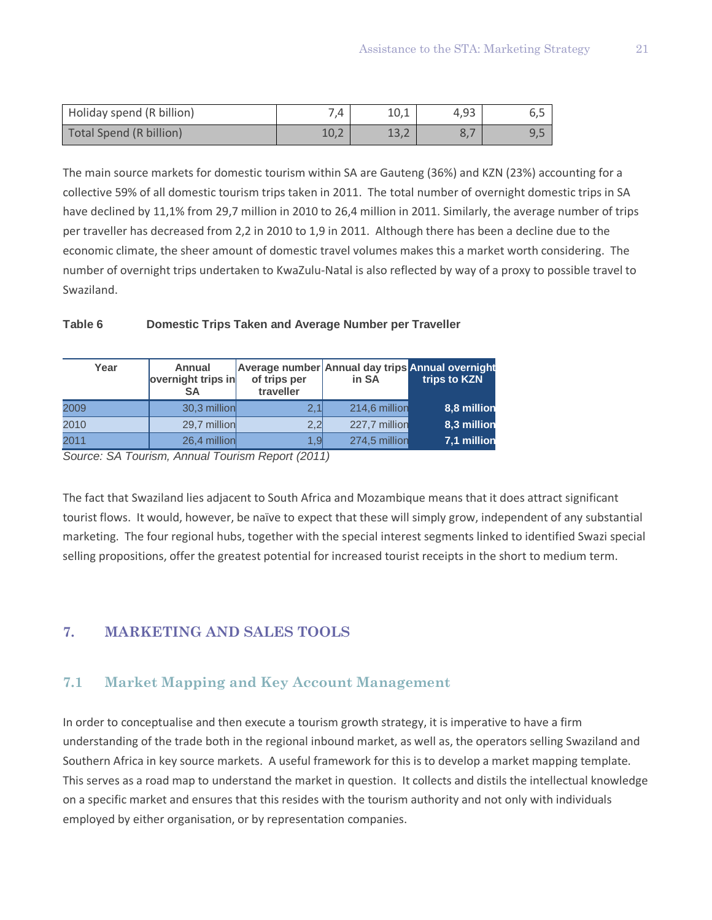| Holiday spend (R billion) | 7.4  |      | 4.93 | ◡,◡ |
|---------------------------|------|------|------|-----|
| Total Spend (R billion)   | 10,2 | 1J,Z |      | しょつ |

The main source markets for domestic tourism within SA are Gauteng (36%) and KZN (23%) accounting for a collective 59% of all domestic tourism trips taken in 2011. The total number of overnight domestic trips in SA have declined by 11,1% from 29,7 million in 2010 to 26,4 million in 2011. Similarly, the average number of trips per traveller has decreased from 2,2 in 2010 to 1,9 in 2011. Although there has been a decline due to the economic climate, the sheer amount of domestic travel volumes makes this a market worth considering. The number of overnight trips undertaken to KwaZulu-Natal is also reflected by way of a proxy to possible travel to Swaziland.

#### **Table 6 Domestic Trips Taken and Average Number per Traveller**

| Year | Annual<br>overnight trips in<br>SΑ | of trips per<br>traveller | in SA         | Average number Annual day trips Annual overnight<br>trips to KZN |
|------|------------------------------------|---------------------------|---------------|------------------------------------------------------------------|
| 2009 | 30,3 million                       | 2.1                       | 214,6 million | 8,8 million                                                      |
| 2010 | 29,7 million                       | 2.2                       | 227,7 million | 8,3 million                                                      |
| 2011 | 26,4 million                       | 1.9                       | 274,5 million | 7,1 million                                                      |

*Source: SA Tourism, Annual Tourism Report (2011)*

The fact that Swaziland lies adjacent to South Africa and Mozambique means that it does attract significant tourist flows. It would, however, be naïve to expect that these will simply grow, independent of any substantial marketing. The four regional hubs, together with the special interest segments linked to identified Swazi special selling propositions, offer the greatest potential for increased tourist receipts in the short to medium term.

# **7. MARKETING AND SALES TOOLS**

# **7.1 Market Mapping and Key Account Management**

In order to conceptualise and then execute a tourism growth strategy, it is imperative to have a firm understanding of the trade both in the regional inbound market, as well as, the operators selling Swaziland and Southern Africa in key source markets. A useful framework for this is to develop a market mapping template. This serves as a road map to understand the market in question. It collects and distils the intellectual knowledge on a specific market and ensures that this resides with the tourism authority and not only with individuals employed by either organisation, or by representation companies.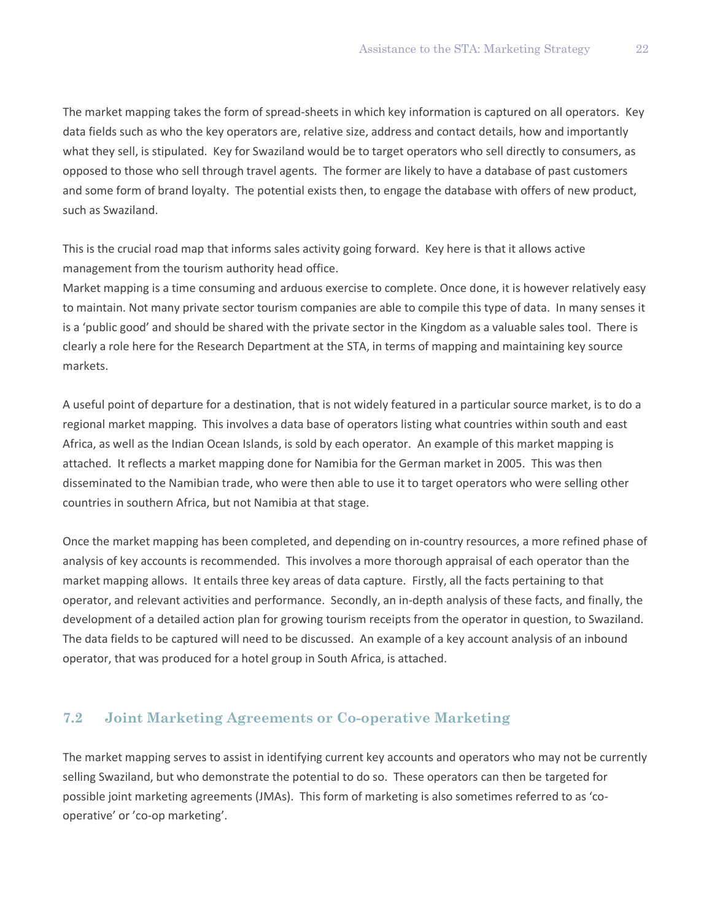The market mapping takes the form of spread-sheets in which key information is captured on all operators. Key data fields such as who the key operators are, relative size, address and contact details, how and importantly what they sell, is stipulated. Key for Swaziland would be to target operators who sell directly to consumers, as opposed to those who sell through travel agents. The former are likely to have a database of past customers and some form of brand loyalty. The potential exists then, to engage the database with offers of new product, such as Swaziland.

This is the crucial road map that informs sales activity going forward. Key here is that it allows active management from the tourism authority head office.

Market mapping is a time consuming and arduous exercise to complete. Once done, it is however relatively easy to maintain. Not many private sector tourism companies are able to compile this type of data. In many senses it is a 'public good' and should be shared with the private sector in the Kingdom as a valuable sales tool. There is clearly a role here for the Research Department at the STA, in terms of mapping and maintaining key source markets.

A useful point of departure for a destination, that is not widely featured in a particular source market, is to do a regional market mapping. This involves a data base of operators listing what countries within south and east Africa, as well as the Indian Ocean Islands, is sold by each operator. An example of this market mapping is attached. It reflects a market mapping done for Namibia for the German market in 2005. This was then disseminated to the Namibian trade, who were then able to use it to target operators who were selling other countries in southern Africa, but not Namibia at that stage.

Once the market mapping has been completed, and depending on in-country resources, a more refined phase of analysis of key accounts is recommended. This involves a more thorough appraisal of each operator than the market mapping allows. It entails three key areas of data capture. Firstly, all the facts pertaining to that operator, and relevant activities and performance. Secondly, an in-depth analysis of these facts, and finally, the development of a detailed action plan for growing tourism receipts from the operator in question, to Swaziland. The data fields to be captured will need to be discussed. An example of a key account analysis of an inbound operator, that was produced for a hotel group in South Africa, is attached.

# **7.2 Joint Marketing Agreements or Co-operative Marketing**

The market mapping serves to assist in identifying current key accounts and operators who may not be currently selling Swaziland, but who demonstrate the potential to do so. These operators can then be targeted for possible joint marketing agreements (JMAs). This form of marketing is also sometimes referred to as 'cooperative' or 'co-op marketing'.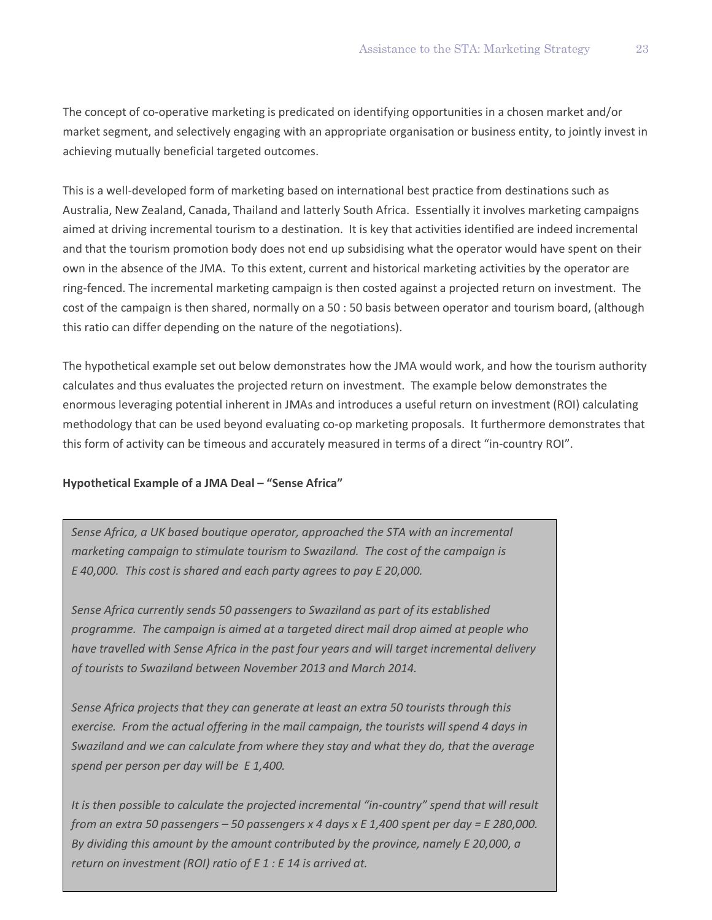The concept of co-operative marketing is predicated on identifying opportunities in a chosen market and/or market segment, and selectively engaging with an appropriate organisation or business entity, to jointly invest in achieving mutually beneficial targeted outcomes.

This is a well-developed form of marketing based on international best practice from destinations such as Australia, New Zealand, Canada, Thailand and latterly South Africa. Essentially it involves marketing campaigns aimed at driving incremental tourism to a destination. It is key that activities identified are indeed incremental and that the tourism promotion body does not end up subsidising what the operator would have spent on their own in the absence of the JMA. To this extent, current and historical marketing activities by the operator are ring-fenced. The incremental marketing campaign is then costed against a projected return on investment. The cost of the campaign is then shared, normally on a 50 : 50 basis between operator and tourism board, (although this ratio can differ depending on the nature of the negotiations).

The hypothetical example set out below demonstrates how the JMA would work, and how the tourism authority calculates and thus evaluates the projected return on investment. The example below demonstrates the enormous leveraging potential inherent in JMAs and introduces a useful return on investment (ROI) calculating methodology that can be used beyond evaluating co-op marketing proposals. It furthermore demonstrates that this form of activity can be timeous and accurately measured in terms of a direct "in-country ROI".

#### **Hypothetical Example of a JMA Deal – "Sense Africa"**

*Sense Africa, a UK based boutique operator, approached the STA with an incremental marketing campaign to stimulate tourism to Swaziland. The cost of the campaign is E 40,000. This cost is shared and each party agrees to pay E 20,000.*

*Sense Africa currently sends 50 passengers to Swaziland as part of its established programme. The campaign is aimed at a targeted direct mail drop aimed at people who have travelled with Sense Africa in the past four years and will target incremental delivery of tourists to Swaziland between November 2013 and March 2014.* 

*Sense Africa projects that they can generate at least an extra 50 tourists through this exercise. From the actual offering in the mail campaign, the tourists will spend 4 days in Swaziland and we can calculate from where they stay and what they do, that the average spend per person per day will be E 1,400.* 

*It is then possible to calculate the projected incremental "in-country" spend that will result from an extra 50 passengers – 50 passengers x 4 days x E 1,400 spent per day = E 280,000. By dividing this amount by the amount contributed by the province, namely E 20,000, a return on investment (ROI) ratio of E 1 : E 14 is arrived at.*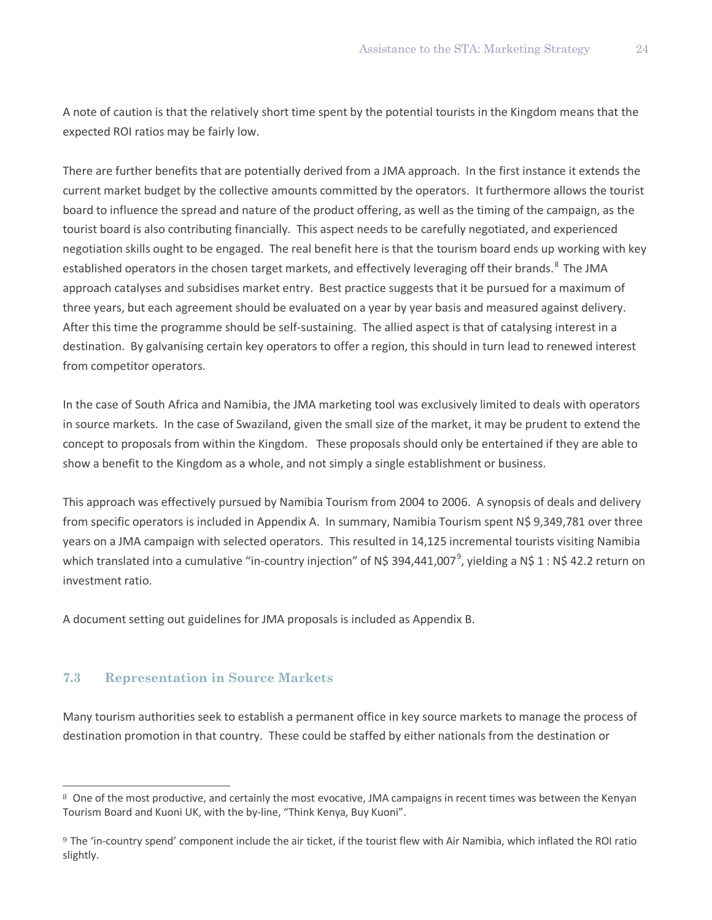A note of caution is that the relatively short time spent by the potential tourists in the Kingdom means that the expected ROI ratios may be fairly low.

There are further benefits that are potentially derived from a JMA approach. In the first instance it extends the current market budget by the collective amounts committed by the operators. It furthermore allows the tourist board to influence the spread and nature of the product offering, as well as the timing of the campaign, as the tourist board is also contributing financially. This aspect needs to be carefully negotiated, and experienced negotiation skills ought to be engaged. The real benefit here is that the tourism board ends up working with key established operators in the chosen target markets, and effectively leveraging off their brands.<sup>[8](#page-25-0)</sup> The JMA approach catalyses and subsidises market entry. Best practice suggests that it be pursued for a maximum of three years, but each agreement should be evaluated on a year by year basis and measured against delivery. After this time the programme should be self-sustaining. The allied aspect is that of catalysing interest in a destination. By galvanising certain key operators to offer a region, this should in turn lead to renewed interest from competitor operators.

In the case of South Africa and Namibia, the JMA marketing tool was exclusively limited to deals with operators in source markets. In the case of Swaziland, given the small size of the market, it may be prudent to extend the concept to proposals from within the Kingdom. These proposals should only be entertained if they are able to show a benefit to the Kingdom as a whole, and not simply a single establishment or business.

This approach was effectively pursued by Namibia Tourism from 2004 to 2006. A synopsis of deals and delivery from specific operators is included in Appendix A. In summary, Namibia Tourism spent N\$ 9,349,781 over three years on a JMA campaign with selected operators. This resulted in 14,125 incremental tourists visiting Namibia which translated into a cumulative "in-country injection" of N\$ 3[9](#page-25-1)4,441,007<sup>9</sup>, yielding a N\$ 1 : N\$ 42.2 return on investment ratio.

A document setting out guidelines for JMA proposals is included as Appendix B.

### **7.3 Representation in Source Markets**

 $\overline{a}$ 

Many tourism authorities seek to establish a permanent office in key source markets to manage the process of destination promotion in that country. These could be staffed by either nationals from the destination or

<span id="page-25-0"></span><sup>8</sup> One of the most productive, and certainly the most evocative, JMA campaigns in recent times was between the Kenyan Tourism Board and Kuoni UK, with the by-line, "Think Kenya, Buy Kuoni".

<span id="page-25-1"></span><sup>9</sup> The 'in-country spend' component include the air ticket, if the tourist flew with Air Namibia, which inflated the ROI ratio slightly.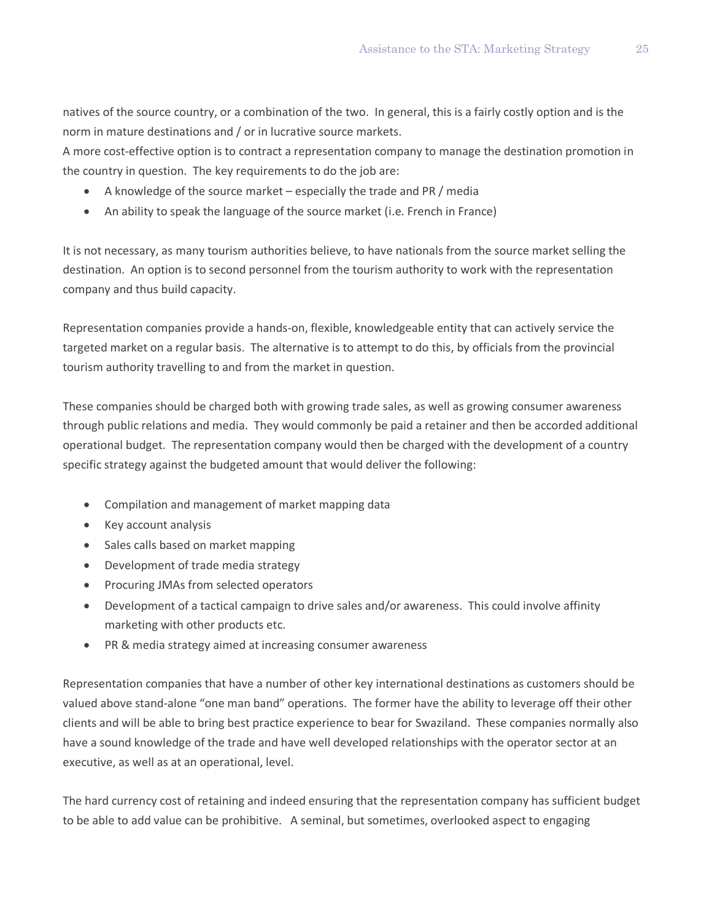natives of the source country, or a combination of the two. In general, this is a fairly costly option and is the norm in mature destinations and / or in lucrative source markets.

A more cost-effective option is to contract a representation company to manage the destination promotion in the country in question. The key requirements to do the job are:

- A knowledge of the source market especially the trade and PR / media
- An ability to speak the language of the source market (i.e. French in France)

It is not necessary, as many tourism authorities believe, to have nationals from the source market selling the destination. An option is to second personnel from the tourism authority to work with the representation company and thus build capacity.

Representation companies provide a hands-on, flexible, knowledgeable entity that can actively service the targeted market on a regular basis. The alternative is to attempt to do this, by officials from the provincial tourism authority travelling to and from the market in question.

These companies should be charged both with growing trade sales, as well as growing consumer awareness through public relations and media. They would commonly be paid a retainer and then be accorded additional operational budget. The representation company would then be charged with the development of a country specific strategy against the budgeted amount that would deliver the following:

- Compilation and management of market mapping data
- Key account analysis
- Sales calls based on market mapping
- Development of trade media strategy
- Procuring JMAs from selected operators
- Development of a tactical campaign to drive sales and/or awareness. This could involve affinity marketing with other products etc.
- PR & media strategy aimed at increasing consumer awareness

Representation companies that have a number of other key international destinations as customers should be valued above stand-alone "one man band" operations. The former have the ability to leverage off their other clients and will be able to bring best practice experience to bear for Swaziland. These companies normally also have a sound knowledge of the trade and have well developed relationships with the operator sector at an executive, as well as at an operational, level.

The hard currency cost of retaining and indeed ensuring that the representation company has sufficient budget to be able to add value can be prohibitive. A seminal, but sometimes, overlooked aspect to engaging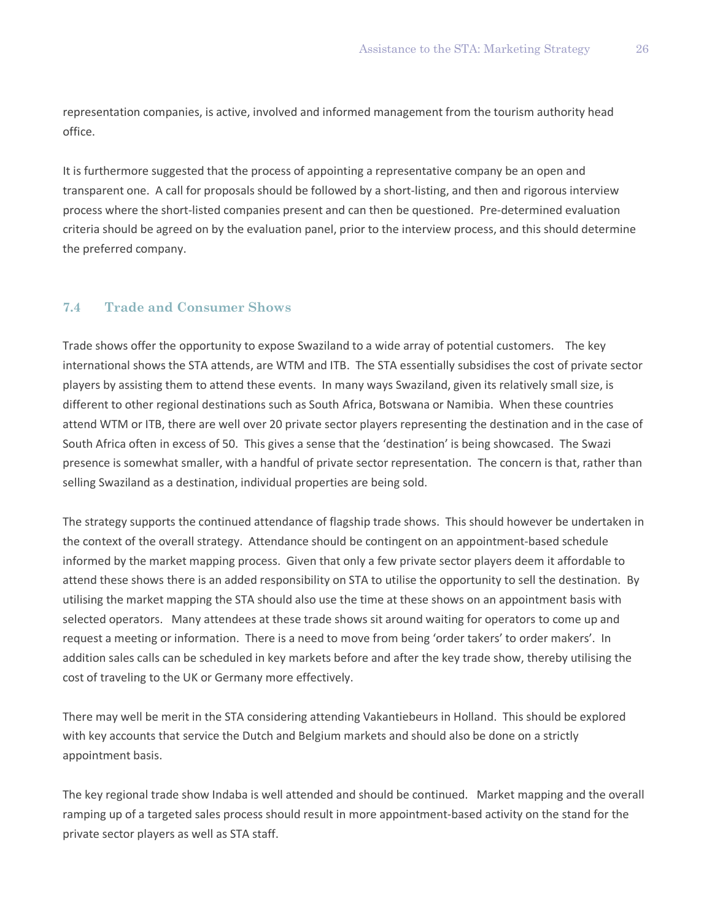representation companies, is active, involved and informed management from the tourism authority head office.

It is furthermore suggested that the process of appointing a representative company be an open and transparent one. A call for proposals should be followed by a short-listing, and then and rigorous interview process where the short-listed companies present and can then be questioned. Pre-determined evaluation criteria should be agreed on by the evaluation panel, prior to the interview process, and this should determine the preferred company.

### **7.4 Trade and Consumer Shows**

Trade shows offer the opportunity to expose Swaziland to a wide array of potential customers. The key international shows the STA attends, are WTM and ITB. The STA essentially subsidises the cost of private sector players by assisting them to attend these events. In many ways Swaziland, given its relatively small size, is different to other regional destinations such as South Africa, Botswana or Namibia. When these countries attend WTM or ITB, there are well over 20 private sector players representing the destination and in the case of South Africa often in excess of 50. This gives a sense that the 'destination' is being showcased. The Swazi presence is somewhat smaller, with a handful of private sector representation. The concern is that, rather than selling Swaziland as a destination, individual properties are being sold.

The strategy supports the continued attendance of flagship trade shows. This should however be undertaken in the context of the overall strategy. Attendance should be contingent on an appointment-based schedule informed by the market mapping process. Given that only a few private sector players deem it affordable to attend these shows there is an added responsibility on STA to utilise the opportunity to sell the destination. By utilising the market mapping the STA should also use the time at these shows on an appointment basis with selected operators. Many attendees at these trade shows sit around waiting for operators to come up and request a meeting or information. There is a need to move from being 'order takers' to order makers'. In addition sales calls can be scheduled in key markets before and after the key trade show, thereby utilising the cost of traveling to the UK or Germany more effectively.

There may well be merit in the STA considering attending Vakantiebeurs in Holland. This should be explored with key accounts that service the Dutch and Belgium markets and should also be done on a strictly appointment basis.

The key regional trade show Indaba is well attended and should be continued. Market mapping and the overall ramping up of a targeted sales process should result in more appointment-based activity on the stand for the private sector players as well as STA staff.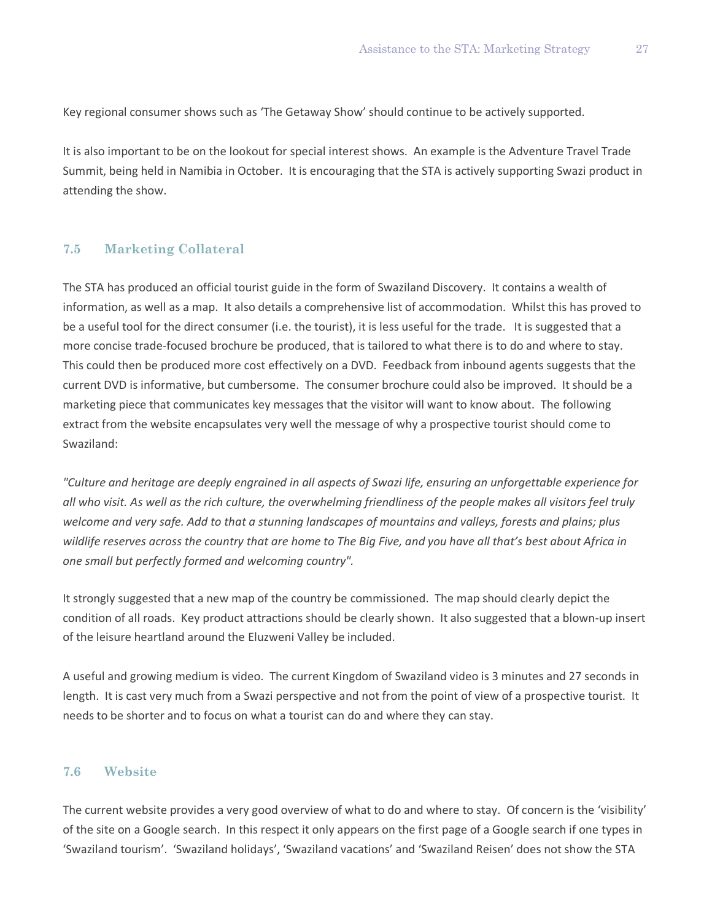Key regional consumer shows such as 'The Getaway Show' should continue to be actively supported.

It is also important to be on the lookout for special interest shows. An example is the Adventure Travel Trade Summit, being held in Namibia in October. It is encouraging that the STA is actively supporting Swazi product in attending the show.

### **7.5 Marketing Collateral**

The STA has produced an official tourist guide in the form of Swaziland Discovery. It contains a wealth of information, as well as a map. It also details a comprehensive list of accommodation. Whilst this has proved to be a useful tool for the direct consumer (i.e. the tourist), it is less useful for the trade. It is suggested that a more concise trade-focused brochure be produced, that is tailored to what there is to do and where to stay. This could then be produced more cost effectively on a DVD. Feedback from inbound agents suggests that the current DVD is informative, but cumbersome. The consumer brochure could also be improved. It should be a marketing piece that communicates key messages that the visitor will want to know about. The following extract from the website encapsulates very well the message of why a prospective tourist should come to Swaziland:

*"Culture and heritage are deeply engrained in all aspects of Swazi life, ensuring an unforgettable experience for all who visit. As well as the rich culture, the overwhelming friendliness of the people makes all visitors feel truly welcome and very safe. Add to that a stunning landscapes of mountains and valleys, forests and plains; plus wildlife reserves across the country that are home to The Big Five, and you have all that's best about Africa in one small but perfectly formed and welcoming country".*

It strongly suggested that a new map of the country be commissioned. The map should clearly depict the condition of all roads. Key product attractions should be clearly shown. It also suggested that a blown-up insert of the leisure heartland around the Eluzweni Valley be included.

A useful and growing medium is video. The current Kingdom of Swaziland video is 3 minutes and 27 seconds in length. It is cast very much from a Swazi perspective and not from the point of view of a prospective tourist. It needs to be shorter and to focus on what a tourist can do and where they can stay.

#### **7.6 Website**

The current website provides a very good overview of what to do and where to stay. Of concern is the 'visibility' of the site on a Google search. In this respect it only appears on the first page of a Google search if one types in 'Swaziland tourism'. 'Swaziland holidays', 'Swaziland vacations' and 'Swaziland Reisen' does not show the STA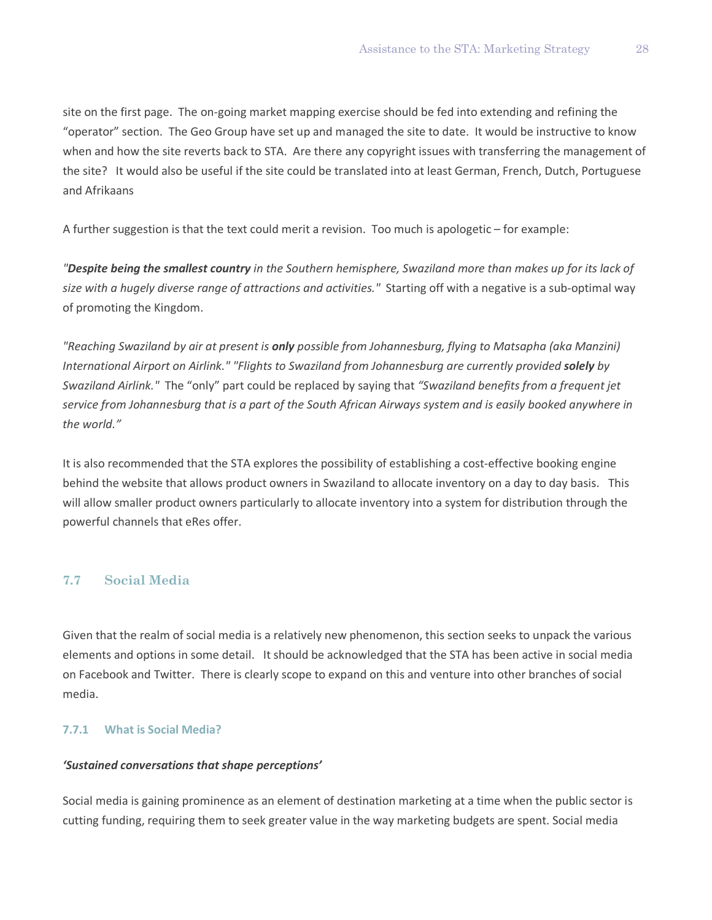site on the first page. The on-going market mapping exercise should be fed into extending and refining the "operator" section. The Geo Group have set up and managed the site to date. It would be instructive to know when and how the site reverts back to STA. Are there any copyright issues with transferring the management of the site? It would also be useful if the site could be translated into at least German, French, Dutch, Portuguese and Afrikaans

A further suggestion is that the text could merit a revision. Too much is apologetic – for example:

*"Despite being the smallest country in the Southern hemisphere, Swaziland more than makes up for its lack of size with a hugely diverse range of attractions and activities."* Starting off with a negative is a sub-optimal way of promoting the Kingdom.

*"Reaching Swaziland by air at present is only possible from Johannesburg, flying to Matsapha (aka Manzini) International Airport on Airlink." "Flights to Swaziland from Johannesburg are currently provided solely by Swaziland Airlink."* The "only" part could be replaced by saying that *"Swaziland benefits from a frequent jet service from Johannesburg that is a part of the South African Airways system and is easily booked anywhere in the world."*

It is also recommended that the STA explores the possibility of establishing a cost-effective booking engine behind the website that allows product owners in Swaziland to allocate inventory on a day to day basis. This will allow smaller product owners particularly to allocate inventory into a system for distribution through the powerful channels that eRes offer.

### **7.7 Social Media**

Given that the realm of social media is a relatively new phenomenon, this section seeks to unpack the various elements and options in some detail. It should be acknowledged that the STA has been active in social media on Facebook and Twitter. There is clearly scope to expand on this and venture into other branches of social media.

### **7.7.1 What is Social Media?**

#### *'Sustained conversations that shape perceptions'*

Social media is gaining prominence as an element of destination marketing at a time when the public sector is cutting funding, requiring them to seek greater value in the way marketing budgets are spent. Social media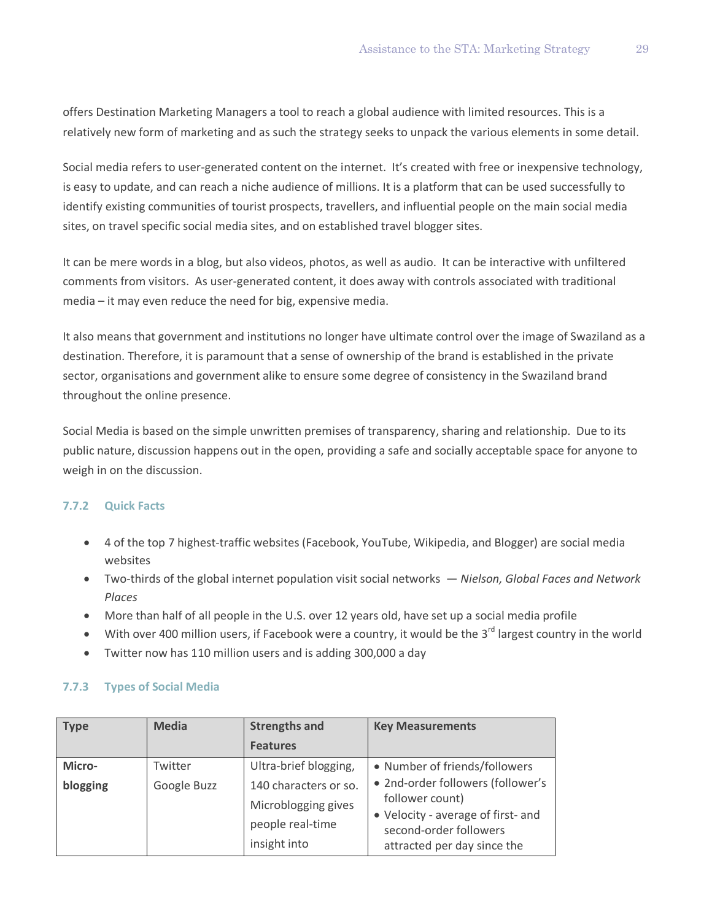offers Destination Marketing Managers a tool to reach a global audience with limited resources. This is a relatively new form of marketing and as such the strategy seeks to unpack the various elements in some detail.

Social media refers to user-generated content on the internet. It's created with free or inexpensive technology, is easy to update, and can reach a niche audience of millions. It is a platform that can be used successfully to identify existing communities of tourist prospects, travellers, and influential people on the main social media sites, on travel specific social media sites, and on established travel blogger sites.

It can be mere words in a blog, but also videos, photos, as well as audio. It can be interactive with unfiltered comments from visitors. As user-generated content, it does away with controls associated with traditional media – it may even reduce the need for big, expensive media.

It also means that government and institutions no longer have ultimate control over the image of Swaziland as a destination. Therefore, it is paramount that a sense of ownership of the brand is established in the private sector, organisations and government alike to ensure some degree of consistency in the Swaziland brand throughout the online presence.

Social Media is based on the simple unwritten premises of transparency, sharing and relationship. Due to its public nature, discussion happens out in the open, providing a safe and socially acceptable space for anyone to weigh in on the discussion.

### **7.7.2 Quick Facts**

- 4 of the top 7 highest-traffic websites (Facebook, YouTube, Wikipedia, and Blogger) are social media websites
- Two-thirds of the global internet population visit social networks *Nielson, Global Faces and Network Places*
- More than half of all people in the U.S. over 12 years old, have set up a social media profile
- With over 400 million users, if Facebook were a country, it would be the 3<sup>rd</sup> largest country in the world
- Twitter now has 110 million users and is adding 300,000 a day

### **7.7.3 Types of Social Media**

| <b>Type</b> | <b>Media</b> | <b>Strengths and</b>  | <b>Key Measurements</b>                                      |
|-------------|--------------|-----------------------|--------------------------------------------------------------|
|             |              | <b>Features</b>       |                                                              |
| Micro-      | Twitter      | Ultra-brief blogging, | • Number of friends/followers                                |
| blogging    | Google Buzz  | 140 characters or so. | • 2nd-order followers (follower's                            |
|             |              | Microblogging gives   | follower count)                                              |
|             |              | people real-time      | • Velocity - average of first- and<br>second-order followers |
|             |              | insight into          | attracted per day since the                                  |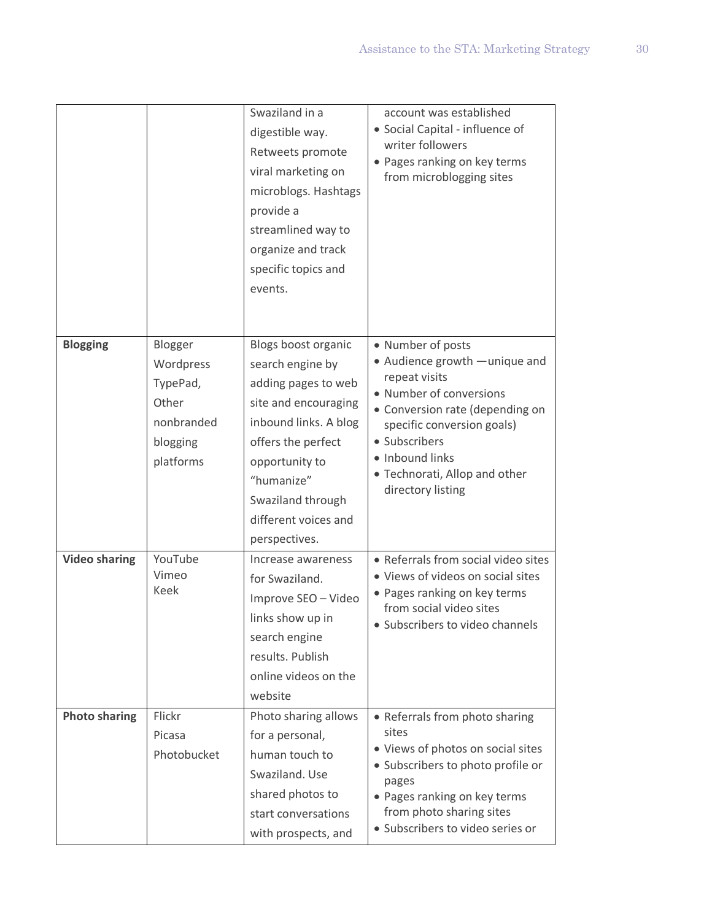|                      |                                                                                  | Swaziland in a<br>digestible way.<br>Retweets promote<br>viral marketing on<br>microblogs. Hashtags<br>provide a<br>streamlined way to<br>organize and track<br>specific topics and<br>events.                                      | account was established<br>• Social Capital - influence of<br>writer followers<br>• Pages ranking on key terms<br>from microblogging sites                                                                                                                 |
|----------------------|----------------------------------------------------------------------------------|-------------------------------------------------------------------------------------------------------------------------------------------------------------------------------------------------------------------------------------|------------------------------------------------------------------------------------------------------------------------------------------------------------------------------------------------------------------------------------------------------------|
| <b>Blogging</b>      | Blogger<br>Wordpress<br>TypePad,<br>Other<br>nonbranded<br>blogging<br>platforms | Blogs boost organic<br>search engine by<br>adding pages to web<br>site and encouraging<br>inbound links. A blog<br>offers the perfect<br>opportunity to<br>"humanize"<br>Swaziland through<br>different voices and<br>perspectives. | • Number of posts<br>• Audience growth - unique and<br>repeat visits<br>• Number of conversions<br>• Conversion rate (depending on<br>specific conversion goals)<br>• Subscribers<br>• Inbound links<br>• Technorati, Allop and other<br>directory listing |
| <b>Video sharing</b> | YouTube<br>Vimeo<br>Keek                                                         | Increase awareness<br>for Swaziland.<br>Improve SEO - Video<br>links show up in<br>search engine<br>results. Publish<br>online videos on the<br>website                                                                             | • Referrals from social video sites<br>• Views of videos on social sites<br>• Pages ranking on key terms<br>from social video sites<br>• Subscribers to video channels                                                                                     |
| <b>Photo sharing</b> | Flickr                                                                           | Photo sharing allows                                                                                                                                                                                                                | • Referrals from photo sharing                                                                                                                                                                                                                             |
|                      | Picasa                                                                           | for a personal,                                                                                                                                                                                                                     | sites                                                                                                                                                                                                                                                      |
|                      | Photobucket                                                                      | human touch to<br>Swaziland. Use<br>shared photos to                                                                                                                                                                                | • Views of photos on social sites<br>• Subscribers to photo profile or<br>pages<br>• Pages ranking on key terms                                                                                                                                            |
|                      |                                                                                  | start conversations                                                                                                                                                                                                                 | from photo sharing sites                                                                                                                                                                                                                                   |
|                      |                                                                                  | with prospects, and                                                                                                                                                                                                                 | · Subscribers to video series or                                                                                                                                                                                                                           |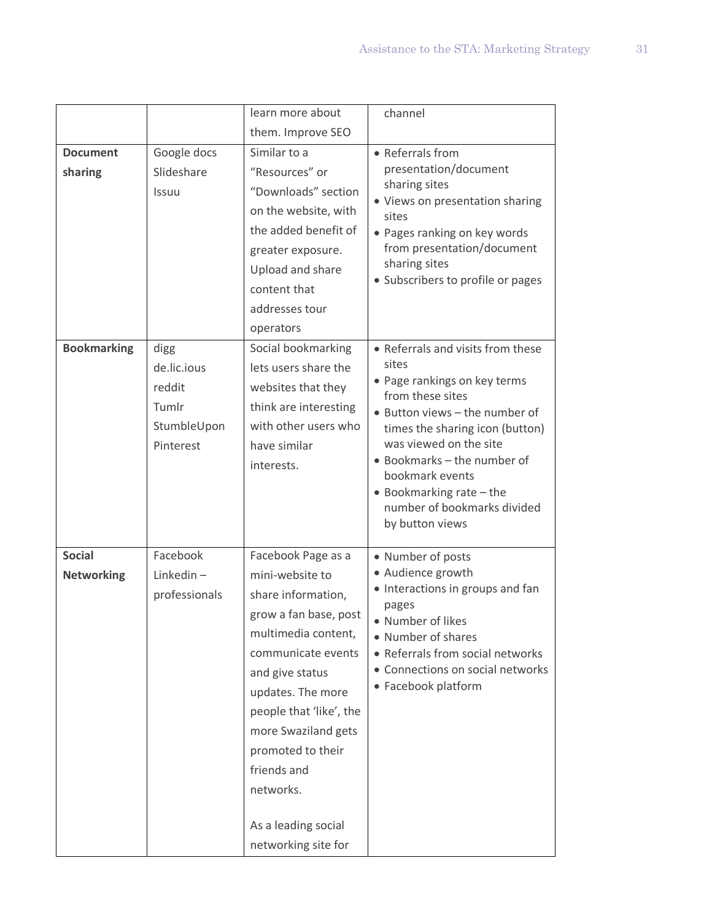|                    |               | learn more about        | channel                                                           |
|--------------------|---------------|-------------------------|-------------------------------------------------------------------|
|                    |               | them. Improve SEO       |                                                                   |
| <b>Document</b>    | Google docs   | Similar to a            | • Referrals from                                                  |
| sharing            | Slideshare    | "Resources" or          | presentation/document                                             |
|                    | <b>Issuu</b>  | "Downloads" section     | sharing sites<br>• Views on presentation sharing                  |
|                    |               | on the website, with    | sites                                                             |
|                    |               | the added benefit of    | • Pages ranking on key words                                      |
|                    |               | greater exposure.       | from presentation/document                                        |
|                    |               | Upload and share        | sharing sites                                                     |
|                    |               | content that            | • Subscribers to profile or pages                                 |
|                    |               | addresses tour          |                                                                   |
|                    |               | operators               |                                                                   |
| <b>Bookmarking</b> | digg          | Social bookmarking      | • Referrals and visits from these                                 |
|                    | de.lic.ious   | lets users share the    | sites                                                             |
|                    | reddit        | websites that they      | • Page rankings on key terms                                      |
|                    | Tumlr         | think are interesting   | from these sites<br>• Button views - the number of                |
|                    | StumbleUpon   | with other users who    | times the sharing icon (button)                                   |
|                    | Pinterest     | have similar            | was viewed on the site                                            |
|                    |               | interests.              | • Bookmarks - the number of                                       |
|                    |               |                         | bookmark events                                                   |
|                    |               |                         | $\bullet$ Bookmarking rate $-$ the<br>number of bookmarks divided |
|                    |               |                         | by button views                                                   |
|                    |               |                         |                                                                   |
| <b>Social</b>      | Facebook      | Facebook Page as a      | • Number of posts                                                 |
| <b>Networking</b>  | $Linkedin -$  | mini-website to         | • Audience growth<br>• Interactions in groups and fan             |
|                    | professionals | share information,      | pages                                                             |
|                    |               | grow a fan base, post   | • Number of likes                                                 |
|                    |               | multimedia content,     | • Number of shares                                                |
|                    |               | communicate events      | • Referrals from social networks                                  |
|                    |               | and give status         | • Connections on social networks                                  |
|                    |               | updates. The more       | • Facebook platform                                               |
|                    |               | people that 'like', the |                                                                   |
|                    |               | more Swaziland gets     |                                                                   |
|                    |               | promoted to their       |                                                                   |
|                    |               | friends and             |                                                                   |
|                    |               | networks.               |                                                                   |
|                    |               | As a leading social     |                                                                   |
|                    |               | networking site for     |                                                                   |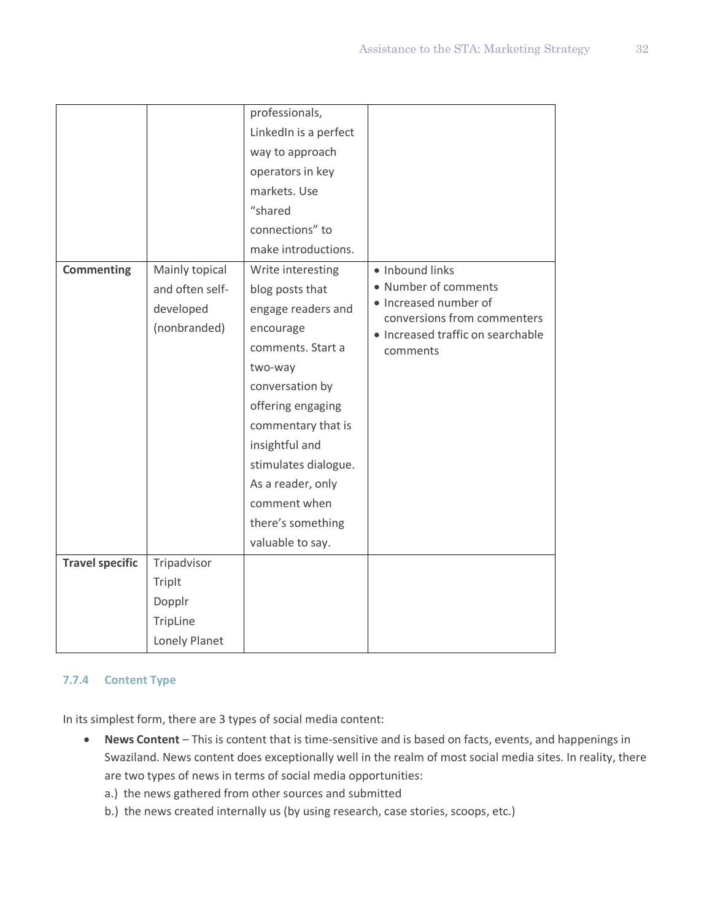|                        |                                                                | professionals,<br>LinkedIn is a perfect<br>way to approach<br>operators in key<br>markets. Use                                                                                                                                                                                                |                                                                                                                                                  |
|------------------------|----------------------------------------------------------------|-----------------------------------------------------------------------------------------------------------------------------------------------------------------------------------------------------------------------------------------------------------------------------------------------|--------------------------------------------------------------------------------------------------------------------------------------------------|
|                        |                                                                | "shared<br>connections" to<br>make introductions.                                                                                                                                                                                                                                             |                                                                                                                                                  |
| <b>Commenting</b>      | Mainly topical<br>and often self-<br>developed<br>(nonbranded) | Write interesting<br>blog posts that<br>engage readers and<br>encourage<br>comments. Start a<br>two-way<br>conversation by<br>offering engaging<br>commentary that is<br>insightful and<br>stimulates dialogue.<br>As a reader, only<br>comment when<br>there's something<br>valuable to say. | · Inbound links<br>• Number of comments<br>· Increased number of<br>conversions from commenters<br>• Increased traffic on searchable<br>comments |
| <b>Travel specific</b> | Tripadvisor<br>TripIt                                          |                                                                                                                                                                                                                                                                                               |                                                                                                                                                  |
|                        | Dopplr<br>TripLine<br>Lonely Planet                            |                                                                                                                                                                                                                                                                                               |                                                                                                                                                  |

### **7.7.4 Content Type**

In its simplest form, there are 3 types of social media content:

- **News Content** This is content that is time-sensitive and is based on facts, events, and happenings in Swaziland. News content does exceptionally well in the realm of most social media sites. In reality, there are two types of news in terms of social media opportunities:
	- a.) the news gathered from other sources and submitted
	- b.) the news created internally us (by using research, case stories, scoops, etc.)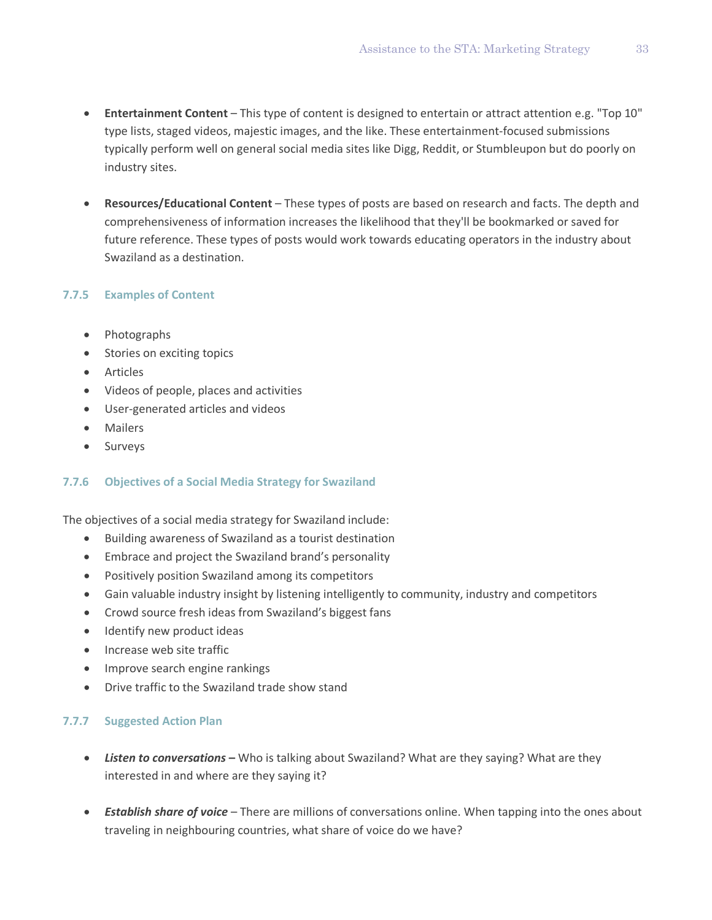- **Entertainment Content** This type of content is designed to entertain or attract attention e.g. "Top 10" type lists, staged videos, majestic images, and the like. These entertainment-focused submissions typically perform well on general social media sites like Digg, Reddit, or Stumbleupon but do poorly on industry sites.
- **Resources/Educational Content** These types of posts are based on research and facts. The depth and comprehensiveness of information increases the likelihood that they'll be bookmarked or saved for future reference. These types of posts would work towards educating operators in the industry about Swaziland as a destination.

### **7.7.5 Examples of Content**

- Photographs
- Stories on exciting topics
- Articles
- Videos of people, places and activities
- User-generated articles and videos
- Mailers
- Surveys

#### **7.7.6 Objectives of a Social Media Strategy for Swaziland**

The objectives of a social media strategy for Swaziland include:

- Building awareness of Swaziland as a tourist destination
- Embrace and project the Swaziland brand's personality
- Positively position Swaziland among its competitors
- Gain valuable industry insight by listening intelligently to community, industry and competitors
- Crowd source fresh ideas from Swaziland's biggest fans
- Identify new product ideas
- Increase web site traffic
- Improve search engine rankings
- Drive traffic to the Swaziland trade show stand

#### **7.7.7 Suggested Action Plan**

- *Listen to conversations* **–** Who is talking about Swaziland? What are they saying? What are they interested in and where are they saying it?
- *Establish share of voice* There are millions of conversations online. When tapping into the ones about traveling in neighbouring countries, what share of voice do we have?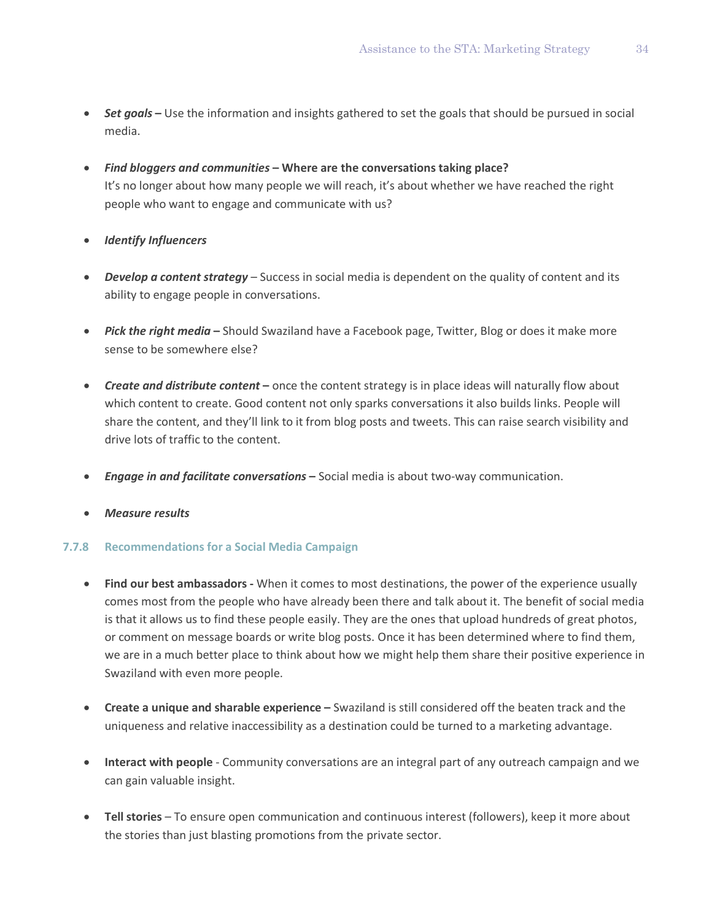- *Set goals* **–** Use the information and insights gathered to set the goals that should be pursued in social media.
- *Find bloggers and communities* **– Where are the conversations taking place?** It's no longer about how many people we will reach, it's about whether we have reached the right people who want to engage and communicate with us?
- *Identify Influencers*
- *Develop a content strategy* Success in social media is dependent on the quality of content and its ability to engage people in conversations.
- *Pick the right media* **–** Should Swaziland have a Facebook page, Twitter, Blog or does it make more sense to be somewhere else?
- *Create and distribute content* **–** once the content strategy is in place ideas will naturally flow about which content to create. Good content not only sparks conversations it also builds links. People will share the content, and they'll link to it from blog posts and tweets. This can raise search visibility and drive lots of traffic to the content.
- *Engage in and facilitate conversations* **–** Social media is about two-way communication.
- *Measure results*

### **7.7.8 Recommendations for a Social Media Campaign**

- **Find our best ambassadors -** When it comes to most destinations, the power of the experience usually comes most from the people who have already been there and talk about it. The benefit of social media is that it allows us to find these people easily. They are the ones that upload hundreds of great photos, or comment on message boards or write blog posts. Once it has been determined where to find them, we are in a much better place to think about how we might help them share their positive experience in Swaziland with even more people.
- **Create a unique and sharable experience –** Swaziland is still considered off the beaten track and the uniqueness and relative inaccessibility as a destination could be turned to a marketing advantage.
- **Interact with people** Community conversations are an integral part of any outreach campaign and we can gain valuable insight.
- **Tell stories** To ensure open communication and continuous interest (followers), keep it more about the stories than just blasting promotions from the private sector.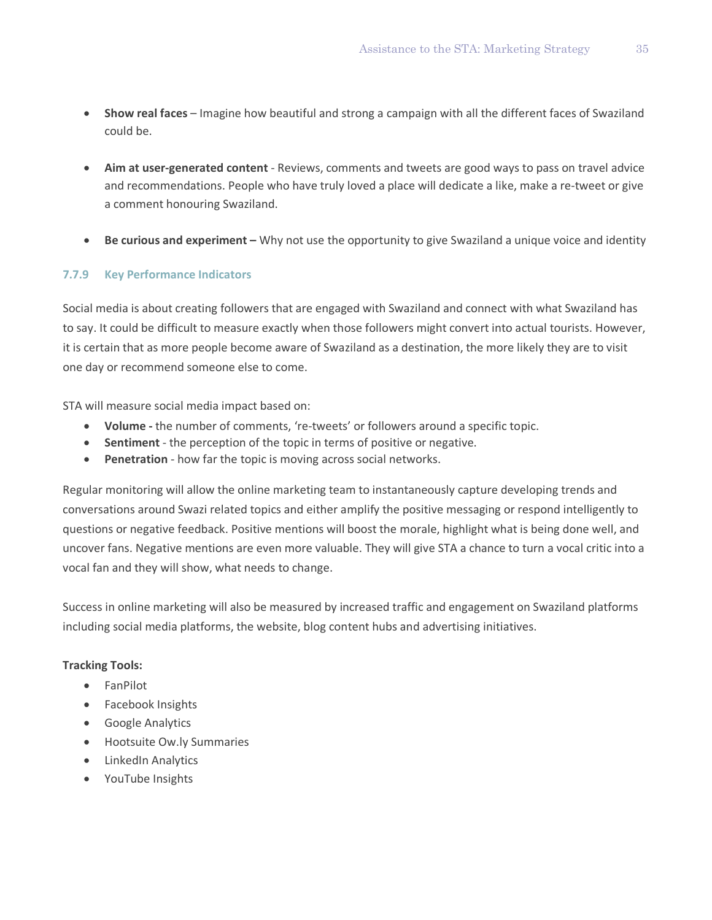- **Show real faces** Imagine how beautiful and strong a campaign with all the different faces of Swaziland could be.
- **Aim at user-generated content** Reviews, comments and tweets are good ways to pass on travel advice and recommendations. People who have truly loved a place will dedicate a like, make a re-tweet or give a comment honouring Swaziland.
- **Be curious and experiment –** Why not use the opportunity to give Swaziland a unique voice and identity

### **7.7.9 Key Performance Indicators**

Social media is about creating followers that are engaged with Swaziland and connect with what Swaziland has to say. It could be difficult to measure exactly when those followers might convert into actual tourists. However, it is certain that as more people become aware of Swaziland as a destination, the more likely they are to visit one day or recommend someone else to come.

STA will measure social media impact based on:

- **Volume -** the number of comments, 're-tweets' or followers around a specific topic.
- **Sentiment** the perception of the topic in terms of positive or negative.
- **Penetration** how far the topic is moving across social networks.

Regular monitoring will allow the online marketing team to instantaneously capture developing trends and conversations around Swazi related topics and either amplify the positive messaging or respond intelligently to questions or negative feedback. Positive mentions will boost the morale, highlight what is being done well, and uncover fans. Negative mentions are even more valuable. They will give STA a chance to turn a vocal critic into a vocal fan and they will show, what needs to change.

Success in online marketing will also be measured by increased traffic and engagement on Swaziland platforms including social media platforms, the website, blog content hubs and advertising initiatives.

### **Tracking Tools:**

- FanPilot
- Facebook Insights
- Google Analytics
- Hootsuite Ow.ly Summaries
- LinkedIn Analytics
- YouTube Insights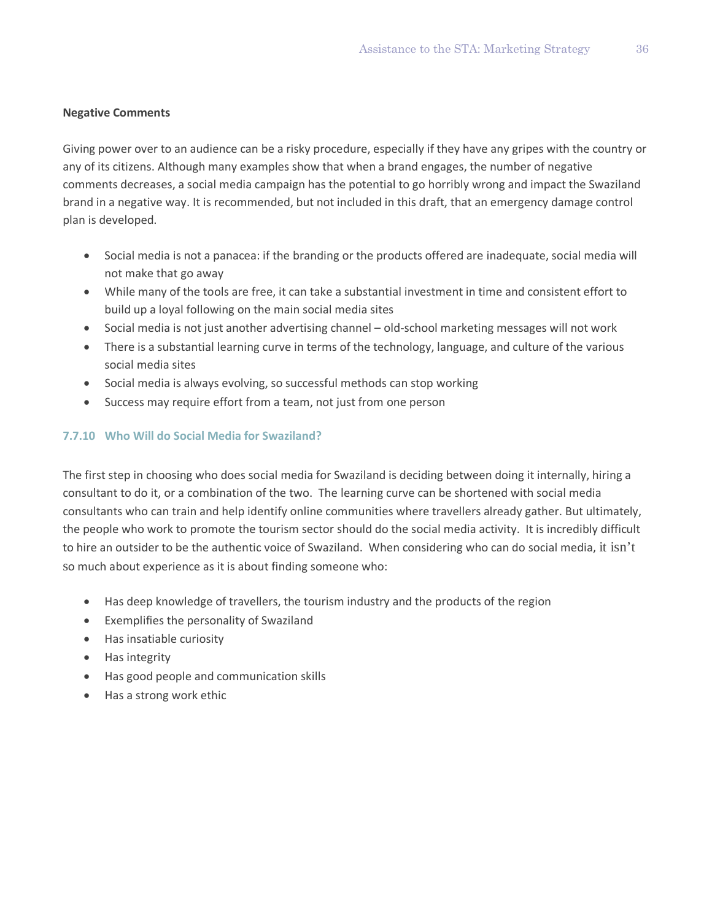### **Negative Comments**

Giving power over to an audience can be a risky procedure, especially if they have any gripes with the country or any of its citizens. Although many examples show that when a brand engages, the number of negative comments decreases, a social media campaign has the potential to go horribly wrong and impact the Swaziland brand in a negative way. It is recommended, but not included in this draft, that an emergency damage control plan is developed.

- Social media is not a panacea: if the branding or the products offered are inadequate, social media will not make that go away
- While many of the tools are free, it can take a substantial investment in time and consistent effort to build up a loyal following on the main social media sites
- Social media is not just another advertising channel old-school marketing messages will not work
- There is a substantial learning curve in terms of the technology, language, and culture of the various social media sites
- Social media is always evolving, so successful methods can stop working
- Success may require effort from a team, not just from one person

### **7.7.10 Who Will do Social Media for Swaziland?**

The first step in choosing who does social media for Swaziland is deciding between doing it internally, hiring a consultant to do it, or a combination of the two. The learning curve can be shortened with social media consultants who can train and help identify online communities where travellers already gather. But ultimately, the people who work to promote the tourism sector should do the social media activity. It is incredibly difficult to hire an outsider to be the authentic voice of Swaziland. When considering who can do social media, it isn't so much about experience as it is about finding someone who:

- Has deep knowledge of travellers, the tourism industry and the products of the region
- Exemplifies the personality of Swaziland
- Has insatiable curiosity
- Has integrity
- Has good people and communication skills
- Has a strong work ethic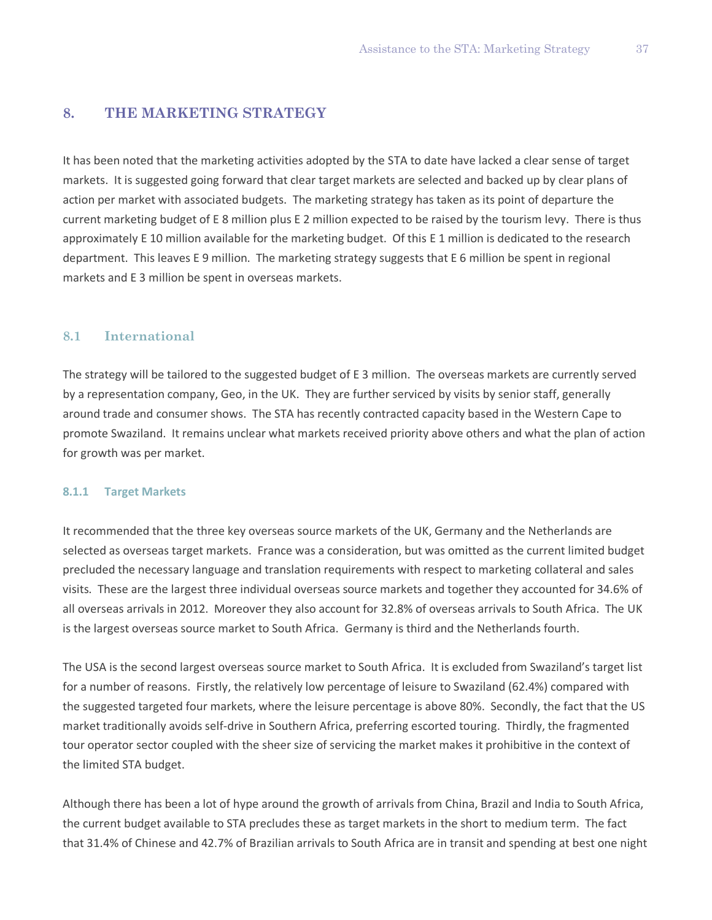### **8. THE MARKETING STRATEGY**

It has been noted that the marketing activities adopted by the STA to date have lacked a clear sense of target markets. It is suggested going forward that clear target markets are selected and backed up by clear plans of action per market with associated budgets. The marketing strategy has taken as its point of departure the current marketing budget of E 8 million plus E 2 million expected to be raised by the tourism levy. There is thus approximately E 10 million available for the marketing budget. Of this E 1 million is dedicated to the research department. This leaves E 9 million. The marketing strategy suggests that E 6 million be spent in regional markets and E 3 million be spent in overseas markets.

#### **8.1 International**

The strategy will be tailored to the suggested budget of E 3 million. The overseas markets are currently served by a representation company, Geo, in the UK. They are further serviced by visits by senior staff, generally around trade and consumer shows. The STA has recently contracted capacity based in the Western Cape to promote Swaziland. It remains unclear what markets received priority above others and what the plan of action for growth was per market.

#### **8.1.1 Target Markets**

It recommended that the three key overseas source markets of the UK, Germany and the Netherlands are selected as overseas target markets. France was a consideration, but was omitted as the current limited budget precluded the necessary language and translation requirements with respect to marketing collateral and sales visits. These are the largest three individual overseas source markets and together they accounted for 34.6% of all overseas arrivals in 2012. Moreover they also account for 32.8% of overseas arrivals to South Africa. The UK is the largest overseas source market to South Africa. Germany is third and the Netherlands fourth.

The USA is the second largest overseas source market to South Africa. It is excluded from Swaziland's target list for a number of reasons. Firstly, the relatively low percentage of leisure to Swaziland (62.4%) compared with the suggested targeted four markets, where the leisure percentage is above 80%. Secondly, the fact that the US market traditionally avoids self-drive in Southern Africa, preferring escorted touring. Thirdly, the fragmented tour operator sector coupled with the sheer size of servicing the market makes it prohibitive in the context of the limited STA budget.

Although there has been a lot of hype around the growth of arrivals from China, Brazil and India to South Africa, the current budget available to STA precludes these as target markets in the short to medium term. The fact that 31.4% of Chinese and 42.7% of Brazilian arrivals to South Africa are in transit and spending at best one night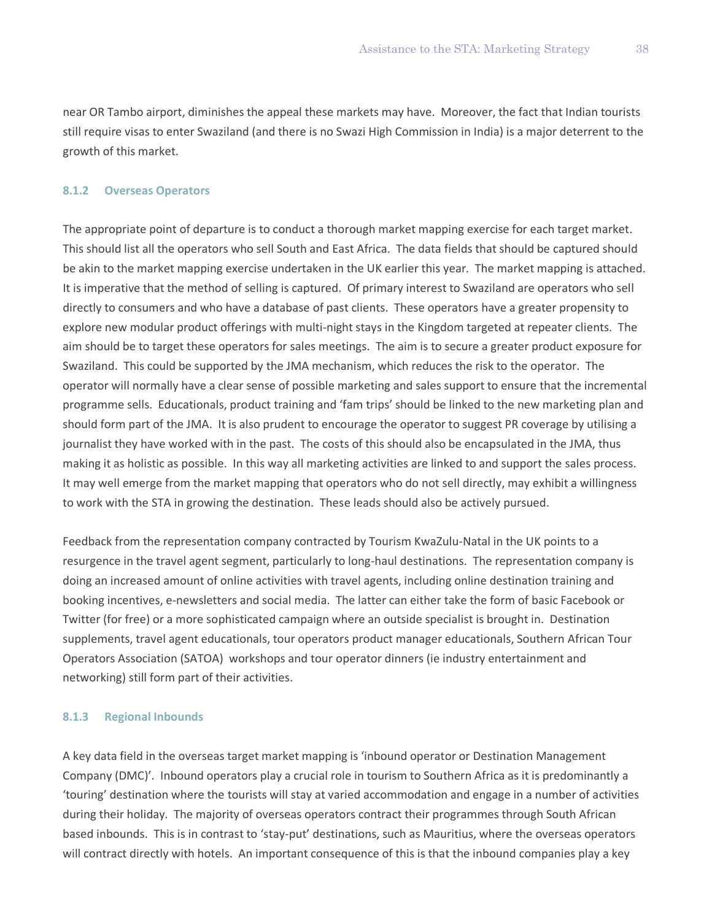near OR Tambo airport, diminishes the appeal these markets may have. Moreover, the fact that Indian tourists still require visas to enter Swaziland (and there is no Swazi High Commission in India) is a major deterrent to the growth of this market.

#### **8.1.2 Overseas Operators**

The appropriate point of departure is to conduct a thorough market mapping exercise for each target market. This should list all the operators who sell South and East Africa. The data fields that should be captured should be akin to the market mapping exercise undertaken in the UK earlier this year. The market mapping is attached. It is imperative that the method of selling is captured. Of primary interest to Swaziland are operators who sell directly to consumers and who have a database of past clients. These operators have a greater propensity to explore new modular product offerings with multi-night stays in the Kingdom targeted at repeater clients. The aim should be to target these operators for sales meetings. The aim is to secure a greater product exposure for Swaziland. This could be supported by the JMA mechanism, which reduces the risk to the operator. The operator will normally have a clear sense of possible marketing and sales support to ensure that the incremental programme sells. Educationals, product training and 'fam trips' should be linked to the new marketing plan and should form part of the JMA. It is also prudent to encourage the operator to suggest PR coverage by utilising a journalist they have worked with in the past. The costs of this should also be encapsulated in the JMA, thus making it as holistic as possible. In this way all marketing activities are linked to and support the sales process. It may well emerge from the market mapping that operators who do not sell directly, may exhibit a willingness to work with the STA in growing the destination. These leads should also be actively pursued.

Feedback from the representation company contracted by Tourism KwaZulu-Natal in the UK points to a resurgence in the travel agent segment, particularly to long-haul destinations. The representation company is doing an increased amount of online activities with travel agents, including online destination training and booking incentives, e-newsletters and social media. The latter can either take the form of basic Facebook or Twitter (for free) or a more sophisticated campaign where an outside specialist is brought in. Destination supplements, travel agent educationals, tour operators product manager educationals, Southern African Tour Operators Association (SATOA) workshops and tour operator dinners (ie industry entertainment and networking) still form part of their activities.

#### **8.1.3 Regional Inbounds**

A key data field in the overseas target market mapping is 'inbound operator or Destination Management Company (DMC)'. Inbound operators play a crucial role in tourism to Southern Africa as it is predominantly a 'touring' destination where the tourists will stay at varied accommodation and engage in a number of activities during their holiday. The majority of overseas operators contract their programmes through South African based inbounds. This is in contrast to 'stay-put' destinations, such as Mauritius, where the overseas operators will contract directly with hotels. An important consequence of this is that the inbound companies play a key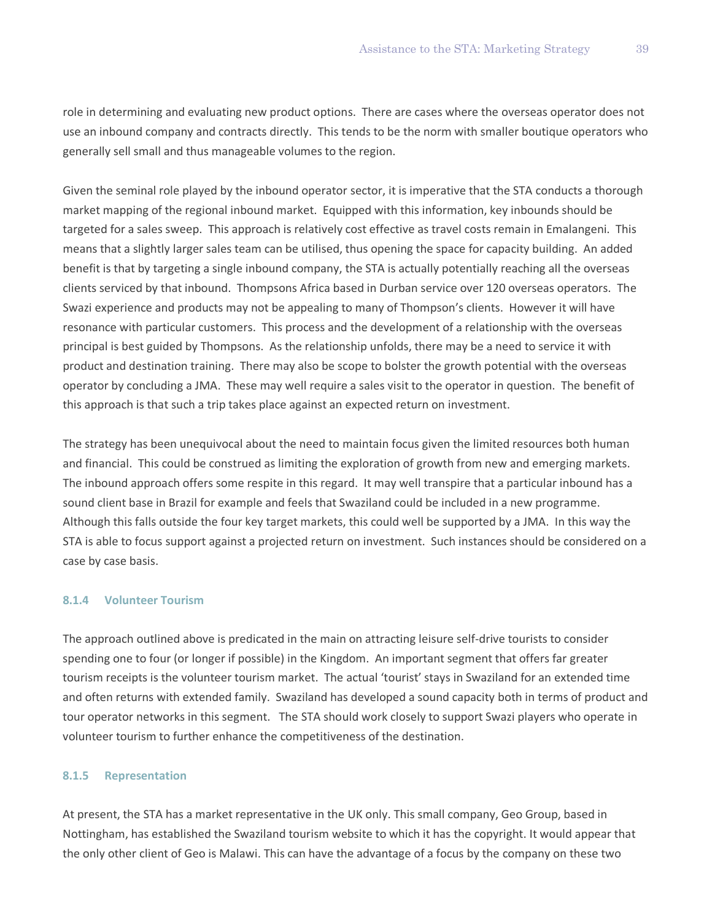role in determining and evaluating new product options. There are cases where the overseas operator does not use an inbound company and contracts directly. This tends to be the norm with smaller boutique operators who generally sell small and thus manageable volumes to the region.

Given the seminal role played by the inbound operator sector, it is imperative that the STA conducts a thorough market mapping of the regional inbound market. Equipped with this information, key inbounds should be targeted for a sales sweep. This approach is relatively cost effective as travel costs remain in Emalangeni. This means that a slightly larger sales team can be utilised, thus opening the space for capacity building. An added benefit is that by targeting a single inbound company, the STA is actually potentially reaching all the overseas clients serviced by that inbound. Thompsons Africa based in Durban service over 120 overseas operators. The Swazi experience and products may not be appealing to many of Thompson's clients. However it will have resonance with particular customers. This process and the development of a relationship with the overseas principal is best guided by Thompsons. As the relationship unfolds, there may be a need to service it with product and destination training. There may also be scope to bolster the growth potential with the overseas operator by concluding a JMA. These may well require a sales visit to the operator in question. The benefit of this approach is that such a trip takes place against an expected return on investment.

The strategy has been unequivocal about the need to maintain focus given the limited resources both human and financial. This could be construed as limiting the exploration of growth from new and emerging markets. The inbound approach offers some respite in this regard. It may well transpire that a particular inbound has a sound client base in Brazil for example and feels that Swaziland could be included in a new programme. Although this falls outside the four key target markets, this could well be supported by a JMA. In this way the STA is able to focus support against a projected return on investment. Such instances should be considered on a case by case basis.

### **8.1.4 Volunteer Tourism**

The approach outlined above is predicated in the main on attracting leisure self-drive tourists to consider spending one to four (or longer if possible) in the Kingdom. An important segment that offers far greater tourism receipts is the volunteer tourism market. The actual 'tourist' stays in Swaziland for an extended time and often returns with extended family. Swaziland has developed a sound capacity both in terms of product and tour operator networks in this segment. The STA should work closely to support Swazi players who operate in volunteer tourism to further enhance the competitiveness of the destination.

#### **8.1.5 Representation**

At present, the STA has a market representative in the UK only. This small company, Geo Group, based in Nottingham, has established the Swaziland tourism website to which it has the copyright. It would appear that the only other client of Geo is Malawi. This can have the advantage of a focus by the company on these two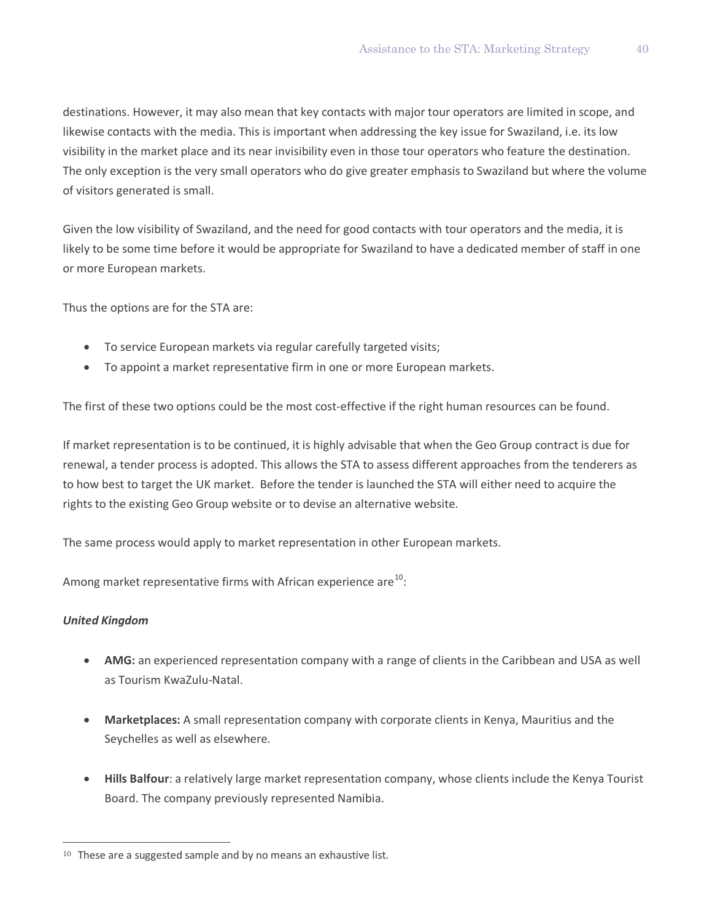destinations. However, it may also mean that key contacts with major tour operators are limited in scope, and likewise contacts with the media. This is important when addressing the key issue for Swaziland, i.e. its low visibility in the market place and its near invisibility even in those tour operators who feature the destination. The only exception is the very small operators who do give greater emphasis to Swaziland but where the volume of visitors generated is small.

Given the low visibility of Swaziland, and the need for good contacts with tour operators and the media, it is likely to be some time before it would be appropriate for Swaziland to have a dedicated member of staff in one or more European markets.

Thus the options are for the STA are:

- To service European markets via regular carefully targeted visits;
- To appoint a market representative firm in one or more European markets.

The first of these two options could be the most cost-effective if the right human resources can be found.

If market representation is to be continued, it is highly advisable that when the Geo Group contract is due for renewal, a tender process is adopted. This allows the STA to assess different approaches from the tenderers as to how best to target the UK market. Before the tender is launched the STA will either need to acquire the rights to the existing Geo Group website or to devise an alternative website.

The same process would apply to market representation in other European markets.

Among market representative firms with African experience are $^{10}$  $^{10}$  $^{10}$ :

### *United Kingdom*

 $\overline{a}$ 

- **AMG:** an experienced representation company with a range of clients in the Caribbean and USA as well as Tourism KwaZulu-Natal.
- **Marketplaces:** A small representation company with corporate clients in Kenya, Mauritius and the Seychelles as well as elsewhere.
- **Hills Balfour**: a relatively large market representation company, whose clients include the Kenya Tourist Board. The company previously represented Namibia.

<span id="page-41-0"></span><sup>&</sup>lt;sup>10</sup> These are a suggested sample and by no means an exhaustive list.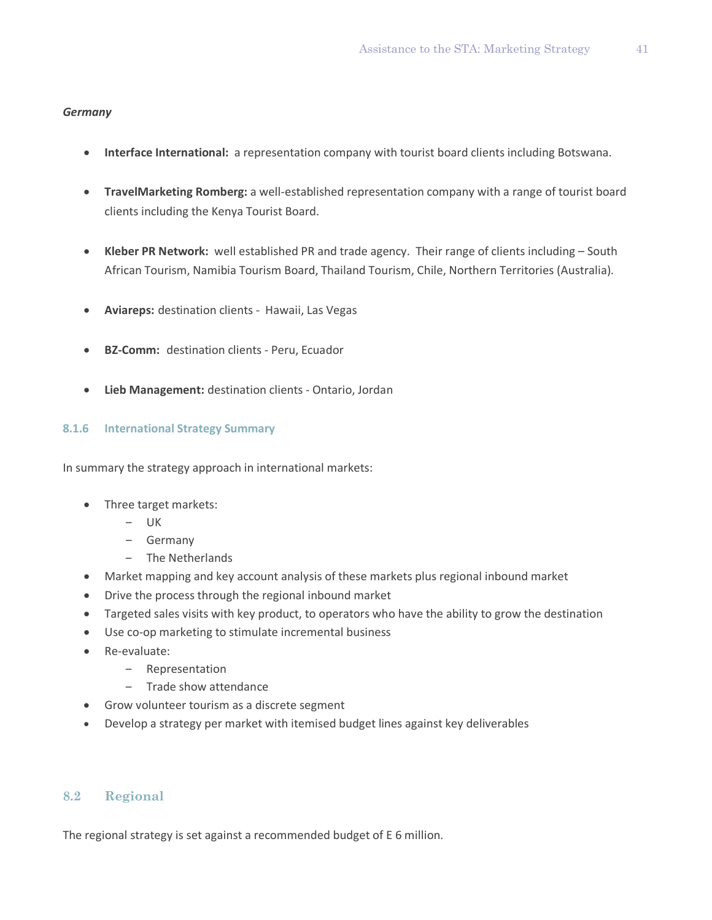#### *Germany*

- **Interface International:** a representation company with tourist board clients including Botswana.
- **TravelMarketing Romberg:** a well-established representation company with a range of tourist board clients including the Kenya Tourist Board.
- **Kleber PR Network:** well established PR and trade agency. Their range of clients including South African Tourism, Namibia Tourism Board, Thailand Tourism, Chile, Northern Territories (Australia).
- **Aviareps:** destination clients Hawaii, Las Vegas
- **BZ-Comm:** destination clients Peru, Ecuador
- **Lieb Management:** destination clients Ontario, Jordan

#### **8.1.6 International Strategy Summary**

In summary the strategy approach in international markets:

- Three target markets:
	- $-$  UK
	- ‒ Germany
	- ‒ The Netherlands
- Market mapping and key account analysis of these markets plus regional inbound market
- Drive the process through the regional inbound market
- Targeted sales visits with key product, to operators who have the ability to grow the destination
- Use co-op marketing to stimulate incremental business
- Re-evaluate:
	- ‒ Representation
	- Trade show attendance
- Grow volunteer tourism as a discrete segment
- Develop a strategy per market with itemised budget lines against key deliverables

### **8.2 Regional**

The regional strategy is set against a recommended budget of E 6 million.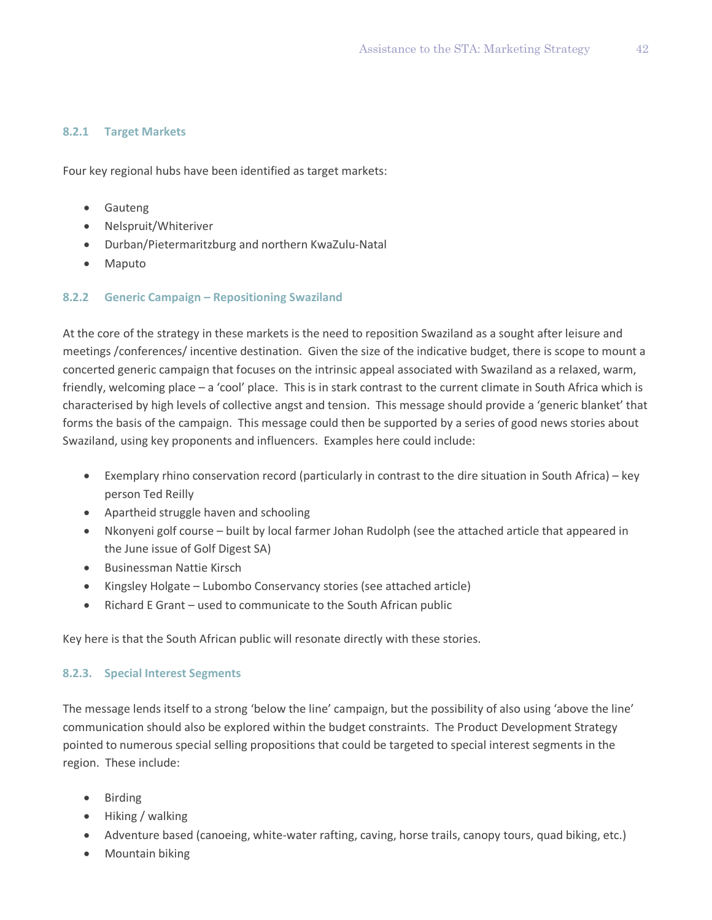### **8.2.1 Target Markets**

Four key regional hubs have been identified as target markets:

- Gauteng
- Nelspruit/Whiteriver
- Durban/Pietermaritzburg and northern KwaZulu-Natal
- Maputo

### **8.2.2 Generic Campaign – Repositioning Swaziland**

At the core of the strategy in these markets is the need to reposition Swaziland as a sought after leisure and meetings /conferences/ incentive destination. Given the size of the indicative budget, there is scope to mount a concerted generic campaign that focuses on the intrinsic appeal associated with Swaziland as a relaxed, warm, friendly, welcoming place – a 'cool' place. This is in stark contrast to the current climate in South Africa which is characterised by high levels of collective angst and tension. This message should provide a 'generic blanket' that forms the basis of the campaign. This message could then be supported by a series of good news stories about Swaziland, using key proponents and influencers. Examples here could include:

- Exemplary rhino conservation record (particularly in contrast to the dire situation in South Africa) key person Ted Reilly
- Apartheid struggle haven and schooling
- Nkonyeni golf course built by local farmer Johan Rudolph (see the attached article that appeared in the June issue of Golf Digest SA)
- Businessman Nattie Kirsch
- Kingsley Holgate Lubombo Conservancy stories (see attached article)
- Richard E Grant used to communicate to the South African public

Key here is that the South African public will resonate directly with these stories.

### **8.2.3. Special Interest Segments**

The message lends itself to a strong 'below the line' campaign, but the possibility of also using 'above the line' communication should also be explored within the budget constraints. The Product Development Strategy pointed to numerous special selling propositions that could be targeted to special interest segments in the region. These include:

- Birding
- Hiking / walking
- Adventure based (canoeing, white-water rafting, caving, horse trails, canopy tours, quad biking, etc.)
- Mountain biking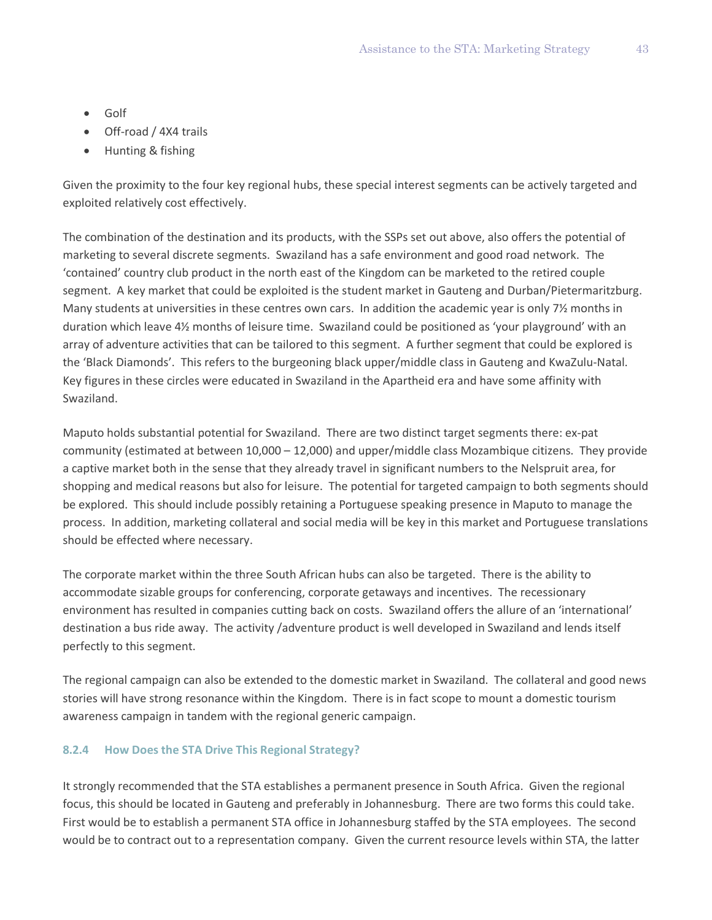- Golf
- Off-road / 4X4 trails
- Hunting & fishing

Given the proximity to the four key regional hubs, these special interest segments can be actively targeted and exploited relatively cost effectively.

The combination of the destination and its products, with the SSPs set out above, also offers the potential of marketing to several discrete segments. Swaziland has a safe environment and good road network. The 'contained' country club product in the north east of the Kingdom can be marketed to the retired couple segment. A key market that could be exploited is the student market in Gauteng and Durban/Pietermaritzburg. Many students at universities in these centres own cars. In addition the academic year is only 7<sup>1</sup>/<sub>2</sub> months in duration which leave 4½ months of leisure time. Swaziland could be positioned as 'your playground' with an array of adventure activities that can be tailored to this segment. A further segment that could be explored is the 'Black Diamonds'. This refers to the burgeoning black upper/middle class in Gauteng and KwaZulu-Natal. Key figures in these circles were educated in Swaziland in the Apartheid era and have some affinity with Swaziland.

Maputo holds substantial potential for Swaziland. There are two distinct target segments there: ex-pat community (estimated at between 10,000 – 12,000) and upper/middle class Mozambique citizens. They provide a captive market both in the sense that they already travel in significant numbers to the Nelspruit area, for shopping and medical reasons but also for leisure. The potential for targeted campaign to both segments should be explored. This should include possibly retaining a Portuguese speaking presence in Maputo to manage the process. In addition, marketing collateral and social media will be key in this market and Portuguese translations should be effected where necessary.

The corporate market within the three South African hubs can also be targeted. There is the ability to accommodate sizable groups for conferencing, corporate getaways and incentives. The recessionary environment has resulted in companies cutting back on costs. Swaziland offers the allure of an 'international' destination a bus ride away. The activity /adventure product is well developed in Swaziland and lends itself perfectly to this segment.

The regional campaign can also be extended to the domestic market in Swaziland. The collateral and good news stories will have strong resonance within the Kingdom. There is in fact scope to mount a domestic tourism awareness campaign in tandem with the regional generic campaign.

### **8.2.4 How Does the STA Drive This Regional Strategy?**

It strongly recommended that the STA establishes a permanent presence in South Africa. Given the regional focus, this should be located in Gauteng and preferably in Johannesburg. There are two forms this could take. First would be to establish a permanent STA office in Johannesburg staffed by the STA employees. The second would be to contract out to a representation company. Given the current resource levels within STA, the latter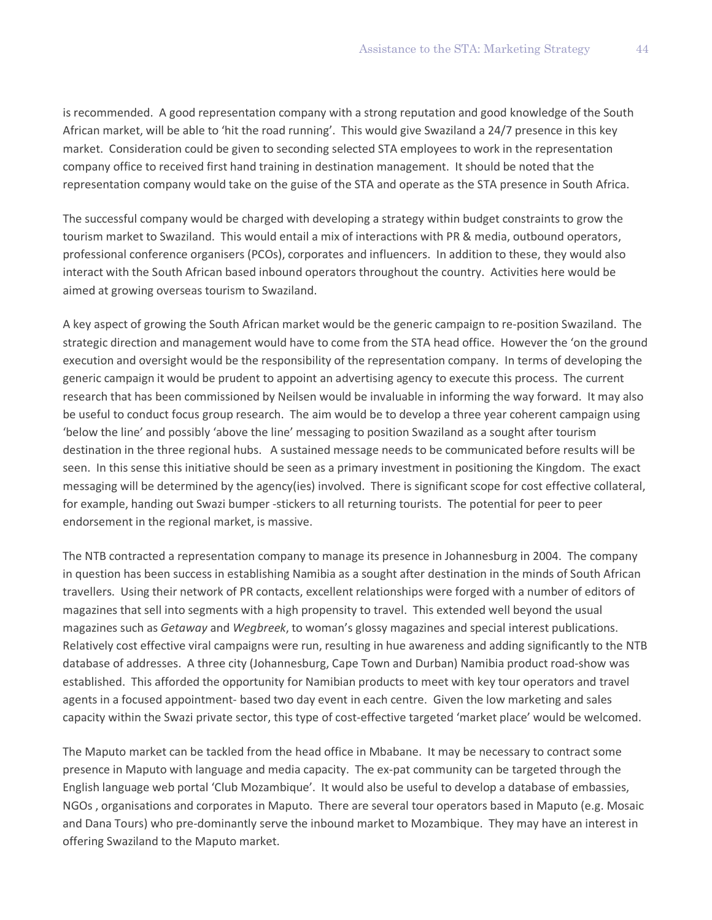is recommended. A good representation company with a strong reputation and good knowledge of the South African market, will be able to 'hit the road running'. This would give Swaziland a 24/7 presence in this key market. Consideration could be given to seconding selected STA employees to work in the representation company office to received first hand training in destination management. It should be noted that the representation company would take on the guise of the STA and operate as the STA presence in South Africa.

The successful company would be charged with developing a strategy within budget constraints to grow the tourism market to Swaziland. This would entail a mix of interactions with PR & media, outbound operators, professional conference organisers (PCOs), corporates and influencers. In addition to these, they would also interact with the South African based inbound operators throughout the country. Activities here would be aimed at growing overseas tourism to Swaziland.

A key aspect of growing the South African market would be the generic campaign to re-position Swaziland. The strategic direction and management would have to come from the STA head office. However the 'on the ground execution and oversight would be the responsibility of the representation company. In terms of developing the generic campaign it would be prudent to appoint an advertising agency to execute this process. The current research that has been commissioned by Neilsen would be invaluable in informing the way forward. It may also be useful to conduct focus group research. The aim would be to develop a three year coherent campaign using 'below the line' and possibly 'above the line' messaging to position Swaziland as a sought after tourism destination in the three regional hubs. A sustained message needs to be communicated before results will be seen. In this sense this initiative should be seen as a primary investment in positioning the Kingdom. The exact messaging will be determined by the agency(ies) involved. There is significant scope for cost effective collateral, for example, handing out Swazi bumper -stickers to all returning tourists. The potential for peer to peer endorsement in the regional market, is massive.

The NTB contracted a representation company to manage its presence in Johannesburg in 2004. The company in question has been success in establishing Namibia as a sought after destination in the minds of South African travellers. Using their network of PR contacts, excellent relationships were forged with a number of editors of magazines that sell into segments with a high propensity to travel. This extended well beyond the usual magazines such as *Getaway* and *Wegbreek*, to woman's glossy magazines and special interest publications. Relatively cost effective viral campaigns were run, resulting in hue awareness and adding significantly to the NTB database of addresses. A three city (Johannesburg, Cape Town and Durban) Namibia product road-show was established. This afforded the opportunity for Namibian products to meet with key tour operators and travel agents in a focused appointment- based two day event in each centre. Given the low marketing and sales capacity within the Swazi private sector, this type of cost-effective targeted 'market place' would be welcomed.

The Maputo market can be tackled from the head office in Mbabane. It may be necessary to contract some presence in Maputo with language and media capacity. The ex-pat community can be targeted through the English language web portal 'Club Mozambique'. It would also be useful to develop a database of embassies, NGOs , organisations and corporates in Maputo. There are several tour operators based in Maputo (e.g. Mosaic and Dana Tours) who pre-dominantly serve the inbound market to Mozambique. They may have an interest in offering Swaziland to the Maputo market.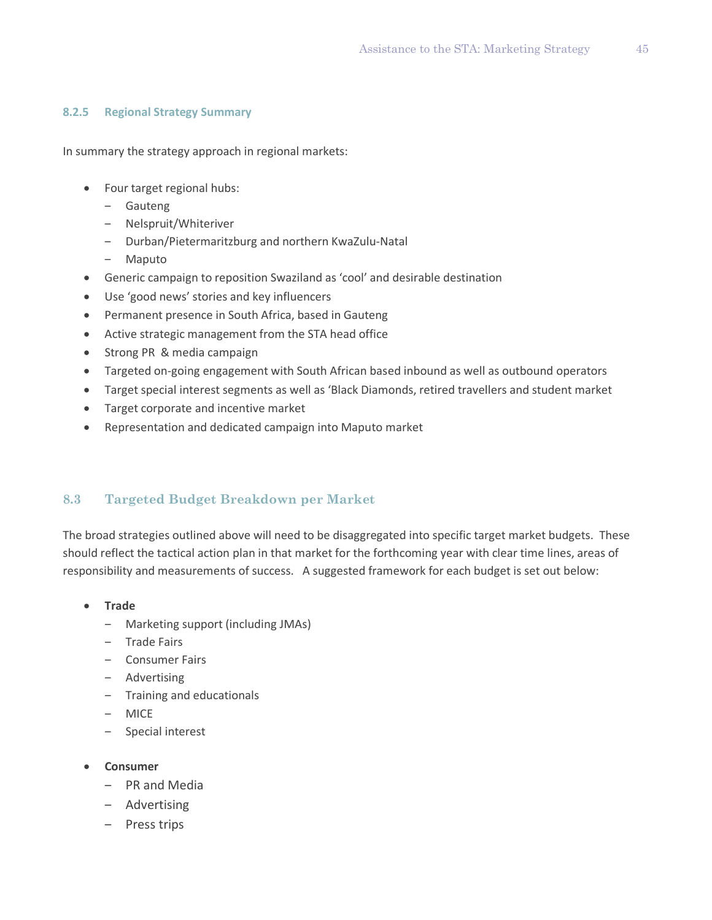#### **8.2.5 Regional Strategy Summary**

In summary the strategy approach in regional markets:

- Four target regional hubs:
	- ‒ Gauteng
	- ‒ Nelspruit/Whiteriver
	- ‒ Durban/Pietermaritzburg and northern KwaZulu-Natal
	- ‒ Maputo
- Generic campaign to reposition Swaziland as 'cool' and desirable destination
- Use 'good news' stories and key influencers
- Permanent presence in South Africa, based in Gauteng
- Active strategic management from the STA head office
- Strong PR & media campaign
- Targeted on-going engagement with South African based inbound as well as outbound operators
- Target special interest segments as well as 'Black Diamonds, retired travellers and student market
- Target corporate and incentive market
- Representation and dedicated campaign into Maputo market

### **8.3 Targeted Budget Breakdown per Market**

The broad strategies outlined above will need to be disaggregated into specific target market budgets. These should reflect the tactical action plan in that market for the forthcoming year with clear time lines, areas of responsibility and measurements of success. A suggested framework for each budget is set out below:

- **Trade**
	- ‒ Marketing support (including JMAs)
	- ‒ Trade Fairs
	- ‒ Consumer Fairs
	- ‒ Advertising
	- ‒ Training and educationals
	- ‒ MICE
	- ‒ Special interest
- **Consumer**
	- ‒ PR and Media
	- Advertising
	- ‒ Press trips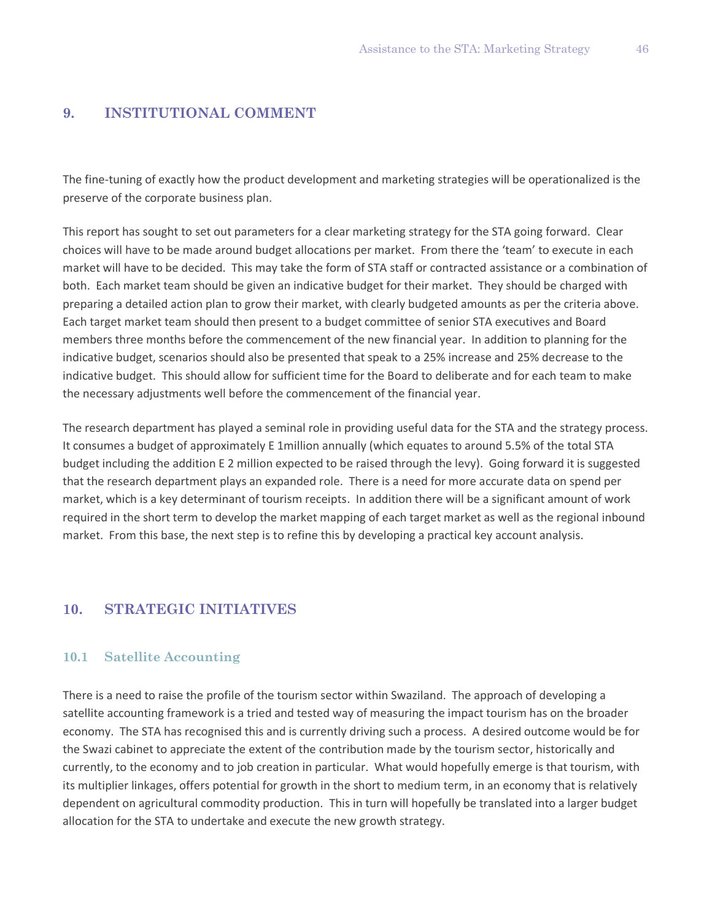## **9. INSTITUTIONAL COMMENT**

The fine-tuning of exactly how the product development and marketing strategies will be operationalized is the preserve of the corporate business plan.

This report has sought to set out parameters for a clear marketing strategy for the STA going forward. Clear choices will have to be made around budget allocations per market. From there the 'team' to execute in each market will have to be decided. This may take the form of STA staff or contracted assistance or a combination of both. Each market team should be given an indicative budget for their market. They should be charged with preparing a detailed action plan to grow their market, with clearly budgeted amounts as per the criteria above. Each target market team should then present to a budget committee of senior STA executives and Board members three months before the commencement of the new financial year. In addition to planning for the indicative budget, scenarios should also be presented that speak to a 25% increase and 25% decrease to the indicative budget. This should allow for sufficient time for the Board to deliberate and for each team to make the necessary adjustments well before the commencement of the financial year.

The research department has played a seminal role in providing useful data for the STA and the strategy process. It consumes a budget of approximately E 1million annually (which equates to around 5.5% of the total STA budget including the addition E 2 million expected to be raised through the levy). Going forward it is suggested that the research department plays an expanded role. There is a need for more accurate data on spend per market, which is a key determinant of tourism receipts. In addition there will be a significant amount of work required in the short term to develop the market mapping of each target market as well as the regional inbound market. From this base, the next step is to refine this by developing a practical key account analysis.

# **10. STRATEGIC INITIATIVES**

### **10.1 Satellite Accounting**

There is a need to raise the profile of the tourism sector within Swaziland. The approach of developing a satellite accounting framework is a tried and tested way of measuring the impact tourism has on the broader economy. The STA has recognised this and is currently driving such a process. A desired outcome would be for the Swazi cabinet to appreciate the extent of the contribution made by the tourism sector, historically and currently, to the economy and to job creation in particular. What would hopefully emerge is that tourism, with its multiplier linkages, offers potential for growth in the short to medium term, in an economy that is relatively dependent on agricultural commodity production. This in turn will hopefully be translated into a larger budget allocation for the STA to undertake and execute the new growth strategy.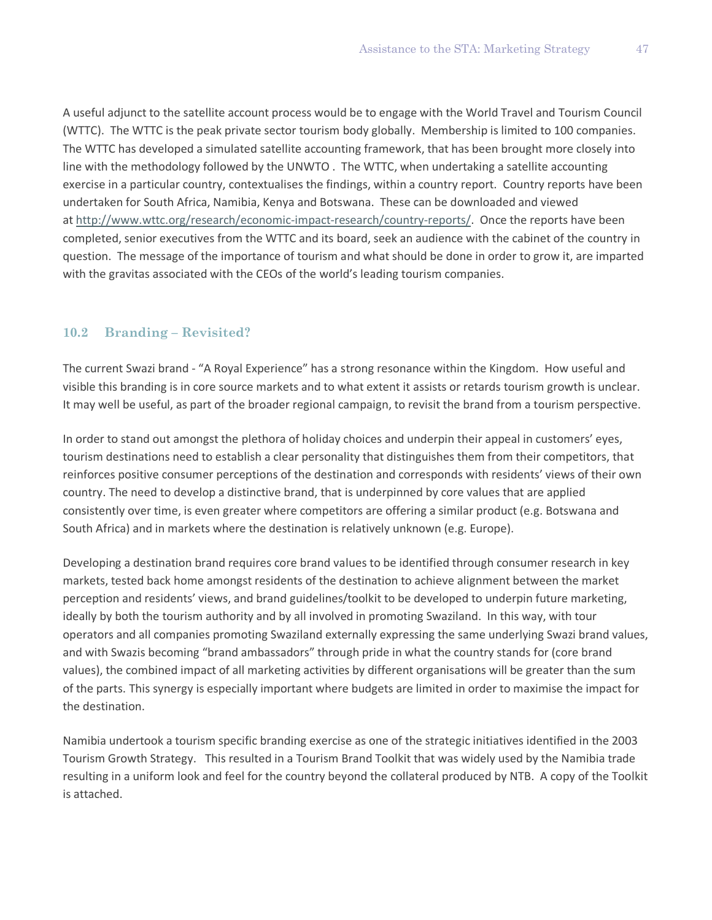A useful adjunct to the satellite account process would be to engage with the World Travel and Tourism Council (WTTC). The WTTC is the peak private sector tourism body globally. Membership is limited to 100 companies. The WTTC has developed a simulated satellite accounting framework, that has been brought more closely into line with the methodology followed by the UNWTO . The WTTC, when undertaking a satellite accounting exercise in a particular country, contextualises the findings, within a country report. Country reports have been undertaken for South Africa, Namibia, Kenya and Botswana. These can be downloaded and viewed at [http://www.wttc.org/research/economic-impact-research/country-reports/.](http://www.wttc.org/research/economic-impact-research/country-reports/) Once the reports have been completed, senior executives from the WTTC and its board, seek an audience with the cabinet of the country in question. The message of the importance of tourism and what should be done in order to grow it, are imparted with the gravitas associated with the CEOs of the world's leading tourism companies.

### **10.2 Branding – Revisited?**

The current Swazi brand - "A Royal Experience" has a strong resonance within the Kingdom. How useful and visible this branding is in core source markets and to what extent it assists or retards tourism growth is unclear. It may well be useful, as part of the broader regional campaign, to revisit the brand from a tourism perspective.

In order to stand out amongst the plethora of holiday choices and underpin their appeal in customers' eyes, tourism destinations need to establish a clear personality that distinguishes them from their competitors, that reinforces positive consumer perceptions of the destination and corresponds with residents' views of their own country. The need to develop a distinctive brand, that is underpinned by core values that are applied consistently over time, is even greater where competitors are offering a similar product (e.g. Botswana and South Africa) and in markets where the destination is relatively unknown (e.g. Europe).

Developing a destination brand requires core brand values to be identified through consumer research in key markets, tested back home amongst residents of the destination to achieve alignment between the market perception and residents' views, and brand guidelines/toolkit to be developed to underpin future marketing, ideally by both the tourism authority and by all involved in promoting Swaziland. In this way, with tour operators and all companies promoting Swaziland externally expressing the same underlying Swazi brand values, and with Swazis becoming "brand ambassadors" through pride in what the country stands for (core brand values), the combined impact of all marketing activities by different organisations will be greater than the sum of the parts. This synergy is especially important where budgets are limited in order to maximise the impact for the destination.

Namibia undertook a tourism specific branding exercise as one of the strategic initiatives identified in the 2003 Tourism Growth Strategy. This resulted in a Tourism Brand Toolkit that was widely used by the Namibia trade resulting in a uniform look and feel for the country beyond the collateral produced by NTB. A copy of the Toolkit is attached.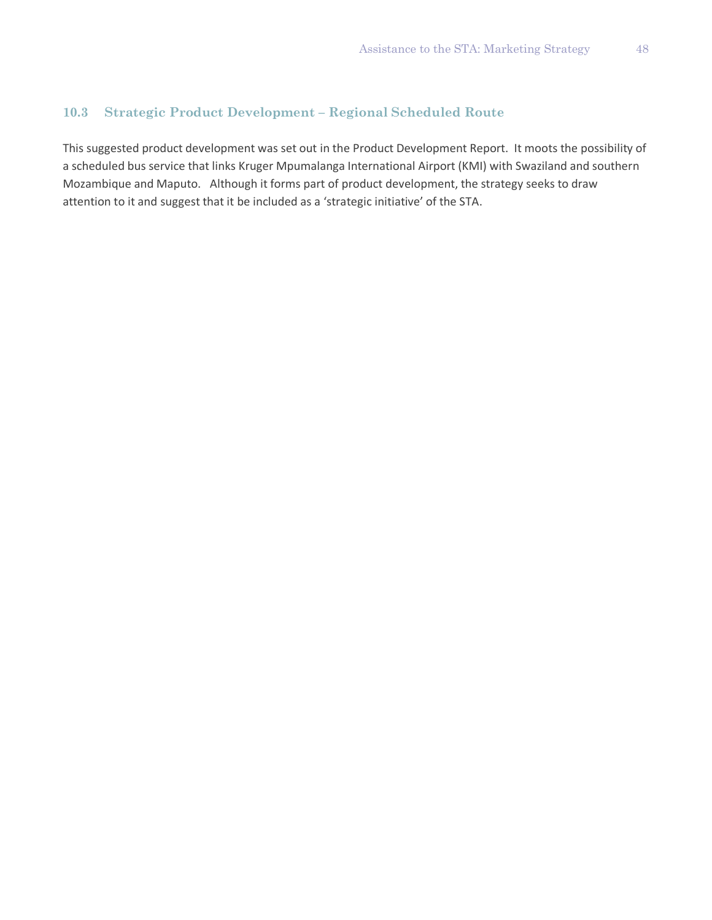# **10.3 Strategic Product Development – Regional Scheduled Route**

This suggested product development was set out in the Product Development Report. It moots the possibility of a scheduled bus service that links Kruger Mpumalanga International Airport (KMI) with Swaziland and southern Mozambique and Maputo. Although it forms part of product development, the strategy seeks to draw attention to it and suggest that it be included as a 'strategic initiative' of the STA.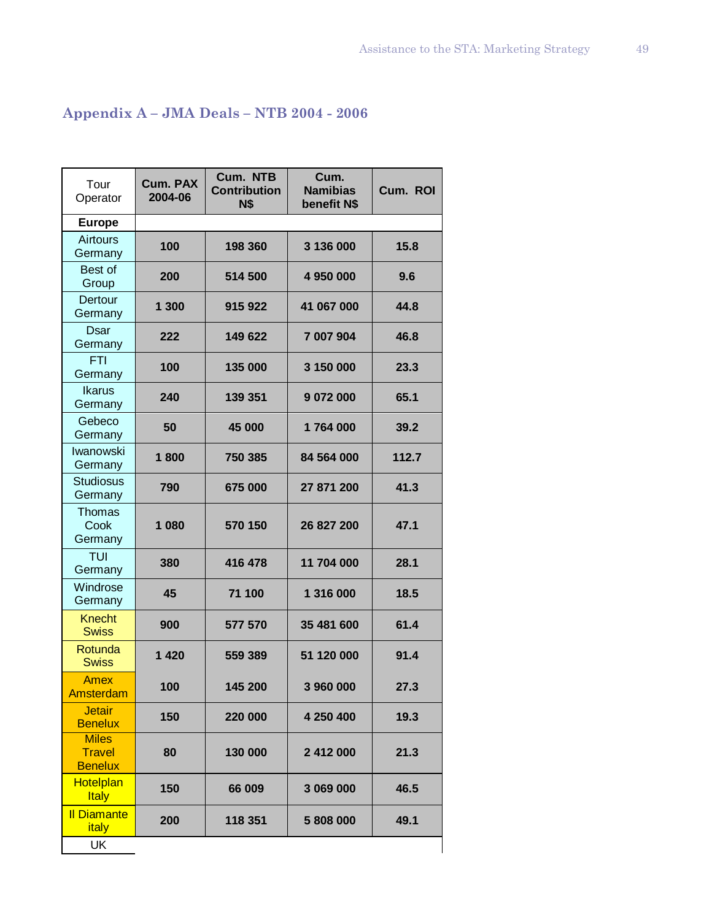# **Appendix A – JMA Deals – NTB 2004 - 2006**

| Tour<br>Operator                                | <b>Cum. PAX</b><br>2004-06 | Cum. NTB<br><b>Contribution</b><br>N\$ | Cum.<br><b>Namibias</b><br>benefit N\$ | Cum. ROI |
|-------------------------------------------------|----------------------------|----------------------------------------|----------------------------------------|----------|
| <b>Europe</b>                                   |                            |                                        |                                        |          |
| <b>Airtours</b><br>Germany                      | 100                        | 198 360                                | 3 136 000                              | 15.8     |
| <b>Best of</b><br>Group                         | 200                        | 514 500                                | 4 950 000                              | 9.6      |
| Dertour<br>Germany                              | 1 300                      | 915 922                                | 41 067 000                             | 44.8     |
| Dsar<br>Germany                                 | 222                        | 149 622                                | 7 007 904                              | 46.8     |
| <b>FTI</b><br>Germany                           | 100                        | 135 000                                | 3 150 000                              | 23.3     |
| <b>Ikarus</b><br>Germany                        | 240                        | 139 351                                | 9 072 000                              | 65.1     |
| Gebeco<br>Germany                               | 50                         | 45 000                                 | 1764000                                | 39.2     |
| Iwanowski<br>Germany                            | 1800                       | 750 385                                | 84 564 000                             | 112.7    |
| <b>Studiosus</b><br>Germany                     | 790                        | 675 000                                | 27 871 200                             | 41.3     |
| <b>Thomas</b><br>Cook<br>Germany                | 1 080                      | 570 150                                | 26 827 200                             | 47.1     |
| <b>TUI</b><br>Germany                           | 380                        | 416 478                                | 11 704 000                             | 28.1     |
| Windrose<br>Germany                             | 45                         | 71 100                                 | 1 316 000                              | 18.5     |
| <b>Knecht</b><br><b>Swiss</b>                   | 900                        | 577 570                                | 35 481 600                             | 61.4     |
| Rotunda<br><b>Swiss</b>                         | 1420                       | 559 389                                | 51 120 000                             | 91.4     |
| <b>Amex</b><br>Amsterdam                        | 100                        | 145 200                                | 3 960 000                              | 27.3     |
| <b>Jetair</b><br><b>Benelux</b>                 | 150                        | 220 000                                | 4 250 400                              | 19.3     |
| <b>Miles</b><br><b>Travel</b><br><b>Benelux</b> | 80                         | 130 000                                | 2 412 000                              | 21.3     |
| <b>Hotelplan</b><br><b>Italy</b>                | 150                        | 66 009                                 | 3 069 000                              | 46.5     |
| <b>Il Diamante</b><br>italy                     | 200                        | 118 351                                | 5 808 000                              | 49.1     |
| <b>UK</b>                                       |                            |                                        |                                        |          |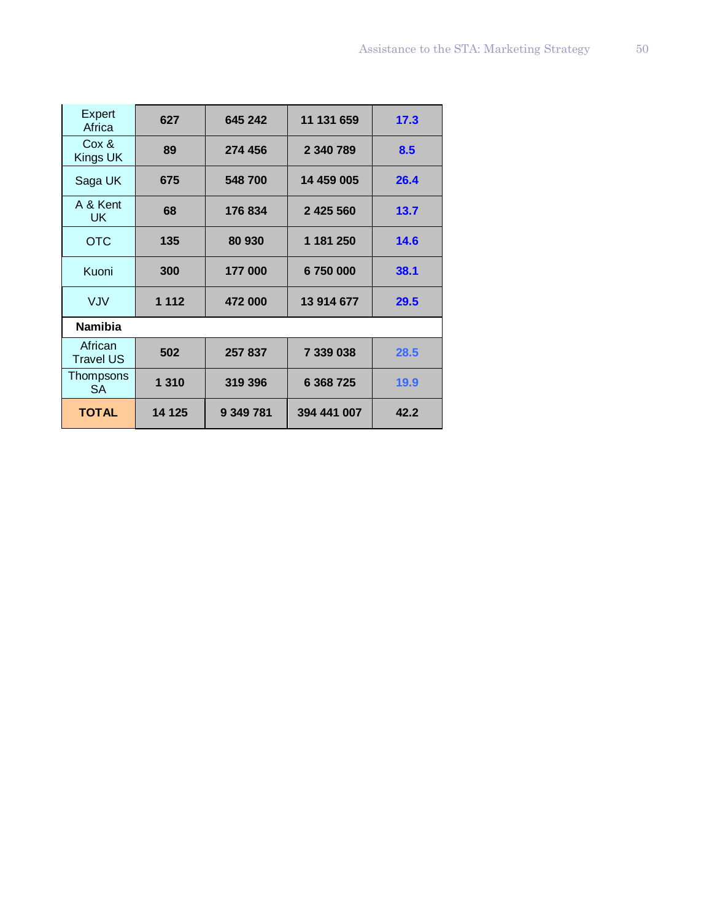| Expert<br>Africa            | 627     | 645 242   | 11 131 659  | 17.3 |
|-----------------------------|---------|-----------|-------------|------|
| Cox &<br>Kings UK           | 89      | 274 456   | 2 340 789   | 8.5  |
| Saga UK                     | 675     | 548 700   | 14 459 005  | 26.4 |
| A & Kent<br>UK              | 68      | 176 834   | 2 425 560   | 13.7 |
| <b>OTC</b>                  | 135     | 80 930    | 1 181 250   | 14.6 |
| Kuoni                       | 300     | 177 000   | 6750000     | 38.1 |
| <b>VJV</b>                  | 1 1 1 2 | 472 000   | 13 914 677  | 29.5 |
| <b>Namibia</b>              |         |           |             |      |
| African<br><b>Travel US</b> | 502     | 257 837   | 7 339 038   | 28.5 |
| Thompsons<br>SA             | 1 3 1 0 | 319 396   | 6 368 725   | 19.9 |
| <b>TOTAL</b>                | 14 125  | 9 349 781 | 394 441 007 | 42.2 |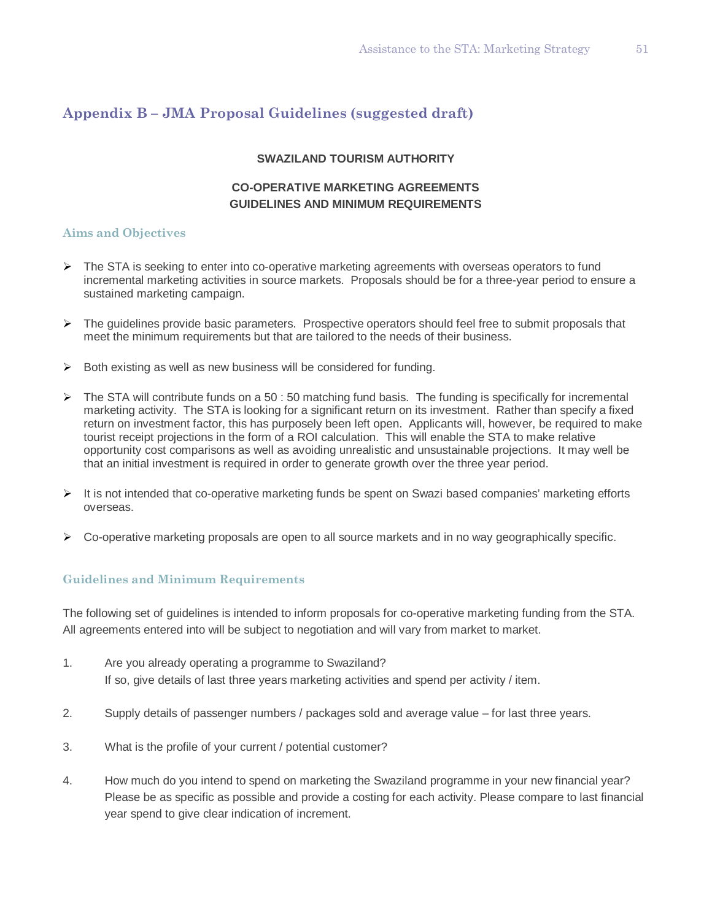# **Appendix B – JMA Proposal Guidelines (suggested draft)**

#### **SWAZILAND TOURISM AUTHORITY**

## **CO-OPERATIVE MARKETING AGREEMENTS GUIDELINES AND MINIMUM REQUIREMENTS**

#### **Aims and Objectives**

- $\triangleright$  The STA is seeking to enter into co-operative marketing agreements with overseas operators to fund incremental marketing activities in source markets. Proposals should be for a three-year period to ensure a sustained marketing campaign.
- $\triangleright$  The guidelines provide basic parameters. Prospective operators should feel free to submit proposals that meet the minimum requirements but that are tailored to the needs of their business.
- $\triangleright$  Both existing as well as new business will be considered for funding.
- $\triangleright$  The STA will contribute funds on a 50 : 50 matching fund basis. The funding is specifically for incremental marketing activity. The STA is looking for a significant return on its investment. Rather than specify a fixed return on investment factor, this has purposely been left open. Applicants will, however, be required to make tourist receipt projections in the form of a ROI calculation. This will enable the STA to make relative opportunity cost comparisons as well as avoiding unrealistic and unsustainable projections. It may well be that an initial investment is required in order to generate growth over the three year period.
- $\triangleright$  It is not intended that co-operative marketing funds be spent on Swazi based companies' marketing efforts overseas.
- $\triangleright$  Co-operative marketing proposals are open to all source markets and in no way geographically specific.

### **Guidelines and Minimum Requirements**

The following set of guidelines is intended to inform proposals for co-operative marketing funding from the STA. All agreements entered into will be subject to negotiation and will vary from market to market.

- 1. Are you already operating a programme to Swaziland? If so, give details of last three years marketing activities and spend per activity / item.
- 2. Supply details of passenger numbers / packages sold and average value for last three years.
- 3. What is the profile of your current / potential customer?
- 4. How much do you intend to spend on marketing the Swaziland programme in your new financial year? Please be as specific as possible and provide a costing for each activity. Please compare to last financial year spend to give clear indication of increment.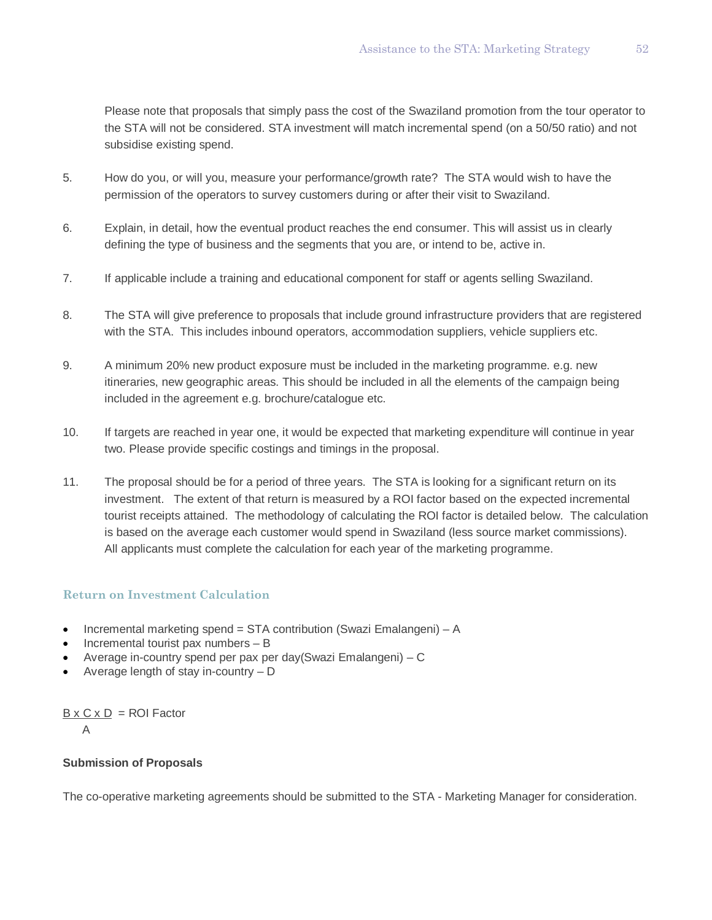Please note that proposals that simply pass the cost of the Swaziland promotion from the tour operator to the STA will not be considered. STA investment will match incremental spend (on a 50/50 ratio) and not subsidise existing spend.

- 5. How do you, or will you, measure your performance/growth rate? The STA would wish to have the permission of the operators to survey customers during or after their visit to Swaziland.
- 6. Explain, in detail, how the eventual product reaches the end consumer. This will assist us in clearly defining the type of business and the segments that you are, or intend to be, active in.
- 7. If applicable include a training and educational component for staff or agents selling Swaziland.
- 8. The STA will give preference to proposals that include ground infrastructure providers that are registered with the STA. This includes inbound operators, accommodation suppliers, vehicle suppliers etc.
- 9. A minimum 20% new product exposure must be included in the marketing programme. e.g. new itineraries, new geographic areas. This should be included in all the elements of the campaign being included in the agreement e.g. brochure/catalogue etc.
- 10. If targets are reached in year one, it would be expected that marketing expenditure will continue in year two. Please provide specific costings and timings in the proposal.
- 11. The proposal should be for a period of three years. The STA is looking for a significant return on its investment. The extent of that return is measured by a ROI factor based on the expected incremental tourist receipts attained. The methodology of calculating the ROI factor is detailed below. The calculation is based on the average each customer would spend in Swaziland (less source market commissions). All applicants must complete the calculation for each year of the marketing programme.

### **Return on Investment Calculation**

- Incremental marketing spend = STA contribution (Swazi Emalangeni) A
- Incremental tourist pax numbers  $B$
- Average in-country spend per pax per day(Swazi Emalangeni) C
- Average length of stay in-country D

 $B \times C \times D =$  ROI Factor

A

#### **Submission of Proposals**

The co-operative marketing agreements should be submitted to the STA - Marketing Manager for consideration.